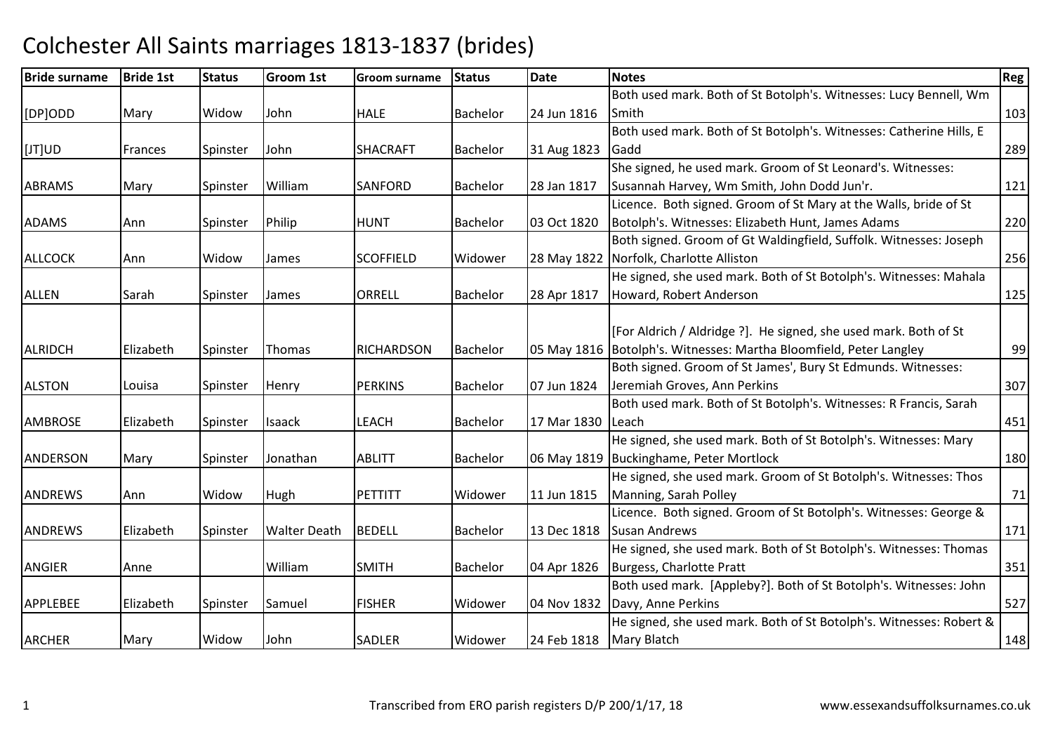| Both used mark. Both of St Botolph's. Witnesses: Lucy Bennell, Wm<br>Widow<br>John<br>[DP]ODD<br>Mary<br><b>HALE</b><br>Bachelor<br>24 Jun 1816<br>Smith<br>Both used mark. Both of St Botolph's. Witnesses: Catherine Hills, E<br>[JT]UD<br>John<br><b>SHACRAFT</b><br><b>Bachelor</b><br>31 Aug 1823<br>Gadd<br>Frances<br>Spinster<br>She signed, he used mark. Groom of St Leonard's. Witnesses:<br>William<br>28 Jan 1817<br>Susannah Harvey, Wm Smith, John Dodd Jun'r.<br><b>ABRAMS</b><br><b>SANFORD</b><br>Spinster<br><b>Bachelor</b><br>Mary<br>Licence. Both signed. Groom of St Mary at the Walls, bride of St<br>Botolph's. Witnesses: Elizabeth Hunt, James Adams<br><b>ADAMS</b><br>Philip<br><b>HUNT</b><br><b>Bachelor</b><br>03 Oct 1820<br>Ann<br>Spinster<br>Both signed. Groom of Gt Waldingfield, Suffolk. Witnesses: Joseph<br>Norfolk, Charlotte Alliston<br><b>ALLCOCK</b><br><b>SCOFFIELD</b><br>Widow<br>Widower<br>28 May 1822<br>Ann<br>James<br>He signed, she used mark. Both of St Botolph's. Witnesses: Mahala<br><b>ORRELL</b><br>28 Apr 1817<br>Howard, Robert Anderson<br><b>ALLEN</b><br>Sarah<br>James<br><b>Bachelor</b><br>Spinster<br>[For Aldrich / Aldridge ?]. He signed, she used mark. Both of St<br>05 May 1816   Botolph's. Witnesses: Martha Bloomfield, Peter Langley<br><b>ALRIDCH</b><br>Elizabeth<br><b>RICHARDSON</b><br><b>Bachelor</b><br>Spinster<br>Thomas<br>Both signed. Groom of St James', Bury St Edmunds. Witnesses:<br>Jeremiah Groves, Ann Perkins<br><b>ALSTON</b><br><b>PERKINS</b><br>Bachelor<br>07 Jun 1824<br>Spinster<br>Louisa<br>Henry<br>Both used mark. Both of St Botolph's. Witnesses: R Francis, Sarah<br><b>AMBROSE</b><br><b>LEACH</b><br>17 Mar 1830<br>Elizabeth<br>Spinster<br><b>Isaack</b><br><b>Bachelor</b><br>Leach<br>He signed, she used mark. Both of St Botolph's. Witnesses: Mary<br>ANDERSON<br>Jonathan<br><b>ABLITT</b><br>06 May 1819   Buckinghame, Peter Mortlock<br>Spinster<br>Bachelor<br>Mary<br>He signed, she used mark. Groom of St Botolph's. Witnesses: Thos<br>Manning, Sarah Polley<br><b>PETTITT</b><br>11 Jun 1815<br><b>ANDREWS</b><br>Widow<br><b>Hugh</b><br>Widower<br><b>Ann</b><br>Licence. Both signed. Groom of St Botolph's. Witnesses: George & | Reg |
|------------------------------------------------------------------------------------------------------------------------------------------------------------------------------------------------------------------------------------------------------------------------------------------------------------------------------------------------------------------------------------------------------------------------------------------------------------------------------------------------------------------------------------------------------------------------------------------------------------------------------------------------------------------------------------------------------------------------------------------------------------------------------------------------------------------------------------------------------------------------------------------------------------------------------------------------------------------------------------------------------------------------------------------------------------------------------------------------------------------------------------------------------------------------------------------------------------------------------------------------------------------------------------------------------------------------------------------------------------------------------------------------------------------------------------------------------------------------------------------------------------------------------------------------------------------------------------------------------------------------------------------------------------------------------------------------------------------------------------------------------------------------------------------------------------------------------------------------------------------------------------------------------------------------------------------------------------------------------------------------------------------------------------------------------------------------------------------------------------------------------------------------------------------------------------------------------------------------------------------------------------------------------|-----|
|                                                                                                                                                                                                                                                                                                                                                                                                                                                                                                                                                                                                                                                                                                                                                                                                                                                                                                                                                                                                                                                                                                                                                                                                                                                                                                                                                                                                                                                                                                                                                                                                                                                                                                                                                                                                                                                                                                                                                                                                                                                                                                                                                                                                                                                                              |     |
|                                                                                                                                                                                                                                                                                                                                                                                                                                                                                                                                                                                                                                                                                                                                                                                                                                                                                                                                                                                                                                                                                                                                                                                                                                                                                                                                                                                                                                                                                                                                                                                                                                                                                                                                                                                                                                                                                                                                                                                                                                                                                                                                                                                                                                                                              | 103 |
|                                                                                                                                                                                                                                                                                                                                                                                                                                                                                                                                                                                                                                                                                                                                                                                                                                                                                                                                                                                                                                                                                                                                                                                                                                                                                                                                                                                                                                                                                                                                                                                                                                                                                                                                                                                                                                                                                                                                                                                                                                                                                                                                                                                                                                                                              |     |
|                                                                                                                                                                                                                                                                                                                                                                                                                                                                                                                                                                                                                                                                                                                                                                                                                                                                                                                                                                                                                                                                                                                                                                                                                                                                                                                                                                                                                                                                                                                                                                                                                                                                                                                                                                                                                                                                                                                                                                                                                                                                                                                                                                                                                                                                              | 289 |
|                                                                                                                                                                                                                                                                                                                                                                                                                                                                                                                                                                                                                                                                                                                                                                                                                                                                                                                                                                                                                                                                                                                                                                                                                                                                                                                                                                                                                                                                                                                                                                                                                                                                                                                                                                                                                                                                                                                                                                                                                                                                                                                                                                                                                                                                              |     |
|                                                                                                                                                                                                                                                                                                                                                                                                                                                                                                                                                                                                                                                                                                                                                                                                                                                                                                                                                                                                                                                                                                                                                                                                                                                                                                                                                                                                                                                                                                                                                                                                                                                                                                                                                                                                                                                                                                                                                                                                                                                                                                                                                                                                                                                                              | 121 |
|                                                                                                                                                                                                                                                                                                                                                                                                                                                                                                                                                                                                                                                                                                                                                                                                                                                                                                                                                                                                                                                                                                                                                                                                                                                                                                                                                                                                                                                                                                                                                                                                                                                                                                                                                                                                                                                                                                                                                                                                                                                                                                                                                                                                                                                                              |     |
|                                                                                                                                                                                                                                                                                                                                                                                                                                                                                                                                                                                                                                                                                                                                                                                                                                                                                                                                                                                                                                                                                                                                                                                                                                                                                                                                                                                                                                                                                                                                                                                                                                                                                                                                                                                                                                                                                                                                                                                                                                                                                                                                                                                                                                                                              | 220 |
|                                                                                                                                                                                                                                                                                                                                                                                                                                                                                                                                                                                                                                                                                                                                                                                                                                                                                                                                                                                                                                                                                                                                                                                                                                                                                                                                                                                                                                                                                                                                                                                                                                                                                                                                                                                                                                                                                                                                                                                                                                                                                                                                                                                                                                                                              |     |
|                                                                                                                                                                                                                                                                                                                                                                                                                                                                                                                                                                                                                                                                                                                                                                                                                                                                                                                                                                                                                                                                                                                                                                                                                                                                                                                                                                                                                                                                                                                                                                                                                                                                                                                                                                                                                                                                                                                                                                                                                                                                                                                                                                                                                                                                              | 256 |
|                                                                                                                                                                                                                                                                                                                                                                                                                                                                                                                                                                                                                                                                                                                                                                                                                                                                                                                                                                                                                                                                                                                                                                                                                                                                                                                                                                                                                                                                                                                                                                                                                                                                                                                                                                                                                                                                                                                                                                                                                                                                                                                                                                                                                                                                              |     |
|                                                                                                                                                                                                                                                                                                                                                                                                                                                                                                                                                                                                                                                                                                                                                                                                                                                                                                                                                                                                                                                                                                                                                                                                                                                                                                                                                                                                                                                                                                                                                                                                                                                                                                                                                                                                                                                                                                                                                                                                                                                                                                                                                                                                                                                                              | 125 |
|                                                                                                                                                                                                                                                                                                                                                                                                                                                                                                                                                                                                                                                                                                                                                                                                                                                                                                                                                                                                                                                                                                                                                                                                                                                                                                                                                                                                                                                                                                                                                                                                                                                                                                                                                                                                                                                                                                                                                                                                                                                                                                                                                                                                                                                                              |     |
|                                                                                                                                                                                                                                                                                                                                                                                                                                                                                                                                                                                                                                                                                                                                                                                                                                                                                                                                                                                                                                                                                                                                                                                                                                                                                                                                                                                                                                                                                                                                                                                                                                                                                                                                                                                                                                                                                                                                                                                                                                                                                                                                                                                                                                                                              |     |
|                                                                                                                                                                                                                                                                                                                                                                                                                                                                                                                                                                                                                                                                                                                                                                                                                                                                                                                                                                                                                                                                                                                                                                                                                                                                                                                                                                                                                                                                                                                                                                                                                                                                                                                                                                                                                                                                                                                                                                                                                                                                                                                                                                                                                                                                              | 99  |
|                                                                                                                                                                                                                                                                                                                                                                                                                                                                                                                                                                                                                                                                                                                                                                                                                                                                                                                                                                                                                                                                                                                                                                                                                                                                                                                                                                                                                                                                                                                                                                                                                                                                                                                                                                                                                                                                                                                                                                                                                                                                                                                                                                                                                                                                              |     |
|                                                                                                                                                                                                                                                                                                                                                                                                                                                                                                                                                                                                                                                                                                                                                                                                                                                                                                                                                                                                                                                                                                                                                                                                                                                                                                                                                                                                                                                                                                                                                                                                                                                                                                                                                                                                                                                                                                                                                                                                                                                                                                                                                                                                                                                                              | 307 |
|                                                                                                                                                                                                                                                                                                                                                                                                                                                                                                                                                                                                                                                                                                                                                                                                                                                                                                                                                                                                                                                                                                                                                                                                                                                                                                                                                                                                                                                                                                                                                                                                                                                                                                                                                                                                                                                                                                                                                                                                                                                                                                                                                                                                                                                                              |     |
|                                                                                                                                                                                                                                                                                                                                                                                                                                                                                                                                                                                                                                                                                                                                                                                                                                                                                                                                                                                                                                                                                                                                                                                                                                                                                                                                                                                                                                                                                                                                                                                                                                                                                                                                                                                                                                                                                                                                                                                                                                                                                                                                                                                                                                                                              | 451 |
|                                                                                                                                                                                                                                                                                                                                                                                                                                                                                                                                                                                                                                                                                                                                                                                                                                                                                                                                                                                                                                                                                                                                                                                                                                                                                                                                                                                                                                                                                                                                                                                                                                                                                                                                                                                                                                                                                                                                                                                                                                                                                                                                                                                                                                                                              |     |
|                                                                                                                                                                                                                                                                                                                                                                                                                                                                                                                                                                                                                                                                                                                                                                                                                                                                                                                                                                                                                                                                                                                                                                                                                                                                                                                                                                                                                                                                                                                                                                                                                                                                                                                                                                                                                                                                                                                                                                                                                                                                                                                                                                                                                                                                              | 180 |
|                                                                                                                                                                                                                                                                                                                                                                                                                                                                                                                                                                                                                                                                                                                                                                                                                                                                                                                                                                                                                                                                                                                                                                                                                                                                                                                                                                                                                                                                                                                                                                                                                                                                                                                                                                                                                                                                                                                                                                                                                                                                                                                                                                                                                                                                              |     |
|                                                                                                                                                                                                                                                                                                                                                                                                                                                                                                                                                                                                                                                                                                                                                                                                                                                                                                                                                                                                                                                                                                                                                                                                                                                                                                                                                                                                                                                                                                                                                                                                                                                                                                                                                                                                                                                                                                                                                                                                                                                                                                                                                                                                                                                                              | 71  |
|                                                                                                                                                                                                                                                                                                                                                                                                                                                                                                                                                                                                                                                                                                                                                                                                                                                                                                                                                                                                                                                                                                                                                                                                                                                                                                                                                                                                                                                                                                                                                                                                                                                                                                                                                                                                                                                                                                                                                                                                                                                                                                                                                                                                                                                                              |     |
| <b>BEDELL</b><br>13 Dec 1818<br><b>Susan Andrews</b><br><b>ANDREWS</b><br>Elizabeth<br><b>Walter Death</b><br><b>Bachelor</b><br>Spinster                                                                                                                                                                                                                                                                                                                                                                                                                                                                                                                                                                                                                                                                                                                                                                                                                                                                                                                                                                                                                                                                                                                                                                                                                                                                                                                                                                                                                                                                                                                                                                                                                                                                                                                                                                                                                                                                                                                                                                                                                                                                                                                                    | 171 |
| He signed, she used mark. Both of St Botolph's. Witnesses: Thomas                                                                                                                                                                                                                                                                                                                                                                                                                                                                                                                                                                                                                                                                                                                                                                                                                                                                                                                                                                                                                                                                                                                                                                                                                                                                                                                                                                                                                                                                                                                                                                                                                                                                                                                                                                                                                                                                                                                                                                                                                                                                                                                                                                                                            |     |
| William<br><b>ANGIER</b><br><b>SMITH</b><br><b>Burgess, Charlotte Pratt</b><br><b>Bachelor</b><br>04 Apr 1826<br>Anne                                                                                                                                                                                                                                                                                                                                                                                                                                                                                                                                                                                                                                                                                                                                                                                                                                                                                                                                                                                                                                                                                                                                                                                                                                                                                                                                                                                                                                                                                                                                                                                                                                                                                                                                                                                                                                                                                                                                                                                                                                                                                                                                                        | 351 |
| Both used mark. [Appleby?]. Both of St Botolph's. Witnesses: John                                                                                                                                                                                                                                                                                                                                                                                                                                                                                                                                                                                                                                                                                                                                                                                                                                                                                                                                                                                                                                                                                                                                                                                                                                                                                                                                                                                                                                                                                                                                                                                                                                                                                                                                                                                                                                                                                                                                                                                                                                                                                                                                                                                                            |     |
| Davy, Anne Perkins<br><b>APPLEBEE</b><br>Elizabeth<br>Samuel<br><b>FISHER</b><br>04 Nov 1832<br>Spinster<br>Widower                                                                                                                                                                                                                                                                                                                                                                                                                                                                                                                                                                                                                                                                                                                                                                                                                                                                                                                                                                                                                                                                                                                                                                                                                                                                                                                                                                                                                                                                                                                                                                                                                                                                                                                                                                                                                                                                                                                                                                                                                                                                                                                                                          | 527 |
| He signed, she used mark. Both of St Botolph's. Witnesses: Robert &                                                                                                                                                                                                                                                                                                                                                                                                                                                                                                                                                                                                                                                                                                                                                                                                                                                                                                                                                                                                                                                                                                                                                                                                                                                                                                                                                                                                                                                                                                                                                                                                                                                                                                                                                                                                                                                                                                                                                                                                                                                                                                                                                                                                          |     |
| Widow<br><b>Mary Blatch</b><br><b>ARCHER</b><br>John<br><b>SADLER</b><br>24 Feb 1818<br>Mary<br>Widower                                                                                                                                                                                                                                                                                                                                                                                                                                                                                                                                                                                                                                                                                                                                                                                                                                                                                                                                                                                                                                                                                                                                                                                                                                                                                                                                                                                                                                                                                                                                                                                                                                                                                                                                                                                                                                                                                                                                                                                                                                                                                                                                                                      | 148 |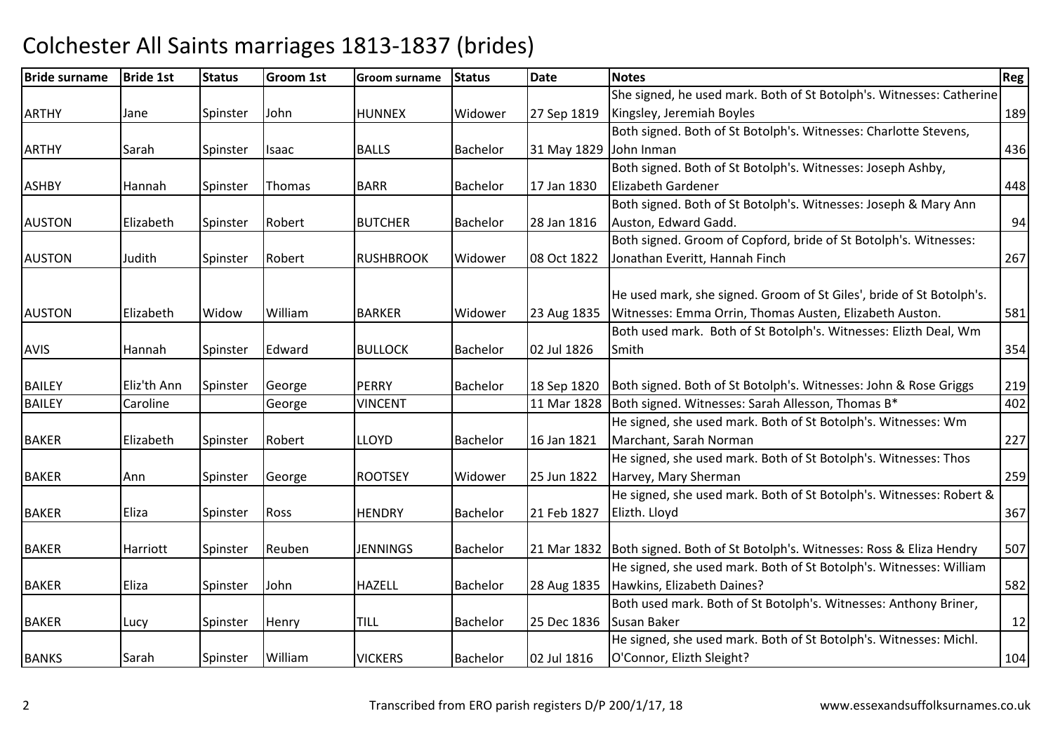| <b>Bride surname</b> | <b>Bride 1st</b> | <b>Status</b> | <b>Groom 1st</b> | <b>Groom surname</b> | <b>Status</b>   | <b>Date</b> | <b>Notes</b>                                                                    | <b>Reg</b> |
|----------------------|------------------|---------------|------------------|----------------------|-----------------|-------------|---------------------------------------------------------------------------------|------------|
|                      |                  |               |                  |                      |                 |             | She signed, he used mark. Both of St Botolph's. Witnesses: Catherine            |            |
| <b>ARTHY</b>         | Jane             | Spinster      | John             | <b>HUNNEX</b>        | Widower         | 27 Sep 1819 | Kingsley, Jeremiah Boyles                                                       | 189        |
|                      |                  |               |                  |                      |                 |             | Both signed. Both of St Botolph's. Witnesses: Charlotte Stevens,                |            |
| <b>ARTHY</b>         | Sarah            | Spinster      | <b>Isaac</b>     | <b>BALLS</b>         | <b>Bachelor</b> | 31 May 1829 | John Inman                                                                      | 436        |
|                      |                  |               |                  |                      |                 |             | Both signed. Both of St Botolph's. Witnesses: Joseph Ashby,                     |            |
| <b>ASHBY</b>         | Hannah           | Spinster      | Thomas           | <b>BARR</b>          | <b>Bachelor</b> | 17 Jan 1830 | <b>Elizabeth Gardener</b>                                                       | 448        |
|                      |                  |               |                  |                      |                 |             | Both signed. Both of St Botolph's. Witnesses: Joseph & Mary Ann                 |            |
| <b>AUSTON</b>        | Elizabeth        | Spinster      | Robert           | <b>BUTCHER</b>       | <b>Bachelor</b> | 28 Jan 1816 | Auston, Edward Gadd.                                                            | 94         |
|                      |                  |               |                  |                      |                 |             | Both signed. Groom of Copford, bride of St Botolph's. Witnesses:                |            |
| <b>AUSTON</b>        | Judith           | Spinster      | Robert           | <b>RUSHBROOK</b>     | Widower         | 08 Oct 1822 | Jonathan Everitt, Hannah Finch                                                  | 267        |
|                      |                  |               |                  |                      |                 |             |                                                                                 |            |
|                      |                  |               |                  |                      |                 |             | He used mark, she signed. Groom of St Giles', bride of St Botolph's.            |            |
| <b>AUSTON</b>        | Elizabeth        | Widow         | William          | <b>BARKER</b>        | Widower         | 23 Aug 1835 | Witnesses: Emma Orrin, Thomas Austen, Elizabeth Auston.                         | 581        |
|                      |                  |               |                  |                      |                 |             | Both used mark. Both of St Botolph's. Witnesses: Elizth Deal, Wm                |            |
| <b>AVIS</b>          | Hannah           | Spinster      | Edward           | <b>BULLOCK</b>       | <b>Bachelor</b> | 02 Jul 1826 | Smith                                                                           | 354        |
|                      |                  |               |                  |                      |                 |             |                                                                                 |            |
| <b>BAILEY</b>        | Eliz'th Ann      | Spinster      | George           | <b>PERRY</b>         | <b>Bachelor</b> | 18 Sep 1820 | Both signed. Both of St Botolph's. Witnesses: John & Rose Griggs                | 219        |
| <b>BAILEY</b>        | Caroline         |               | George           | <b>VINCENT</b>       |                 | 11 Mar 1828 | Both signed. Witnesses: Sarah Allesson, Thomas B*                               | 402        |
|                      |                  |               |                  |                      |                 |             | He signed, she used mark. Both of St Botolph's. Witnesses: Wm                   |            |
| <b>BAKER</b>         | Elizabeth        | Spinster      | Robert           | <b>LLOYD</b>         | <b>Bachelor</b> | 16 Jan 1821 | Marchant, Sarah Norman                                                          | 227        |
|                      |                  |               |                  |                      |                 |             | He signed, she used mark. Both of St Botolph's. Witnesses: Thos                 |            |
| <b>BAKER</b>         | Ann              | Spinster      | George           | <b>ROOTSEY</b>       | Widower         | 25 Jun 1822 | Harvey, Mary Sherman                                                            | 259        |
|                      |                  |               |                  |                      |                 |             | He signed, she used mark. Both of St Botolph's. Witnesses: Robert &             |            |
| <b>BAKER</b>         | Eliza            | Spinster      | Ross             | <b>HENDRY</b>        | Bachelor        | 21 Feb 1827 | Elizth. Lloyd                                                                   | 367        |
|                      |                  |               |                  |                      |                 |             |                                                                                 |            |
| <b>BAKER</b>         | Harriott         | Spinster      | Reuben           | <b>JENNINGS</b>      | <b>Bachelor</b> |             | 21 Mar 1832   Both signed. Both of St Botolph's. Witnesses: Ross & Eliza Hendry | 507        |
|                      |                  |               |                  |                      |                 |             | He signed, she used mark. Both of St Botolph's. Witnesses: William              |            |
| <b>BAKER</b>         | Eliza            | Spinster      | John             | <b>HAZELL</b>        | Bachelor        | 28 Aug 1835 | Hawkins, Elizabeth Daines?                                                      | 582        |
|                      |                  |               |                  |                      |                 |             | Both used mark. Both of St Botolph's. Witnesses: Anthony Briner,                |            |
| <b>BAKER</b>         | Lucy             | Spinster      | Henry            | <b>TILL</b>          | <b>Bachelor</b> | 25 Dec 1836 | Susan Baker                                                                     | 12         |
|                      |                  |               |                  |                      |                 |             | He signed, she used mark. Both of St Botolph's. Witnesses: Michl.               |            |
| <b>BANKS</b>         | Sarah            | Spinster      | William          | <b>VICKERS</b>       | Bachelor        | 02 Jul 1816 | O'Connor, Elizth Sleight?                                                       | 104        |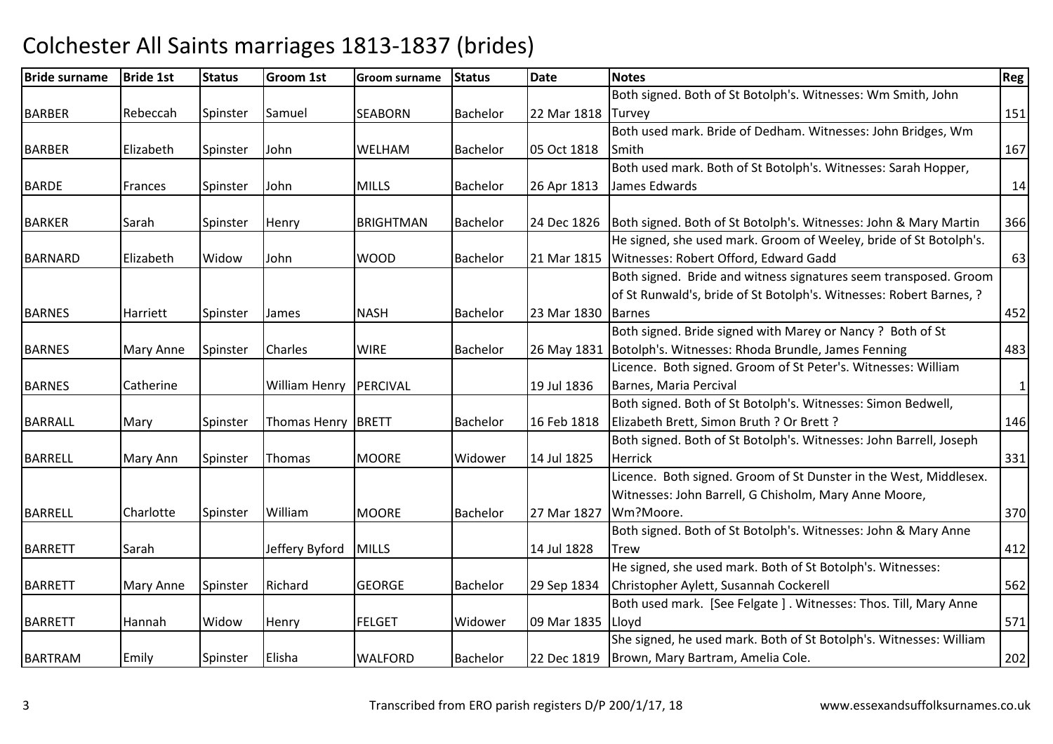| <b>Bride surname</b> | <b>Bride 1st</b> | <b>Status</b> | Groom 1st            | <b>Groom surname</b> | Status          | <b>Date</b> | <b>Notes</b>                                                        | <b>Reg</b> |
|----------------------|------------------|---------------|----------------------|----------------------|-----------------|-------------|---------------------------------------------------------------------|------------|
|                      |                  |               |                      |                      |                 |             | Both signed. Both of St Botolph's. Witnesses: Wm Smith, John        |            |
| <b>BARBER</b>        | Rebeccah         | Spinster      | Samuel               | <b>SEABORN</b>       | <b>Bachelor</b> | 22 Mar 1818 | <b>Turvey</b>                                                       | 151        |
|                      |                  |               |                      |                      |                 |             | Both used mark. Bride of Dedham. Witnesses: John Bridges, Wm        |            |
| <b>BARBER</b>        | Elizabeth        | Spinster      | John                 | WELHAM               | <b>Bachelor</b> | 05 Oct 1818 | Smith                                                               | 167        |
|                      |                  |               |                      |                      |                 |             | Both used mark. Both of St Botolph's. Witnesses: Sarah Hopper,      |            |
| <b>BARDE</b>         | Frances          | Spinster      | John                 | <b>MILLS</b>         | <b>Bachelor</b> | 26 Apr 1813 | James Edwards                                                       | 14         |
|                      |                  |               |                      |                      |                 |             |                                                                     |            |
| <b>BARKER</b>        | Sarah            | Spinster      | Henry                | <b>BRIGHTMAN</b>     | <b>Bachelor</b> | 24 Dec 1826 | Both signed. Both of St Botolph's. Witnesses: John & Mary Martin    | 366        |
|                      |                  |               |                      |                      |                 |             | He signed, she used mark. Groom of Weeley, bride of St Botolph's.   |            |
| <b>BARNARD</b>       | Elizabeth        | Widow         | John                 | <b>WOOD</b>          | <b>Bachelor</b> | 21 Mar 1815 | Witnesses: Robert Offord, Edward Gadd                               | 63         |
|                      |                  |               |                      |                      |                 |             | Both signed. Bride and witness signatures seem transposed. Groom    |            |
|                      |                  |               |                      |                      |                 |             | of St Runwald's, bride of St Botolph's. Witnesses: Robert Barnes, ? |            |
| <b>BARNES</b>        | Harriett         | Spinster      | James                | <b>NASH</b>          | <b>Bachelor</b> | 23 Mar 1830 | <b>Barnes</b>                                                       | 452        |
|                      |                  |               |                      |                      |                 |             | Both signed. Bride signed with Marey or Nancy? Both of St           |            |
| <b>BARNES</b>        | Mary Anne        | Spinster      | <b>Charles</b>       | <b>WIRE</b>          | <b>Bachelor</b> | 26 May 1831 | Botolph's. Witnesses: Rhoda Brundle, James Fenning                  | 483        |
|                      |                  |               |                      |                      |                 |             | Licence. Both signed. Groom of St Peter's. Witnesses: William       |            |
| <b>BARNES</b>        | Catherine        |               | <b>William Henry</b> | PERCIVAL             |                 | 19 Jul 1836 | Barnes, Maria Percival                                              | $1\vert$   |
|                      |                  |               |                      |                      |                 |             | Both signed. Both of St Botolph's. Witnesses: Simon Bedwell,        |            |
| <b>BARRALL</b>       | Mary             | Spinster      | <b>Thomas Henry</b>  | <b>BRETT</b>         | <b>Bachelor</b> | 16 Feb 1818 | Elizabeth Brett, Simon Bruth ? Or Brett ?                           | 146        |
|                      |                  |               |                      |                      |                 |             | Both signed. Both of St Botolph's. Witnesses: John Barrell, Joseph  |            |
| <b>BARRELL</b>       | Mary Ann         | Spinster      | Thomas               | <b>MOORE</b>         | Widower         | 14 Jul 1825 | Herrick                                                             | 331        |
|                      |                  |               |                      |                      |                 |             | Licence. Both signed. Groom of St Dunster in the West, Middlesex.   |            |
|                      |                  |               |                      |                      |                 |             | Witnesses: John Barrell, G Chisholm, Mary Anne Moore,               |            |
| <b>BARRELL</b>       | Charlotte        | Spinster      | William              | <b>MOORE</b>         | <b>Bachelor</b> | 27 Mar 1827 | Wm?Moore.                                                           | 370        |
|                      |                  |               |                      |                      |                 |             | Both signed. Both of St Botolph's. Witnesses: John & Mary Anne      |            |
| <b>BARRETT</b>       | Sarah            |               | Jeffery Byford       | <b>MILLS</b>         |                 | 14 Jul 1828 | <b>Trew</b>                                                         | 412        |
|                      |                  |               |                      |                      |                 |             | He signed, she used mark. Both of St Botolph's. Witnesses:          |            |
| <b>BARRETT</b>       | Mary Anne        | Spinster      | Richard              | <b>GEORGE</b>        | <b>Bachelor</b> | 29 Sep 1834 | Christopher Aylett, Susannah Cockerell                              | 562        |
|                      |                  |               |                      |                      |                 |             | Both used mark. [See Felgate]. Witnesses: Thos. Till, Mary Anne     |            |
| <b>BARRETT</b>       | Hannah           | Widow         | Henry                | <b>FELGET</b>        | Widower         | 09 Mar 1835 | Lloyd                                                               | 571        |
|                      |                  |               |                      |                      |                 |             | She signed, he used mark. Both of St Botolph's. Witnesses: William  |            |
| <b>BARTRAM</b>       | Emily            | Spinster      | Elisha               | <b>WALFORD</b>       | <b>Bachelor</b> | 22 Dec 1819 | Brown, Mary Bartram, Amelia Cole.                                   | 202        |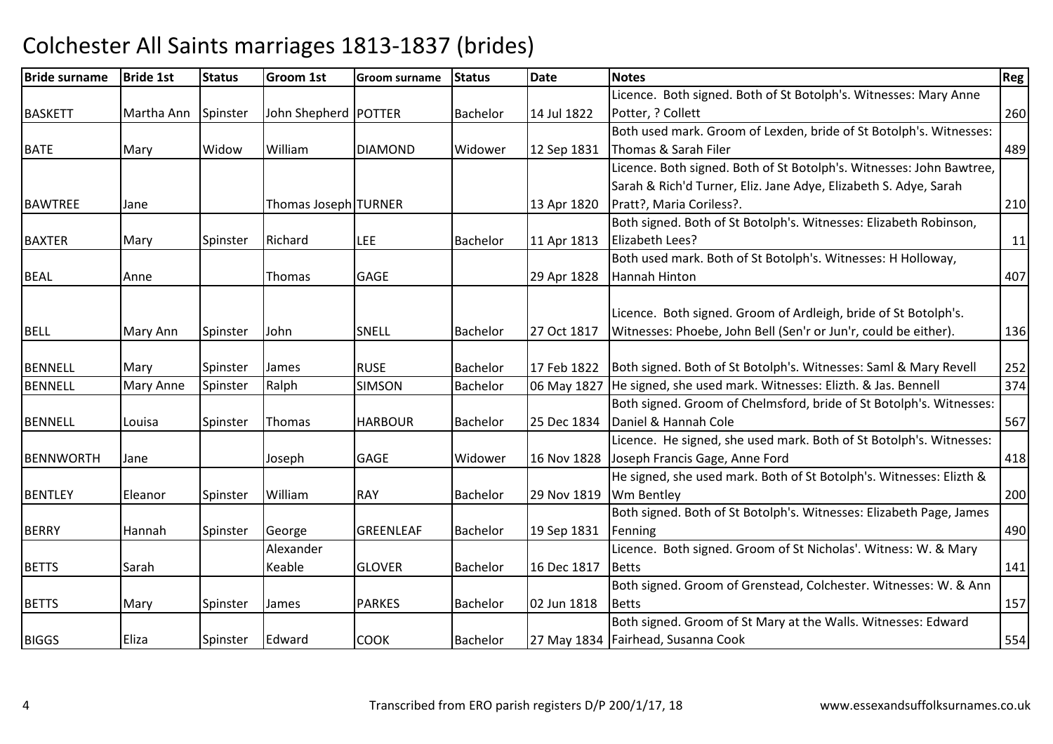| <b>Bride surname</b> | <b>Bride 1st</b> | <b>Status</b> | <b>Groom 1st</b>       | <b>Groom surname</b> | <b>Status</b>   | <b>Date</b> | <b>Notes</b>                                                         | Reg |
|----------------------|------------------|---------------|------------------------|----------------------|-----------------|-------------|----------------------------------------------------------------------|-----|
|                      |                  |               |                        |                      |                 |             | Licence. Both signed. Both of St Botolph's. Witnesses: Mary Anne     |     |
| <b>BASKETT</b>       | Martha Ann       | Spinster      | John Shepherd   POTTER |                      | <b>Bachelor</b> | 14 Jul 1822 | Potter, ? Collett                                                    | 260 |
|                      |                  |               |                        |                      |                 |             | Both used mark. Groom of Lexden, bride of St Botolph's. Witnesses:   |     |
| <b>BATE</b>          | Mary             | Widow         | William                | <b>DIAMOND</b>       | Widower         | 12 Sep 1831 | Thomas & Sarah Filer                                                 | 489 |
|                      |                  |               |                        |                      |                 |             | Licence. Both signed. Both of St Botolph's. Witnesses: John Bawtree, |     |
|                      |                  |               |                        |                      |                 |             | Sarah & Rich'd Turner, Eliz. Jane Adye, Elizabeth S. Adye, Sarah     |     |
| <b>BAWTREE</b>       | Jane             |               | Thomas Joseph TURNER   |                      |                 | 13 Apr 1820 | Pratt?, Maria Coriless?.                                             | 210 |
|                      |                  |               |                        |                      |                 |             | Both signed. Both of St Botolph's. Witnesses: Elizabeth Robinson,    |     |
| <b>BAXTER</b>        | Mary             | Spinster      | Richard                | <b>LEE</b>           | <b>Bachelor</b> | 11 Apr 1813 | Elizabeth Lees?                                                      | 11  |
|                      |                  |               |                        |                      |                 |             | Both used mark. Both of St Botolph's. Witnesses: H Holloway,         |     |
| <b>BEAL</b>          | Anne             |               | Thomas                 | <b>GAGE</b>          |                 | 29 Apr 1828 | Hannah Hinton                                                        | 407 |
|                      |                  |               |                        |                      |                 |             |                                                                      |     |
|                      |                  |               |                        |                      |                 |             | Licence. Both signed. Groom of Ardleigh, bride of St Botolph's.      |     |
| <b>BELL</b>          | Mary Ann         | Spinster      | John                   | SNELL                | <b>Bachelor</b> | 27 Oct 1817 | Witnesses: Phoebe, John Bell (Sen'r or Jun'r, could be either).      | 136 |
|                      |                  |               |                        |                      |                 |             |                                                                      |     |
| <b>BENNELL</b>       | Mary             | Spinster      | James                  | <b>RUSE</b>          | <b>Bachelor</b> | 17 Feb 1822 | Both signed. Both of St Botolph's. Witnesses: Saml & Mary Revell     | 252 |
| <b>BENNELL</b>       | Mary Anne        | Spinster      | Ralph                  | <b>SIMSON</b>        | <b>Bachelor</b> | 06 May 1827 | He signed, she used mark. Witnesses: Elizth. & Jas. Bennell          | 374 |
|                      |                  |               |                        |                      |                 |             | Both signed. Groom of Chelmsford, bride of St Botolph's. Witnesses:  |     |
| <b>BENNELL</b>       | Louisa           | Spinster      | <b>Thomas</b>          | <b>HARBOUR</b>       | <b>Bachelor</b> | 25 Dec 1834 | Daniel & Hannah Cole                                                 | 567 |
|                      |                  |               |                        |                      |                 |             | Licence. He signed, she used mark. Both of St Botolph's. Witnesses:  |     |
| <b>BENNWORTH</b>     | Jane             |               | Joseph                 | <b>GAGE</b>          | Widower         | 16 Nov 1828 | Joseph Francis Gage, Anne Ford                                       | 418 |
|                      |                  |               |                        |                      |                 |             | He signed, she used mark. Both of St Botolph's. Witnesses: Elizth &  |     |
| <b>BENTLEY</b>       | Eleanor          | Spinster      | William                | <b>RAY</b>           | <b>Bachelor</b> | 29 Nov 1819 | Wm Bentley                                                           | 200 |
|                      |                  |               |                        |                      |                 |             | Both signed. Both of St Botolph's. Witnesses: Elizabeth Page, James  |     |
| <b>BERRY</b>         | Hannah           | Spinster      | George                 | <b>GREENLEAF</b>     | <b>Bachelor</b> | 19 Sep 1831 | Fenning                                                              | 490 |
|                      |                  |               | Alexander              |                      |                 |             | Licence. Both signed. Groom of St Nicholas'. Witness: W. & Mary      |     |
| <b>BETTS</b>         | Sarah            |               | Keable                 | <b>GLOVER</b>        | <b>Bachelor</b> | 16 Dec 1817 | <b>Betts</b>                                                         | 141 |
|                      |                  |               |                        |                      |                 |             | Both signed. Groom of Grenstead, Colchester. Witnesses: W. & Ann     |     |
| <b>BETTS</b>         | Mary             | Spinster      | James                  | <b>PARKES</b>        | Bachelor        | 02 Jun 1818 | <b>Betts</b>                                                         | 157 |
|                      |                  |               |                        |                      |                 |             | Both signed. Groom of St Mary at the Walls. Witnesses: Edward        |     |
| <b>BIGGS</b>         | Eliza            | Spinster      | Edward                 | <b>COOK</b>          | <b>Bachelor</b> |             | 27 May 1834   Fairhead, Susanna Cook                                 | 554 |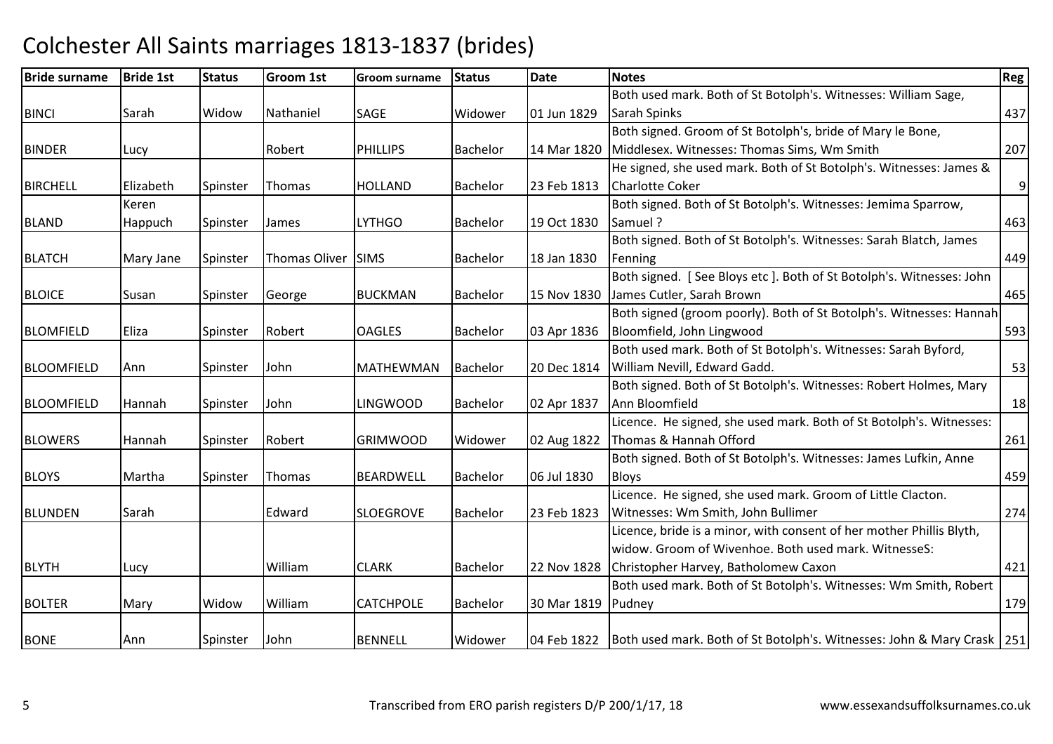| <b>Bride surname</b> | <b>Bride 1st</b> | <b>Status</b> | <b>Groom 1st</b> | <b>Groom surname</b> | <b>Status</b>   | <b>Date</b> | <b>Notes</b>                                                                       | Reg            |
|----------------------|------------------|---------------|------------------|----------------------|-----------------|-------------|------------------------------------------------------------------------------------|----------------|
|                      |                  |               |                  |                      |                 |             | Both used mark. Both of St Botolph's. Witnesses: William Sage,                     |                |
| <b>BINCI</b>         | Sarah            | Widow         | Nathaniel        | SAGE                 | Widower         | 01 Jun 1829 | Sarah Spinks                                                                       | 437            |
|                      |                  |               |                  |                      |                 |             | Both signed. Groom of St Botolph's, bride of Mary le Bone,                         |                |
| <b>BINDER</b>        | Lucy             |               | Robert           | <b>PHILLIPS</b>      | <b>Bachelor</b> | 14 Mar 1820 | Middlesex. Witnesses: Thomas Sims, Wm Smith                                        | 207            |
|                      |                  |               |                  |                      |                 |             | He signed, she used mark. Both of St Botolph's. Witnesses: James &                 |                |
| <b>BIRCHELL</b>      | Elizabeth        | Spinster      | Thomas           | <b>HOLLAND</b>       | <b>Bachelor</b> | 23 Feb 1813 | <b>Charlotte Coker</b>                                                             | $\overline{9}$ |
|                      | Keren            |               |                  |                      |                 |             | Both signed. Both of St Botolph's. Witnesses: Jemima Sparrow,                      |                |
| <b>BLAND</b>         | Happuch          | Spinster      | James            | <b>LYTHGO</b>        | <b>Bachelor</b> | 19 Oct 1830 | Samuel ?                                                                           | 463            |
|                      |                  |               |                  |                      |                 |             | Both signed. Both of St Botolph's. Witnesses: Sarah Blatch, James                  |                |
| <b>BLATCH</b>        | Mary Jane        | Spinster      | Thomas Oliver    | <b>SIMS</b>          | <b>Bachelor</b> | 18 Jan 1830 | Fenning                                                                            | 449            |
|                      |                  |               |                  |                      |                 |             | Both signed. [See Bloys etc]. Both of St Botolph's. Witnesses: John                |                |
| <b>BLOICE</b>        | Susan            | Spinster      | George           | <b>BUCKMAN</b>       | <b>Bachelor</b> | 15 Nov 1830 | James Cutler, Sarah Brown                                                          | 465            |
|                      |                  |               |                  |                      |                 |             | Both signed (groom poorly). Both of St Botolph's. Witnesses: Hannah                |                |
| <b>BLOMFIELD</b>     | Eliza            | Spinster      | Robert           | <b>OAGLES</b>        | <b>Bachelor</b> | 03 Apr 1836 | Bloomfield, John Lingwood                                                          | 593            |
|                      |                  |               |                  |                      |                 |             | Both used mark. Both of St Botolph's. Witnesses: Sarah Byford,                     |                |
| <b>BLOOMFIELD</b>    | Ann              | Spinster      | John             | <b>MATHEWMAN</b>     | <b>Bachelor</b> | 20 Dec 1814 | William Nevill, Edward Gadd.                                                       | 53             |
|                      |                  |               |                  |                      |                 |             | Both signed. Both of St Botolph's. Witnesses: Robert Holmes, Mary                  |                |
| <b>BLOOMFIELD</b>    | Hannah           | Spinster      | John             | <b>LINGWOOD</b>      | <b>Bachelor</b> | 02 Apr 1837 | Ann Bloomfield                                                                     | 18             |
|                      |                  |               |                  |                      |                 |             | Licence. He signed, she used mark. Both of St Botolph's. Witnesses:                |                |
| <b>BLOWERS</b>       | Hannah           | Spinster      | Robert           | <b>GRIMWOOD</b>      | Widower         | 02 Aug 1822 | Thomas & Hannah Offord                                                             | 261            |
|                      |                  |               |                  |                      |                 |             | Both signed. Both of St Botolph's. Witnesses: James Lufkin, Anne                   |                |
| <b>BLOYS</b>         | Martha           | Spinster      | Thomas           | <b>BEARDWELL</b>     | <b>Bachelor</b> | 06 Jul 1830 | <b>Bloys</b>                                                                       | 459            |
|                      |                  |               |                  |                      |                 |             | Licence. He signed, she used mark. Groom of Little Clacton.                        |                |
| <b>BLUNDEN</b>       | Sarah            |               | Edward           | <b>SLOEGROVE</b>     | <b>Bachelor</b> | 23 Feb 1823 | Witnesses: Wm Smith, John Bullimer                                                 | 274            |
|                      |                  |               |                  |                      |                 |             | Licence, bride is a minor, with consent of her mother Phillis Blyth,               |                |
|                      |                  |               |                  |                      |                 |             | widow. Groom of Wivenhoe. Both used mark. WitnesseS:                               |                |
| <b>BLYTH</b>         | Lucy             |               | William          | <b>CLARK</b>         | <b>Bachelor</b> | 22 Nov 1828 | Christopher Harvey, Batholomew Caxon                                               | 421            |
|                      |                  |               |                  |                      |                 |             | Both used mark. Both of St Botolph's. Witnesses: Wm Smith, Robert                  |                |
| <b>BOLTER</b>        | Mary             | Widow         | William          | <b>CATCHPOLE</b>     | Bachelor        | 30 Mar 1819 | Pudney                                                                             | 179            |
|                      |                  |               |                  |                      |                 |             |                                                                                    |                |
| <b>BONE</b>          | Ann              | Spinster      | John             | <b>BENNELL</b>       | Widower         |             | 04 Feb 1822 Both used mark. Both of St Botolph's. Witnesses: John & Mary Crask 251 |                |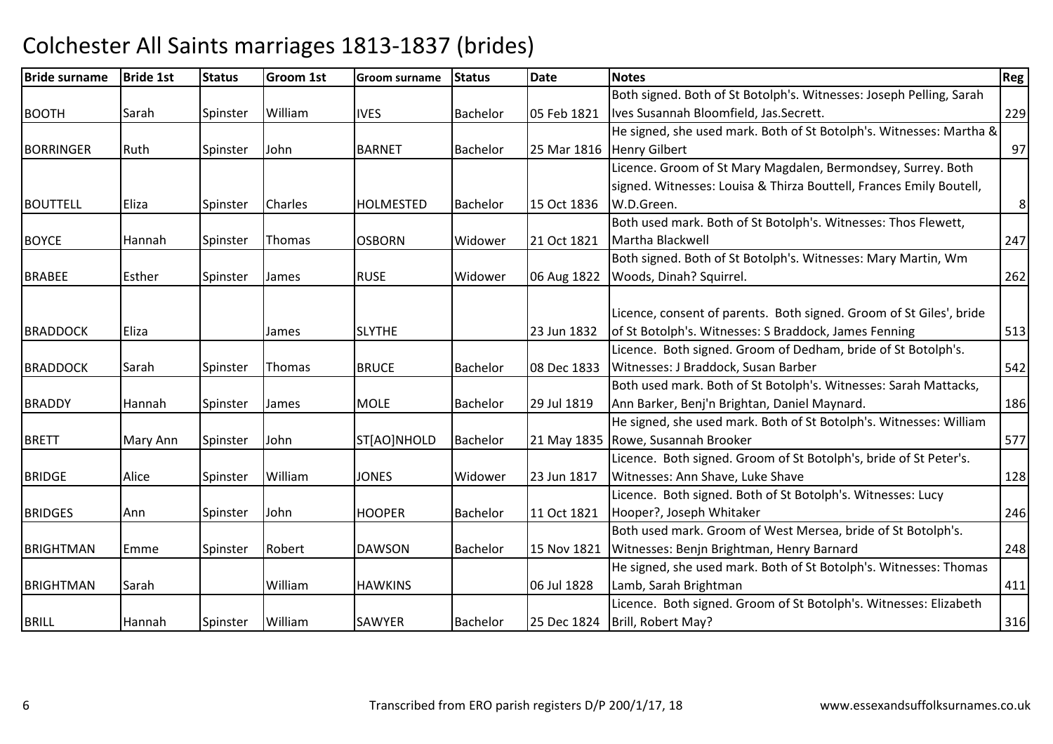| <b>Bride surname</b> | <b>Bride 1st</b> | <b>Status</b> | <b>Groom 1st</b> | <b>Groom surname</b> | <b>Status</b>   | <b>Date</b> | <b>Notes</b>                                                        | Reg            |
|----------------------|------------------|---------------|------------------|----------------------|-----------------|-------------|---------------------------------------------------------------------|----------------|
|                      |                  |               |                  |                      |                 |             | Both signed. Both of St Botolph's. Witnesses: Joseph Pelling, Sarah |                |
| <b>BOOTH</b>         | Sarah            | Spinster      | William          | <b>IVES</b>          | <b>Bachelor</b> | 05 Feb 1821 | Ives Susannah Bloomfield, Jas.Secrett.                              | 229            |
|                      |                  |               |                  |                      |                 |             | He signed, she used mark. Both of St Botolph's. Witnesses: Martha & |                |
| <b>BORRINGER</b>     | Ruth             | Spinster      | John             | <b>BARNET</b>        | <b>Bachelor</b> | 25 Mar 1816 | <b>Henry Gilbert</b>                                                | 97             |
|                      |                  |               |                  |                      |                 |             | Licence. Groom of St Mary Magdalen, Bermondsey, Surrey. Both        |                |
|                      |                  |               |                  |                      |                 |             | signed. Witnesses: Louisa & Thirza Bouttell, Frances Emily Boutell, |                |
| <b>BOUTTELL</b>      | Eliza            | Spinster      | <b>Charles</b>   | <b>HOLMESTED</b>     | <b>Bachelor</b> | 15 Oct 1836 | W.D.Green.                                                          | 8 <sup>1</sup> |
|                      |                  |               |                  |                      |                 |             | Both used mark. Both of St Botolph's. Witnesses: Thos Flewett,      |                |
| <b>BOYCE</b>         | Hannah           | Spinster      | Thomas           | <b>OSBORN</b>        | Widower         | 21 Oct 1821 | Martha Blackwell                                                    | 247            |
|                      |                  |               |                  |                      |                 |             | Both signed. Both of St Botolph's. Witnesses: Mary Martin, Wm       |                |
| <b>BRABEE</b>        | Esther           | Spinster      | <b>James</b>     | <b>RUSE</b>          | Widower         | 06 Aug 1822 | Woods, Dinah? Squirrel.                                             | 262            |
|                      |                  |               |                  |                      |                 |             |                                                                     |                |
|                      |                  |               |                  |                      |                 |             | Licence, consent of parents. Both signed. Groom of St Giles', bride |                |
| <b>BRADDOCK</b>      | Eliza            |               | James            | <b>SLYTHE</b>        |                 | 23 Jun 1832 | of St Botolph's. Witnesses: S Braddock, James Fenning               | 513            |
|                      |                  |               |                  |                      |                 |             | Licence. Both signed. Groom of Dedham, bride of St Botolph's.       |                |
| <b>BRADDOCK</b>      | Sarah            | Spinster      | <b>Thomas</b>    | <b>BRUCE</b>         | <b>Bachelor</b> | 08 Dec 1833 | Witnesses: J Braddock, Susan Barber                                 | 542            |
|                      |                  |               |                  |                      |                 |             | Both used mark. Both of St Botolph's. Witnesses: Sarah Mattacks,    |                |
| <b>BRADDY</b>        | Hannah           | Spinster      | James            | <b>MOLE</b>          | <b>Bachelor</b> | 29 Jul 1819 | Ann Barker, Benj'n Brightan, Daniel Maynard.                        | 186            |
|                      |                  |               |                  |                      |                 |             | He signed, she used mark. Both of St Botolph's. Witnesses: William  |                |
| <b>BRETT</b>         | Mary Ann         | Spinster      | John             | ST[AO]NHOLD          | Bachelor        |             | 21 May 1835 Rowe, Susannah Brooker                                  | 577            |
|                      |                  |               |                  |                      |                 |             | Licence. Both signed. Groom of St Botolph's, bride of St Peter's.   |                |
| <b>BRIDGE</b>        | Alice            | Spinster      | William          | <b>JONES</b>         | Widower         | 23 Jun 1817 | Witnesses: Ann Shave, Luke Shave                                    | 128            |
|                      |                  |               |                  |                      |                 |             | Licence. Both signed. Both of St Botolph's. Witnesses: Lucy         |                |
| <b>BRIDGES</b>       | Ann              | Spinster      | John             | <b>HOOPER</b>        | Bachelor        | 11 Oct 1821 | Hooper?, Joseph Whitaker                                            | 246            |
|                      |                  |               |                  |                      |                 |             | Both used mark. Groom of West Mersea, bride of St Botolph's.        |                |
| <b>BRIGHTMAN</b>     | Emme             | Spinster      | Robert           | <b>DAWSON</b>        | <b>Bachelor</b> | 15 Nov 1821 | Witnesses: Benjn Brightman, Henry Barnard                           | 248            |
|                      |                  |               |                  |                      |                 |             | He signed, she used mark. Both of St Botolph's. Witnesses: Thomas   |                |
| <b>BRIGHTMAN</b>     | Sarah            |               | William          | <b>HAWKINS</b>       |                 | 06 Jul 1828 | Lamb, Sarah Brightman                                               | 411            |
|                      |                  |               |                  |                      |                 |             | Licence. Both signed. Groom of St Botolph's. Witnesses: Elizabeth   |                |
| <b>BRILL</b>         | Hannah           | Spinster      | William          | <b>SAWYER</b>        | <b>Bachelor</b> | 25 Dec 1824 | Brill, Robert May?                                                  | 316            |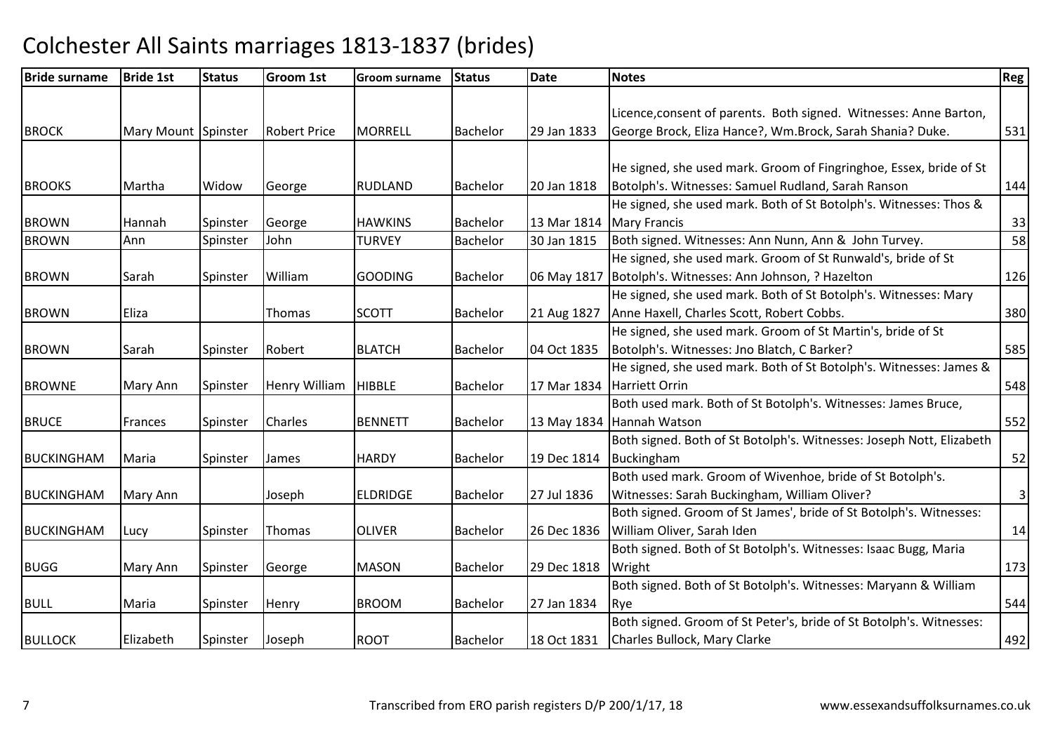| <b>Bride surname</b> | <b>Bride 1st</b>    | <b>Status</b> | <b>Groom 1st</b>     | <b>Groom surname</b> | <b>Status</b>   | <b>Date</b> | <b>Notes</b>                                                         | Reg          |
|----------------------|---------------------|---------------|----------------------|----------------------|-----------------|-------------|----------------------------------------------------------------------|--------------|
|                      |                     |               |                      |                      |                 |             |                                                                      |              |
|                      |                     |               |                      |                      |                 |             | Licence, consent of parents. Both signed. Witnesses: Anne Barton,    |              |
| <b>BROCK</b>         | Mary Mount Spinster |               | <b>Robert Price</b>  | <b>MORRELL</b>       | <b>Bachelor</b> | 29 Jan 1833 | George Brock, Eliza Hance?, Wm.Brock, Sarah Shania? Duke.            | 531          |
|                      |                     |               |                      |                      |                 |             |                                                                      |              |
|                      |                     |               |                      |                      |                 |             | He signed, she used mark. Groom of Fingringhoe, Essex, bride of St   |              |
| <b>BROOKS</b>        | Martha              | Widow         | George               | <b>RUDLAND</b>       | <b>Bachelor</b> | 20 Jan 1818 | Botolph's. Witnesses: Samuel Rudland, Sarah Ranson                   | 144          |
|                      |                     |               |                      |                      |                 |             | He signed, she used mark. Both of St Botolph's. Witnesses: Thos &    |              |
| <b>BROWN</b>         | Hannah              | Spinster      | George               | <b>HAWKINS</b>       | <b>Bachelor</b> | 13 Mar 1814 | <b>Mary Francis</b>                                                  | 33           |
| <b>BROWN</b>         | Ann                 | Spinster      | John                 | <b>TURVEY</b>        | <b>Bachelor</b> | 30 Jan 1815 | Both signed. Witnesses: Ann Nunn, Ann & John Turvey.                 | 58           |
|                      |                     |               |                      |                      |                 |             | He signed, she used mark. Groom of St Runwald's, bride of St         |              |
| <b>BROWN</b>         | Sarah               | Spinster      | William              | <b>GOODING</b>       | <b>Bachelor</b> | 06 May 1817 | Botolph's. Witnesses: Ann Johnson, ? Hazelton                        | 126          |
|                      |                     |               |                      |                      |                 |             | He signed, she used mark. Both of St Botolph's. Witnesses: Mary      |              |
| <b>BROWN</b>         | Eliza               |               | Thomas               | <b>SCOTT</b>         | Bachelor        | 21 Aug 1827 | Anne Haxell, Charles Scott, Robert Cobbs.                            | 380          |
|                      |                     |               |                      |                      |                 |             | He signed, she used mark. Groom of St Martin's, bride of St          |              |
| <b>BROWN</b>         | Sarah               | Spinster      | Robert               | <b>BLATCH</b>        | <b>Bachelor</b> | 04 Oct 1835 | Botolph's. Witnesses: Jno Blatch, C Barker?                          | 585          |
|                      |                     |               |                      |                      |                 |             | He signed, she used mark. Both of St Botolph's. Witnesses: James &   |              |
| <b>BROWNE</b>        | Mary Ann            | Spinster      | <b>Henry William</b> | <b>HIBBLE</b>        | <b>Bachelor</b> | 17 Mar 1834 | <b>Harriett Orrin</b>                                                | 548          |
|                      |                     |               |                      |                      |                 |             | Both used mark. Both of St Botolph's. Witnesses: James Bruce,        |              |
| <b>BRUCE</b>         | Frances             | Spinster      | Charles              | <b>BENNETT</b>       | <b>Bachelor</b> |             | 13 May 1834 Hannah Watson                                            | 552          |
|                      |                     |               |                      |                      |                 |             | Both signed. Both of St Botolph's. Witnesses: Joseph Nott, Elizabeth |              |
| <b>BUCKINGHAM</b>    | Maria               | Spinster      | James                | <b>HARDY</b>         | Bachelor        | 19 Dec 1814 | Buckingham                                                           | 52           |
|                      |                     |               |                      |                      |                 |             | Both used mark. Groom of Wivenhoe, bride of St Botolph's.            |              |
| <b>BUCKINGHAM</b>    | Mary Ann            |               | Joseph               | <b>ELDRIDGE</b>      | <b>Bachelor</b> | 27 Jul 1836 | Witnesses: Sarah Buckingham, William Oliver?                         | $\mathsf{3}$ |
|                      |                     |               |                      |                      |                 |             | Both signed. Groom of St James', bride of St Botolph's. Witnesses:   |              |
| <b>BUCKINGHAM</b>    | Lucy                | Spinster      | <b>Thomas</b>        | <b>OLIVER</b>        | <b>Bachelor</b> | 26 Dec 1836 | William Oliver, Sarah Iden                                           | 14           |
|                      |                     |               |                      |                      |                 |             | Both signed. Both of St Botolph's. Witnesses: Isaac Bugg, Maria      |              |
| <b>BUGG</b>          | Mary Ann            | Spinster      | George               | <b>MASON</b>         | <b>Bachelor</b> | 29 Dec 1818 | Wright                                                               | 173          |
|                      |                     |               |                      |                      |                 |             | Both signed. Both of St Botolph's. Witnesses: Maryann & William      |              |
| <b>BULL</b>          | Maria               | Spinster      | Henry                | <b>BROOM</b>         | <b>Bachelor</b> | 27 Jan 1834 | Rye                                                                  | 544          |
|                      |                     |               |                      |                      |                 |             | Both signed. Groom of St Peter's, bride of St Botolph's. Witnesses:  |              |
| <b>BULLOCK</b>       | Elizabeth           | Spinster      | Joseph               | <b>ROOT</b>          | <b>Bachelor</b> | 18 Oct 1831 | Charles Bullock, Mary Clarke                                         | 492          |
|                      |                     |               |                      |                      |                 |             |                                                                      |              |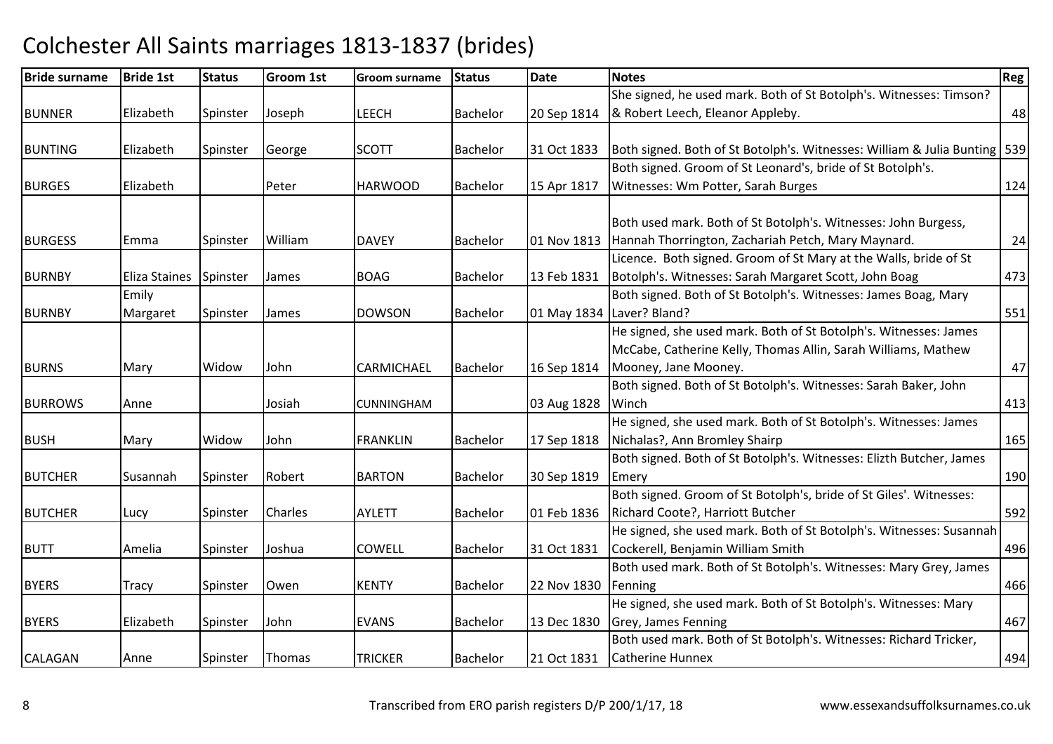| <b>Bride surname</b> | <b>Bride 1st</b> | <b>Status</b> | <b>Groom 1st</b> | <b>Groom surname</b> | <b>Status</b>   | <b>Date</b> | <b>Notes</b>                                                                | <b>Reg</b> |
|----------------------|------------------|---------------|------------------|----------------------|-----------------|-------------|-----------------------------------------------------------------------------|------------|
|                      |                  |               |                  |                      |                 |             | She signed, he used mark. Both of St Botolph's. Witnesses: Timson?          |            |
| <b>BUNNER</b>        | Elizabeth        | Spinster      | Joseph           | LEECH                | Bachelor        | 20 Sep 1814 | & Robert Leech, Eleanor Appleby.                                            | 48         |
|                      |                  |               |                  |                      |                 |             |                                                                             |            |
| <b>BUNTING</b>       | Elizabeth        | Spinster      | George           | <b>SCOTT</b>         | <b>Bachelor</b> | 31 Oct 1833 | Both signed. Both of St Botolph's. Witnesses: William & Julia Bunting   539 |            |
|                      |                  |               |                  |                      |                 |             | Both signed. Groom of St Leonard's, bride of St Botolph's.                  |            |
| <b>BURGES</b>        | Elizabeth        |               | Peter            | <b>HARWOOD</b>       | Bachelor        | 15 Apr 1817 | Witnesses: Wm Potter, Sarah Burges                                          | 124        |
|                      |                  |               |                  |                      |                 |             |                                                                             |            |
|                      |                  |               |                  |                      |                 |             | Both used mark. Both of St Botolph's. Witnesses: John Burgess,              |            |
| <b>BURGESS</b>       | Emma             | Spinster      | William          | <b>DAVEY</b>         | <b>Bachelor</b> | 01 Nov 1813 | Hannah Thorrington, Zachariah Petch, Mary Maynard.                          | 24         |
|                      |                  |               |                  |                      |                 |             | Licence. Both signed. Groom of St Mary at the Walls, bride of St            |            |
| <b>BURNBY</b>        | Eliza Staines    | Spinster      | James            | <b>BOAG</b>          | Bachelor        | 13 Feb 1831 | Botolph's. Witnesses: Sarah Margaret Scott, John Boag                       | 473        |
|                      | Emily            |               |                  |                      |                 |             | Both signed. Both of St Botolph's. Witnesses: James Boag, Mary              |            |
| <b>BURNBY</b>        | Margaret         | Spinster      | James            | <b>DOWSON</b>        | Bachelor        |             | 01 May 1834   Laver? Bland?                                                 | 551        |
|                      |                  |               |                  |                      |                 |             | He signed, she used mark. Both of St Botolph's. Witnesses: James            |            |
|                      |                  |               |                  |                      |                 |             | McCabe, Catherine Kelly, Thomas Allin, Sarah Williams, Mathew               |            |
| <b>BURNS</b>         | Mary             | Widow         | John             | CARMICHAEL           | Bachelor        | 16 Sep 1814 | Mooney, Jane Mooney.                                                        | 47         |
|                      |                  |               |                  |                      |                 |             | Both signed. Both of St Botolph's. Witnesses: Sarah Baker, John             |            |
| <b>BURROWS</b>       | Anne             |               | Josiah           | <b>CUNNINGHAM</b>    |                 | 03 Aug 1828 | Winch                                                                       | 413        |
|                      |                  |               |                  |                      |                 |             | He signed, she used mark. Both of St Botolph's. Witnesses: James            |            |
| <b>BUSH</b>          | Mary             | Widow         | John             | <b>FRANKLIN</b>      | <b>Bachelor</b> | 17 Sep 1818 | Nichalas?, Ann Bromley Shairp                                               | 165        |
|                      |                  |               |                  |                      |                 |             | Both signed. Both of St Botolph's. Witnesses: Elizth Butcher, James         |            |
| <b>BUTCHER</b>       | Susannah         | Spinster      | Robert           | <b>BARTON</b>        | Bachelor        | 30 Sep 1819 | Emery                                                                       | 190        |
|                      |                  |               |                  |                      |                 |             | Both signed. Groom of St Botolph's, bride of St Giles'. Witnesses:          |            |
| <b>BUTCHER</b>       | Lucy             | Spinster      | Charles          | <b>AYLETT</b>        | Bachelor        | 01 Feb 1836 | Richard Coote?, Harriott Butcher                                            | 592        |
|                      |                  |               |                  |                      |                 |             | He signed, she used mark. Both of St Botolph's. Witnesses: Susannah         |            |
| <b>BUTT</b>          | Amelia           | Spinster      | Joshua           | COWELL               | Bachelor        | 31 Oct 1831 | Cockerell, Benjamin William Smith                                           | 496        |
|                      |                  |               |                  |                      |                 |             | Both used mark. Both of St Botolph's. Witnesses: Mary Grey, James           |            |
| <b>BYERS</b>         | Tracy            | Spinster      | Owen             | <b>KENTY</b>         | <b>Bachelor</b> | 22 Nov 1830 | Fenning                                                                     | 466        |
|                      |                  |               |                  |                      |                 |             | He signed, she used mark. Both of St Botolph's. Witnesses: Mary             |            |
| <b>BYERS</b>         | Elizabeth        | Spinster      | John             | <b>EVANS</b>         | <b>Bachelor</b> | 13 Dec 1830 | Grey, James Fenning                                                         | 467        |
|                      |                  |               |                  |                      |                 |             | Both used mark. Both of St Botolph's. Witnesses: Richard Tricker,           |            |
| <b>CALAGAN</b>       | Anne             | Spinster      | Thomas           | <b>TRICKER</b>       | <b>Bachelor</b> | 21 Oct 1831 | Catherine Hunnex                                                            | 494        |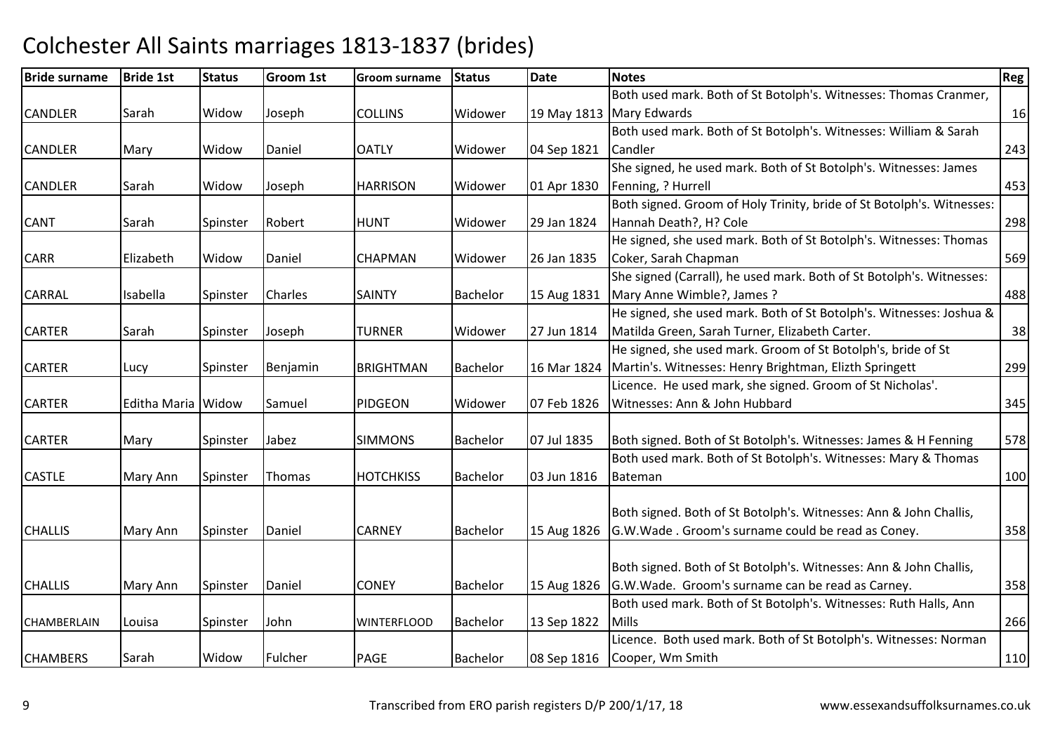| <b>Bride surname</b> | <b>Bride 1st</b>   | <b>Status</b> | <b>Groom 1st</b> | <b>Groom surname</b> | <b>Status</b>   | <b>Date</b> | <b>Notes</b>                                                          | Reg |
|----------------------|--------------------|---------------|------------------|----------------------|-----------------|-------------|-----------------------------------------------------------------------|-----|
|                      |                    |               |                  |                      |                 |             | Both used mark. Both of St Botolph's. Witnesses: Thomas Cranmer,      |     |
| <b>CANDLER</b>       | Sarah              | Widow         | Joseph           | <b>COLLINS</b>       | Widower         |             | 19 May 1813   Mary Edwards                                            | 16  |
|                      |                    |               |                  |                      |                 |             | Both used mark. Both of St Botolph's. Witnesses: William & Sarah      |     |
| <b>CANDLER</b>       | Mary               | Widow         | Daniel           | <b>OATLY</b>         | Widower         | 04 Sep 1821 | Candler                                                               | 243 |
|                      |                    |               |                  |                      |                 |             | She signed, he used mark. Both of St Botolph's. Witnesses: James      |     |
| <b>CANDLER</b>       | Sarah              | Widow         | Joseph           | <b>HARRISON</b>      | Widower         | 01 Apr 1830 | Fenning, ? Hurrell                                                    | 453 |
|                      |                    |               |                  |                      |                 |             | Both signed. Groom of Holy Trinity, bride of St Botolph's. Witnesses: |     |
| <b>CANT</b>          | Sarah              | Spinster      | Robert           | <b>HUNT</b>          | Widower         | 29 Jan 1824 | Hannah Death?, H? Cole                                                | 298 |
|                      |                    |               |                  |                      |                 |             | He signed, she used mark. Both of St Botolph's. Witnesses: Thomas     |     |
| CARR                 | Elizabeth          | Widow         | Daniel           | <b>CHAPMAN</b>       | Widower         | 26 Jan 1835 | Coker, Sarah Chapman                                                  | 569 |
|                      |                    |               |                  |                      |                 |             | She signed (Carrall), he used mark. Both of St Botolph's. Witnesses:  |     |
| CARRAL               | Isabella           | Spinster      | Charles          | <b>SAINTY</b>        | <b>Bachelor</b> | 15 Aug 1831 | Mary Anne Wimble?, James?                                             | 488 |
|                      |                    |               |                  |                      |                 |             | He signed, she used mark. Both of St Botolph's. Witnesses: Joshua &   |     |
| <b>CARTER</b>        | Sarah              | Spinster      | Joseph           | <b>TURNER</b>        | Widower         | 27 Jun 1814 | Matilda Green, Sarah Turner, Elizabeth Carter.                        | 38  |
|                      |                    |               |                  |                      |                 |             | He signed, she used mark. Groom of St Botolph's, bride of St          |     |
| <b>CARTER</b>        | Lucy               | Spinster      | Benjamin         | <b>BRIGHTMAN</b>     | <b>Bachelor</b> | 16 Mar 1824 | Martin's. Witnesses: Henry Brightman, Elizth Springett                | 299 |
|                      |                    |               |                  |                      |                 |             | Licence. He used mark, she signed. Groom of St Nicholas'.             |     |
| <b>CARTER</b>        | Editha Maria Widow |               | Samuel           | PIDGEON              | Widower         | 07 Feb 1826 | Witnesses: Ann & John Hubbard                                         | 345 |
|                      |                    |               |                  |                      |                 |             |                                                                       |     |
| <b>CARTER</b>        | Mary               | Spinster      | Jabez            | <b>SIMMONS</b>       | <b>Bachelor</b> | 07 Jul 1835 | Both signed. Both of St Botolph's. Witnesses: James & H Fenning       | 578 |
|                      |                    |               |                  |                      |                 |             | Both used mark. Both of St Botolph's. Witnesses: Mary & Thomas        |     |
| <b>CASTLE</b>        | Mary Ann           | Spinster      | Thomas           | <b>HOTCHKISS</b>     | <b>Bachelor</b> | 03 Jun 1816 | Bateman                                                               | 100 |
|                      |                    |               |                  |                      |                 |             |                                                                       |     |
|                      |                    |               |                  |                      |                 |             | Both signed. Both of St Botolph's. Witnesses: Ann & John Challis,     |     |
| <b>CHALLIS</b>       | Mary Ann           | Spinster      | Daniel           | <b>CARNEY</b>        | <b>Bachelor</b> | 15 Aug 1826 | G.W. Wade. Groom's surname could be read as Coney.                    | 358 |
|                      |                    |               |                  |                      |                 |             |                                                                       |     |
|                      |                    |               |                  |                      |                 |             | Both signed. Both of St Botolph's. Witnesses: Ann & John Challis,     |     |
| <b>CHALLIS</b>       | Mary Ann           | Spinster      | Daniel           | <b>CONEY</b>         | <b>Bachelor</b> | 15 Aug 1826 | G.W.Wade. Groom's surname can be read as Carney.                      | 358 |
|                      |                    |               |                  |                      |                 |             | Both used mark. Both of St Botolph's. Witnesses: Ruth Halls, Ann      |     |
| CHAMBERLAIN          | Louisa             | Spinster      | John             | <b>WINTERFLOOD</b>   | Bachelor        | 13 Sep 1822 | Mills                                                                 | 266 |
|                      |                    |               |                  |                      |                 |             | Licence. Both used mark. Both of St Botolph's. Witnesses: Norman      |     |
| <b>CHAMBERS</b>      | Sarah              | Widow         | Fulcher          | <b>PAGE</b>          | <b>Bachelor</b> | 08 Sep 1816 | Cooper, Wm Smith                                                      | 110 |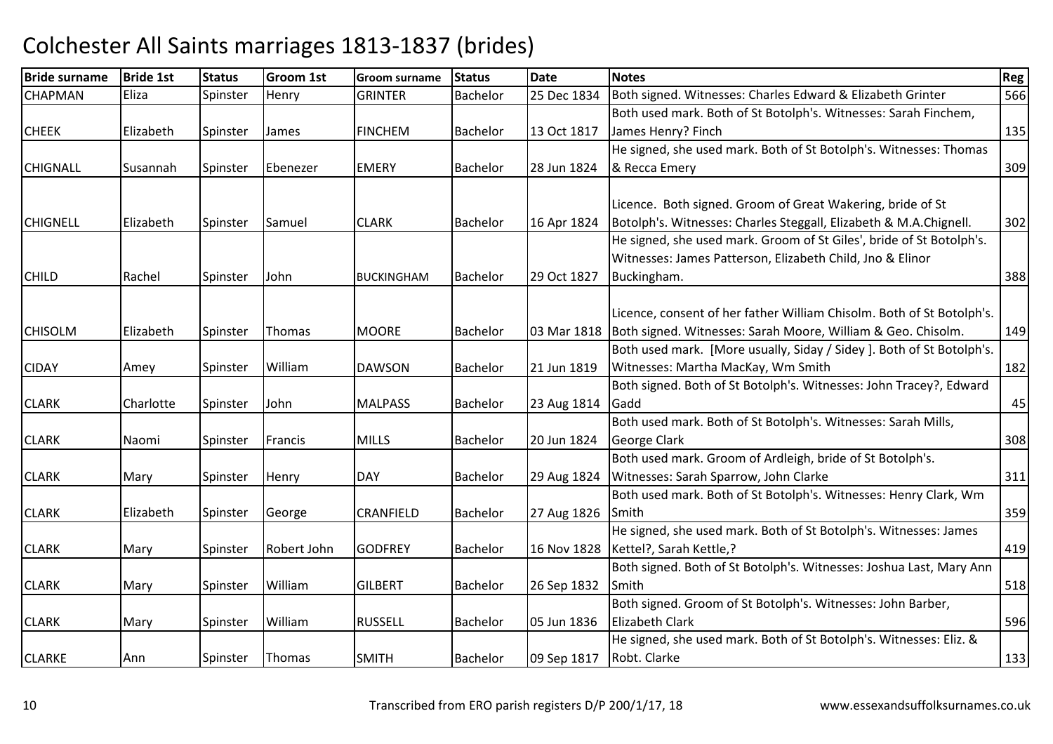| <b>Bride surname</b> | <b>Bride 1st</b> | <b>Status</b> | <b>Groom 1st</b> | <b>Groom surname</b> | <b>Status</b>   | <b>Date</b> | <b>Notes</b>                                                          | Reg |
|----------------------|------------------|---------------|------------------|----------------------|-----------------|-------------|-----------------------------------------------------------------------|-----|
| <b>CHAPMAN</b>       | Eliza            | Spinster      | Henry            | <b>GRINTER</b>       | <b>Bachelor</b> | 25 Dec 1834 | Both signed. Witnesses: Charles Edward & Elizabeth Grinter            | 566 |
|                      |                  |               |                  |                      |                 |             | Both used mark. Both of St Botolph's. Witnesses: Sarah Finchem,       |     |
| <b>CHEEK</b>         | Elizabeth        | Spinster      | James            | <b>FINCHEM</b>       | <b>Bachelor</b> | 13 Oct 1817 | James Henry? Finch                                                    | 135 |
|                      |                  |               |                  |                      |                 |             | He signed, she used mark. Both of St Botolph's. Witnesses: Thomas     |     |
| <b>CHIGNALL</b>      | Susannah         | Spinster      | Ebenezer         | <b>EMERY</b>         | <b>Bachelor</b> | 28 Jun 1824 | & Recca Emery                                                         | 309 |
|                      |                  |               |                  |                      |                 |             |                                                                       |     |
|                      |                  |               |                  |                      |                 |             | Licence. Both signed. Groom of Great Wakering, bride of St            |     |
| <b>CHIGNELL</b>      | Elizabeth        | Spinster      | Samuel           | <b>CLARK</b>         | <b>Bachelor</b> | 16 Apr 1824 | Botolph's. Witnesses: Charles Steggall, Elizabeth & M.A.Chignell.     | 302 |
|                      |                  |               |                  |                      |                 |             | He signed, she used mark. Groom of St Giles', bride of St Botolph's.  |     |
|                      |                  |               |                  |                      |                 |             | Witnesses: James Patterson, Elizabeth Child, Jno & Elinor             |     |
| <b>CHILD</b>         | Rachel           | Spinster      | John             | <b>BUCKINGHAM</b>    | <b>Bachelor</b> | 29 Oct 1827 | Buckingham.                                                           | 388 |
|                      |                  |               |                  |                      |                 |             |                                                                       |     |
|                      |                  |               |                  |                      |                 |             | Licence, consent of her father William Chisolm. Both of St Botolph's. |     |
| <b>CHISOLM</b>       | Elizabeth        | Spinster      | Thomas           | <b>MOORE</b>         | <b>Bachelor</b> | 03 Mar 1818 | Both signed. Witnesses: Sarah Moore, William & Geo. Chisolm.          | 149 |
|                      |                  |               |                  |                      |                 |             | Both used mark. [More usually, Siday / Sidey]. Both of St Botolph's.  |     |
| <b>CIDAY</b>         | Amey             | Spinster      | William          | <b>DAWSON</b>        | <b>Bachelor</b> | 21 Jun 1819 | Witnesses: Martha MacKay, Wm Smith                                    | 182 |
|                      |                  |               |                  |                      |                 |             | Both signed. Both of St Botolph's. Witnesses: John Tracey?, Edward    |     |
| <b>CLARK</b>         | Charlotte        | Spinster      | John             | <b>MALPASS</b>       | <b>Bachelor</b> | 23 Aug 1814 | Gadd                                                                  | 45  |
|                      |                  |               |                  |                      |                 |             | Both used mark. Both of St Botolph's. Witnesses: Sarah Mills,         |     |
| <b>CLARK</b>         | Naomi            | Spinster      | Francis          | <b>MILLS</b>         | <b>Bachelor</b> | 20 Jun 1824 | George Clark                                                          | 308 |
|                      |                  |               |                  |                      |                 |             | Both used mark. Groom of Ardleigh, bride of St Botolph's.             |     |
| <b>CLARK</b>         | Mary             | Spinster      | Henry            | <b>DAY</b>           | <b>Bachelor</b> | 29 Aug 1824 | Witnesses: Sarah Sparrow, John Clarke                                 | 311 |
|                      |                  |               |                  |                      |                 |             | Both used mark. Both of St Botolph's. Witnesses: Henry Clark, Wm      |     |
| <b>CLARK</b>         | Elizabeth        | Spinster      | George           | <b>CRANFIELD</b>     | Bachelor        | 27 Aug 1826 | Smith                                                                 | 359 |
|                      |                  |               |                  |                      |                 |             | He signed, she used mark. Both of St Botolph's. Witnesses: James      |     |
| <b>CLARK</b>         | Mary             | Spinster      | Robert John      | <b>GODFREY</b>       | <b>Bachelor</b> | 16 Nov 1828 | Kettel?, Sarah Kettle,?                                               | 419 |
|                      |                  |               |                  |                      |                 |             | Both signed. Both of St Botolph's. Witnesses: Joshua Last, Mary Ann   |     |
| <b>CLARK</b>         | Mary             | Spinster      | William          | <b>GILBERT</b>       | <b>Bachelor</b> | 26 Sep 1832 | Smith                                                                 | 518 |
|                      |                  |               |                  |                      |                 |             | Both signed. Groom of St Botolph's. Witnesses: John Barber,           |     |
| <b>CLARK</b>         | Mary             | Spinster      | William          | <b>RUSSELL</b>       | <b>Bachelor</b> | 05 Jun 1836 | <b>Elizabeth Clark</b>                                                | 596 |
|                      |                  |               |                  |                      |                 |             | He signed, she used mark. Both of St Botolph's. Witnesses: Eliz. &    |     |
| <b>CLARKE</b>        | Ann              | Spinster      | Thomas           | <b>SMITH</b>         | Bachelor        | 09 Sep 1817 | Robt. Clarke                                                          | 133 |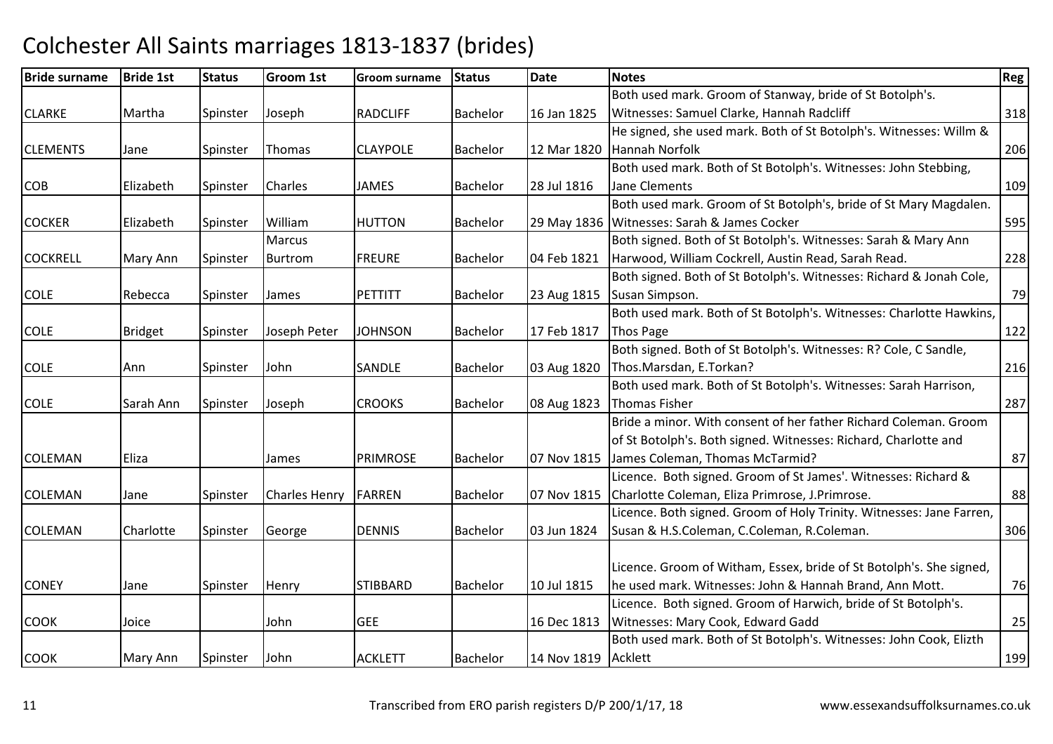| <b>Bride surname</b> | <b>Bride 1st</b> | <b>Status</b> | Groom 1st            | <b>Groom surname</b> | <b>Status</b>   | <b>Date</b>         | <b>Notes</b>                                                         | <b>Reg</b> |
|----------------------|------------------|---------------|----------------------|----------------------|-----------------|---------------------|----------------------------------------------------------------------|------------|
|                      |                  |               |                      |                      |                 |                     | Both used mark. Groom of Stanway, bride of St Botolph's.             |            |
| <b>CLARKE</b>        | Martha           | Spinster      | Joseph               | <b>RADCLIFF</b>      | <b>Bachelor</b> | 16 Jan 1825         | Witnesses: Samuel Clarke, Hannah Radcliff                            | 318        |
|                      |                  |               |                      |                      |                 |                     | He signed, she used mark. Both of St Botolph's. Witnesses: Willm &   |            |
| <b>CLEMENTS</b>      | Jane             | Spinster      | Thomas               | <b>CLAYPOLE</b>      | <b>Bachelor</b> | 12 Mar 1820         | Hannah Norfolk                                                       | 206        |
|                      |                  |               |                      |                      |                 |                     | Both used mark. Both of St Botolph's. Witnesses: John Stebbing,      |            |
| <b>COB</b>           | Elizabeth        | Spinster      | Charles              | <b>JAMES</b>         | <b>Bachelor</b> | 28 Jul 1816         | Jane Clements                                                        | 109        |
|                      |                  |               |                      |                      |                 |                     | Both used mark. Groom of St Botolph's, bride of St Mary Magdalen.    |            |
| <b>COCKER</b>        | Elizabeth        | Spinster      | William              | <b>HUTTON</b>        | <b>Bachelor</b> |                     | 29 May 1836 Witnesses: Sarah & James Cocker                          | 595        |
|                      |                  |               | Marcus               |                      |                 |                     | Both signed. Both of St Botolph's. Witnesses: Sarah & Mary Ann       |            |
| <b>COCKRELL</b>      | Mary Ann         | Spinster      | Burtrom              | <b>FREURE</b>        | Bachelor        | 04 Feb 1821         | Harwood, William Cockrell, Austin Read, Sarah Read.                  | 228        |
|                      |                  |               |                      |                      |                 |                     | Both signed. Both of St Botolph's. Witnesses: Richard & Jonah Cole,  |            |
| <b>COLE</b>          | Rebecca          | Spinster      | James                | <b>PETTITT</b>       | <b>Bachelor</b> | 23 Aug 1815         | Susan Simpson.                                                       | 79         |
|                      |                  |               |                      |                      |                 |                     | Both used mark. Both of St Botolph's. Witnesses: Charlotte Hawkins,  |            |
| <b>COLE</b>          | <b>Bridget</b>   | Spinster      | Joseph Peter         | <b>JOHNSON</b>       | <b>Bachelor</b> | 17 Feb 1817         | <b>Thos Page</b>                                                     | 122        |
|                      |                  |               |                      |                      |                 |                     | Both signed. Both of St Botolph's. Witnesses: R? Cole, C Sandle,     |            |
| <b>COLE</b>          | Ann              | Spinster      | John                 | SANDLE               | <b>Bachelor</b> | 03 Aug 1820         | Thos.Marsdan, E.Torkan?                                              | 216        |
|                      |                  |               |                      |                      |                 |                     | Both used mark. Both of St Botolph's. Witnesses: Sarah Harrison,     |            |
| <b>COLE</b>          | Sarah Ann        | Spinster      | Joseph               | <b>CROOKS</b>        | <b>Bachelor</b> | 08 Aug 1823         | <b>Thomas Fisher</b>                                                 | 287        |
|                      |                  |               |                      |                      |                 |                     | Bride a minor. With consent of her father Richard Coleman. Groom     |            |
|                      |                  |               |                      |                      |                 |                     | of St Botolph's. Both signed. Witnesses: Richard, Charlotte and      |            |
| <b>COLEMAN</b>       | Eliza            |               | James                | <b>PRIMROSE</b>      | <b>Bachelor</b> | 07 Nov 1815         | James Coleman, Thomas McTarmid?                                      | 87         |
|                      |                  |               |                      |                      |                 |                     | Licence. Both signed. Groom of St James'. Witnesses: Richard &       |            |
| <b>COLEMAN</b>       | Jane             | Spinster      | <b>Charles Henry</b> | FARREN               | <b>Bachelor</b> | 07 Nov 1815         | Charlotte Coleman, Eliza Primrose, J.Primrose.                       | 88         |
|                      |                  |               |                      |                      |                 |                     | Licence. Both signed. Groom of Holy Trinity. Witnesses: Jane Farren, |            |
| <b>COLEMAN</b>       | Charlotte        | Spinster      | George               | <b>DENNIS</b>        | <b>Bachelor</b> | 03 Jun 1824         | Susan & H.S.Coleman, C.Coleman, R.Coleman.                           | 306        |
|                      |                  |               |                      |                      |                 |                     |                                                                      |            |
|                      |                  |               |                      |                      |                 |                     | Licence. Groom of Witham, Essex, bride of St Botolph's. She signed,  |            |
| <b>CONEY</b>         | Jane             | Spinster      | Henry                | <b>STIBBARD</b>      | <b>Bachelor</b> | 10 Jul 1815         | he used mark. Witnesses: John & Hannah Brand, Ann Mott.              | 76         |
|                      |                  |               |                      |                      |                 |                     | Licence. Both signed. Groom of Harwich, bride of St Botolph's.       |            |
| <b>COOK</b>          | Joice            |               | John                 | <b>GEE</b>           |                 | 16 Dec 1813         | Witnesses: Mary Cook, Edward Gadd                                    | 25         |
|                      |                  |               |                      |                      |                 |                     | Both used mark. Both of St Botolph's. Witnesses: John Cook, Elizth   |            |
| <b>COOK</b>          | Mary Ann         | Spinster      | John                 | <b>ACKLETT</b>       | <b>Bachelor</b> | 14 Nov 1819 Acklett |                                                                      | 199        |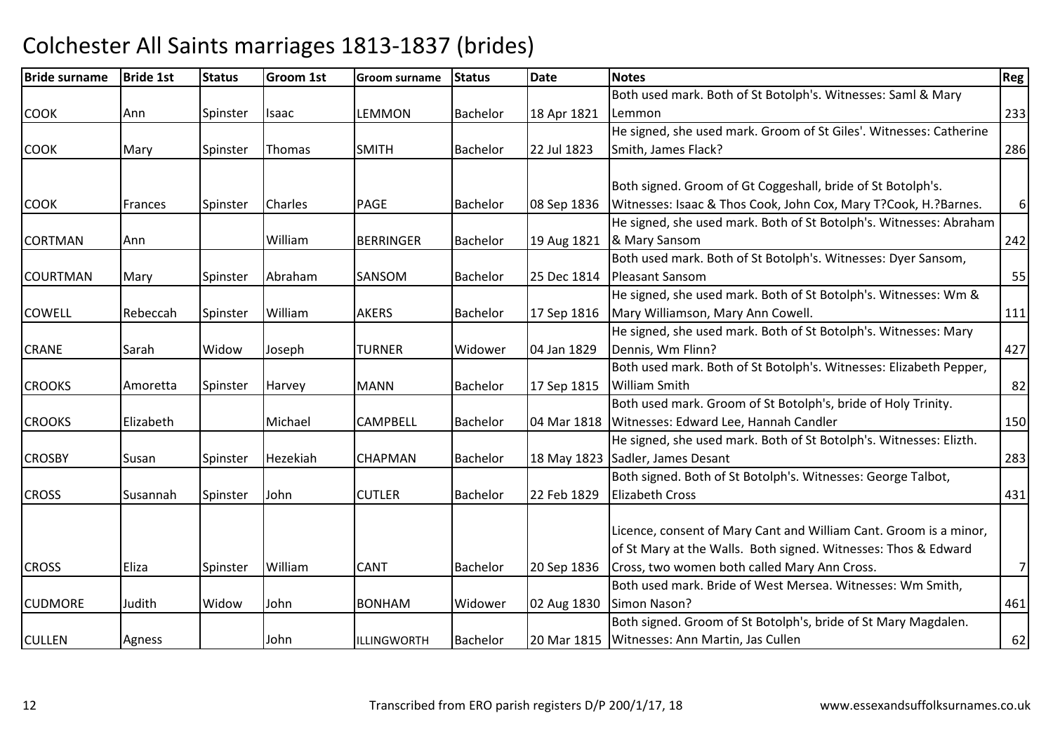| <b>Bride surname</b> | <b>Bride 1st</b> | <b>Status</b> | <b>Groom 1st</b> | <b>Groom surname</b> | <b>Status</b>   | <b>Date</b> | <b>Notes</b>                                                       | Reg      |
|----------------------|------------------|---------------|------------------|----------------------|-----------------|-------------|--------------------------------------------------------------------|----------|
|                      |                  |               |                  |                      |                 |             | Both used mark. Both of St Botolph's. Witnesses: Saml & Mary       |          |
| <b>COOK</b>          | Ann              | Spinster      | Isaac            | <b>LEMMON</b>        | <b>Bachelor</b> | 18 Apr 1821 | Lemmon                                                             | 233      |
|                      |                  |               |                  |                      |                 |             | He signed, she used mark. Groom of St Giles'. Witnesses: Catherine |          |
| <b>COOK</b>          | Mary             | Spinster      | <b>Thomas</b>    | <b>SMITH</b>         | <b>Bachelor</b> | 22 Jul 1823 | Smith, James Flack?                                                | 286      |
|                      |                  |               |                  |                      |                 |             |                                                                    |          |
|                      |                  |               |                  |                      |                 |             | Both signed. Groom of Gt Coggeshall, bride of St Botolph's.        |          |
| <b>COOK</b>          | Frances          | Spinster      | <b>Charles</b>   | <b>PAGE</b>          | <b>Bachelor</b> | 08 Sep 1836 | Witnesses: Isaac & Thos Cook, John Cox, Mary T?Cook, H.?Barnes.    | $6 \mid$ |
|                      |                  |               |                  |                      |                 |             | He signed, she used mark. Both of St Botolph's. Witnesses: Abraham |          |
| <b>CORTMAN</b>       | Ann              |               | William          | <b>BERRINGER</b>     | Bachelor        | 19 Aug 1821 | & Mary Sansom                                                      | 242      |
|                      |                  |               |                  |                      |                 |             | Both used mark. Both of St Botolph's. Witnesses: Dyer Sansom,      |          |
| <b>COURTMAN</b>      | Mary             | Spinster      | Abraham          | SANSOM               | Bachelor        | 25 Dec 1814 | Pleasant Sansom                                                    | 55       |
|                      |                  |               |                  |                      |                 |             | He signed, she used mark. Both of St Botolph's. Witnesses: Wm &    |          |
| COWELL               | Rebeccah         | Spinster      | William          | <b>AKERS</b>         | <b>Bachelor</b> | 17 Sep 1816 | Mary Williamson, Mary Ann Cowell.                                  | 111      |
|                      |                  |               |                  |                      |                 |             | He signed, she used mark. Both of St Botolph's. Witnesses: Mary    |          |
| <b>CRANE</b>         | Sarah            | Widow         | Joseph           | <b>TURNER</b>        | Widower         | 04 Jan 1829 | Dennis, Wm Flinn?                                                  | 427      |
|                      |                  |               |                  |                      |                 |             | Both used mark. Both of St Botolph's. Witnesses: Elizabeth Pepper, |          |
| <b>CROOKS</b>        | Amoretta         | Spinster      | Harvey           | <b>MANN</b>          | <b>Bachelor</b> | 17 Sep 1815 | <b>William Smith</b>                                               | 82       |
|                      |                  |               |                  |                      |                 |             | Both used mark. Groom of St Botolph's, bride of Holy Trinity.      |          |
| <b>CROOKS</b>        | Elizabeth        |               | Michael          | <b>CAMPBELL</b>      | <b>Bachelor</b> | 04 Mar 1818 | Witnesses: Edward Lee, Hannah Candler                              | 150      |
|                      |                  |               |                  |                      |                 |             | He signed, she used mark. Both of St Botolph's. Witnesses: Elizth. |          |
| <b>CROSBY</b>        | Susan            | Spinster      | Hezekiah         | <b>CHAPMAN</b>       | <b>Bachelor</b> | 18 May 1823 | Sadler, James Desant                                               | 283      |
|                      |                  |               |                  |                      |                 |             | Both signed. Both of St Botolph's. Witnesses: George Talbot,       |          |
| <b>CROSS</b>         | Susannah         | Spinster      | John             | <b>CUTLER</b>        | Bachelor        | 22 Feb 1829 | <b>Elizabeth Cross</b>                                             | 431      |
|                      |                  |               |                  |                      |                 |             |                                                                    |          |
|                      |                  |               |                  |                      |                 |             | Licence, consent of Mary Cant and William Cant. Groom is a minor,  |          |
|                      |                  |               |                  |                      |                 |             | of St Mary at the Walls. Both signed. Witnesses: Thos & Edward     |          |
| <b>CROSS</b>         | Eliza            | Spinster      | William          | <b>CANT</b>          | <b>Bachelor</b> | 20 Sep 1836 | Cross, two women both called Mary Ann Cross.                       | 7        |
|                      |                  |               |                  |                      |                 |             | Both used mark. Bride of West Mersea. Witnesses: Wm Smith,         |          |
| <b>CUDMORE</b>       | Judith           | Widow         | John             | <b>BONHAM</b>        | Widower         | 02 Aug 1830 | Simon Nason?                                                       | 461      |
|                      |                  |               |                  |                      |                 |             | Both signed. Groom of St Botolph's, bride of St Mary Magdalen.     |          |
| <b>CULLEN</b>        | Agness           |               | John             | ILLINGWORTH          | Bachelor        | 20 Mar 1815 | Witnesses: Ann Martin, Jas Cullen                                  | 62       |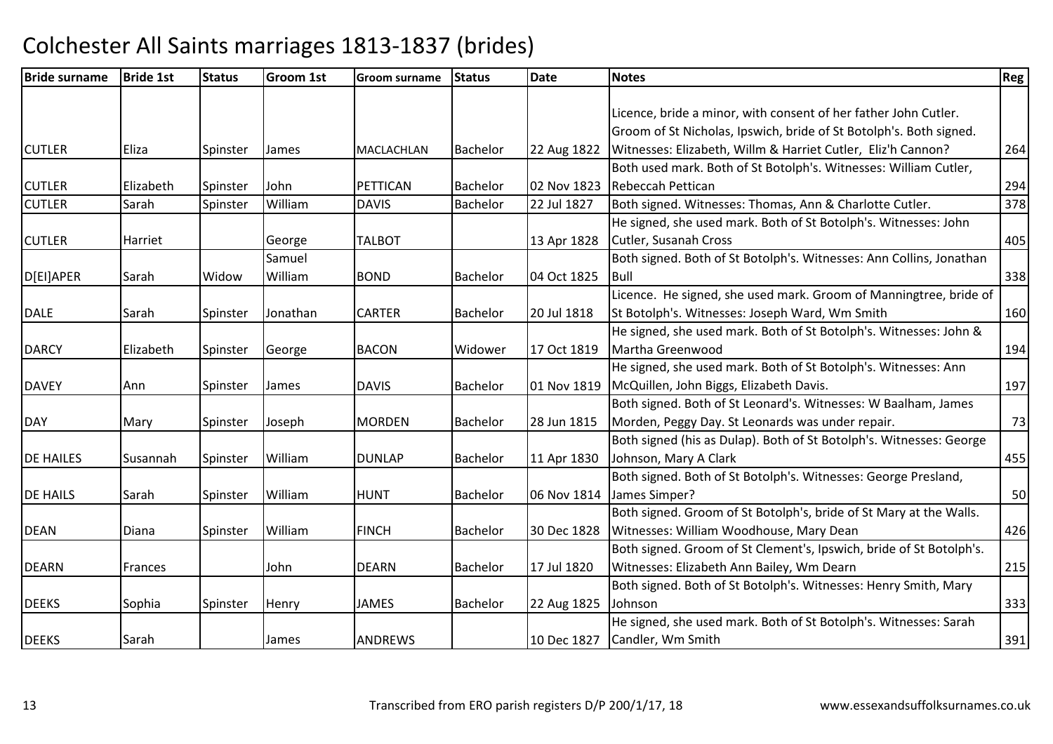| <b>Bride surname</b> | <b>Bride 1st</b> | <b>Status</b> | <b>Groom 1st</b> | <b>Groom surname</b> | <b>Status</b>   | <b>Date</b> | <b>Notes</b>                                                        | Reg |
|----------------------|------------------|---------------|------------------|----------------------|-----------------|-------------|---------------------------------------------------------------------|-----|
|                      |                  |               |                  |                      |                 |             |                                                                     |     |
|                      |                  |               |                  |                      |                 |             | Licence, bride a minor, with consent of her father John Cutler.     |     |
|                      |                  |               |                  |                      |                 |             | Groom of St Nicholas, Ipswich, bride of St Botolph's. Both signed.  |     |
| <b>CUTLER</b>        | Eliza            | Spinster      | James            | MACLACHLAN           | <b>Bachelor</b> | 22 Aug 1822 | Witnesses: Elizabeth, Willm & Harriet Cutler, Eliz'h Cannon?        | 264 |
|                      |                  |               |                  |                      |                 |             | Both used mark. Both of St Botolph's. Witnesses: William Cutler,    |     |
| <b>CUTLER</b>        | Elizabeth        | Spinster      | John             | <b>PETTICAN</b>      | <b>Bachelor</b> | 02 Nov 1823 | <b>Rebeccah Pettican</b>                                            | 294 |
| <b>CUTLER</b>        | Sarah            | Spinster      | William          | <b>DAVIS</b>         | <b>Bachelor</b> | 22 Jul 1827 | Both signed. Witnesses: Thomas, Ann & Charlotte Cutler.             | 378 |
|                      |                  |               |                  |                      |                 |             | He signed, she used mark. Both of St Botolph's. Witnesses: John     |     |
| <b>CUTLER</b>        | Harriet          |               | George           | <b>TALBOT</b>        |                 | 13 Apr 1828 | Cutler, Susanah Cross                                               | 405 |
|                      |                  |               | Samuel           |                      |                 |             | Both signed. Both of St Botolph's. Witnesses: Ann Collins, Jonathan |     |
| D[EI]APER            | Sarah            | Widow         | William          | <b>BOND</b>          | <b>Bachelor</b> | 04 Oct 1825 | Bull                                                                | 338 |
|                      |                  |               |                  |                      |                 |             | Licence. He signed, she used mark. Groom of Manningtree, bride of   |     |
| <b>DALE</b>          | Sarah            | Spinster      | Jonathan         | <b>CARTER</b>        | <b>Bachelor</b> | 20 Jul 1818 | St Botolph's. Witnesses: Joseph Ward, Wm Smith                      | 160 |
|                      |                  |               |                  |                      |                 |             | He signed, she used mark. Both of St Botolph's. Witnesses: John &   |     |
| <b>DARCY</b>         | Elizabeth        | Spinster      | George           | <b>BACON</b>         | Widower         | 17 Oct 1819 | Martha Greenwood                                                    | 194 |
|                      |                  |               |                  |                      |                 |             | He signed, she used mark. Both of St Botolph's. Witnesses: Ann      |     |
| <b>DAVEY</b>         | Ann              | Spinster      | James            | <b>DAVIS</b>         | <b>Bachelor</b> | 01 Nov 1819 | McQuillen, John Biggs, Elizabeth Davis.                             | 197 |
|                      |                  |               |                  |                      |                 |             | Both signed. Both of St Leonard's. Witnesses: W Baalham, James      |     |
| <b>DAY</b>           | Mary             | Spinster      | Joseph           | <b>MORDEN</b>        | <b>Bachelor</b> | 28 Jun 1815 | Morden, Peggy Day. St Leonards was under repair.                    | 73  |
|                      |                  |               |                  |                      |                 |             | Both signed (his as Dulap). Both of St Botolph's. Witnesses: George |     |
| <b>DE HAILES</b>     | Susannah         | Spinster      | William          | <b>DUNLAP</b>        | <b>Bachelor</b> | 11 Apr 1830 | Johnson, Mary A Clark                                               | 455 |
|                      |                  |               |                  |                      |                 |             | Both signed. Both of St Botolph's. Witnesses: George Presland,      |     |
| <b>DE HAILS</b>      | Sarah            | Spinster      | William          | <b>HUNT</b>          | <b>Bachelor</b> | 06 Nov 1814 | James Simper?                                                       | 50  |
|                      |                  |               |                  |                      |                 |             | Both signed. Groom of St Botolph's, bride of St Mary at the Walls.  |     |
| <b>DEAN</b>          | Diana            | Spinster      | William          | <b>FINCH</b>         | <b>Bachelor</b> | 30 Dec 1828 | Witnesses: William Woodhouse, Mary Dean                             | 426 |
|                      |                  |               |                  |                      |                 |             | Both signed. Groom of St Clement's, Ipswich, bride of St Botolph's. |     |
| <b>DEARN</b>         | <b>Frances</b>   |               | John             | <b>DEARN</b>         | Bachelor        | 17 Jul 1820 | Witnesses: Elizabeth Ann Bailey, Wm Dearn                           | 215 |
|                      |                  |               |                  |                      |                 |             | Both signed. Both of St Botolph's. Witnesses: Henry Smith, Mary     |     |
| <b>DEEKS</b>         | Sophia           | Spinster      | Henry            | <b>JAMES</b>         | <b>Bachelor</b> | 22 Aug 1825 | Johnson                                                             | 333 |
|                      |                  |               |                  |                      |                 |             | He signed, she used mark. Both of St Botolph's. Witnesses: Sarah    |     |
| <b>DEEKS</b>         | Sarah            |               | James            | <b>ANDREWS</b>       |                 | 10 Dec 1827 | Candler, Wm Smith                                                   | 391 |
|                      |                  |               |                  |                      |                 |             |                                                                     |     |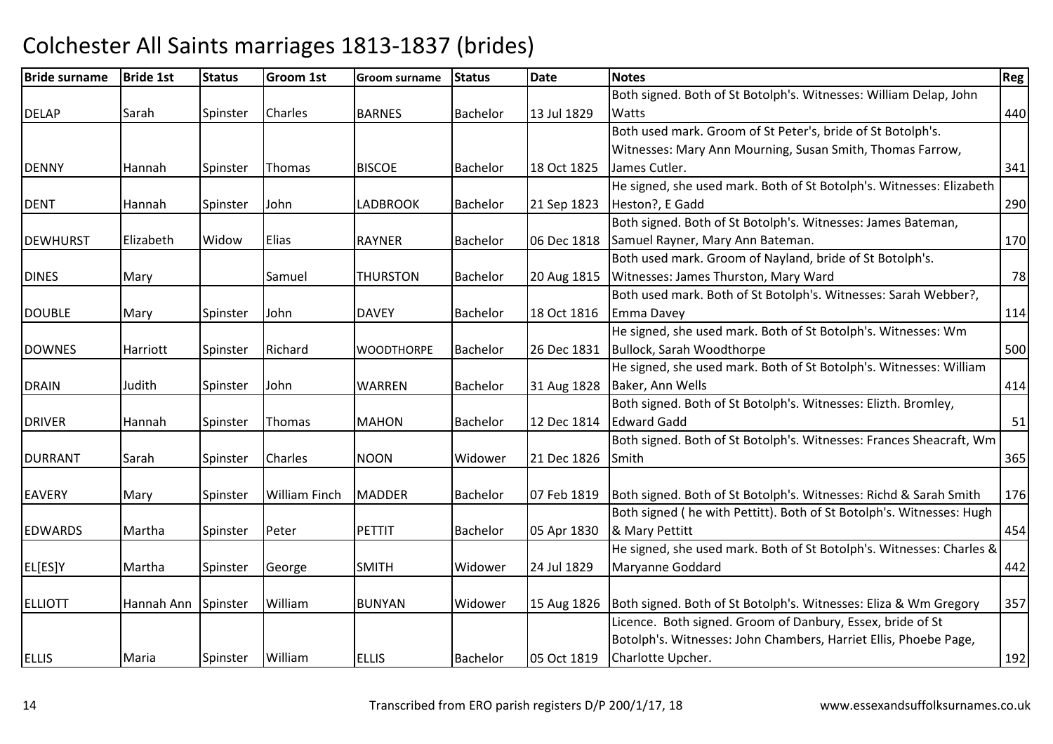| <b>Bride surname</b> | <b>Bride 1st</b> | <b>Status</b> | <b>Groom 1st</b>     | <b>Groom surname</b> | <b>Status</b>   | <b>Date</b> | <b>Notes</b>                                                          | Reg |
|----------------------|------------------|---------------|----------------------|----------------------|-----------------|-------------|-----------------------------------------------------------------------|-----|
|                      |                  |               |                      |                      |                 |             | Both signed. Both of St Botolph's. Witnesses: William Delap, John     |     |
| <b>DELAP</b>         | Sarah            | Spinster      | Charles              | <b>BARNES</b>        | Bachelor        | 13 Jul 1829 | Watts                                                                 | 440 |
|                      |                  |               |                      |                      |                 |             | Both used mark. Groom of St Peter's, bride of St Botolph's.           |     |
|                      |                  |               |                      |                      |                 |             | Witnesses: Mary Ann Mourning, Susan Smith, Thomas Farrow,             |     |
| <b>DENNY</b>         | Hannah           | Spinster      | Thomas               | <b>BISCOE</b>        | <b>Bachelor</b> | 18 Oct 1825 | James Cutler.                                                         | 341 |
|                      |                  |               |                      |                      |                 |             | He signed, she used mark. Both of St Botolph's. Witnesses: Elizabeth  |     |
| <b>DENT</b>          | Hannah           | Spinster      | John                 | <b>LADBROOK</b>      | Bachelor        | 21 Sep 1823 | Heston?, E Gadd                                                       | 290 |
|                      |                  |               |                      |                      |                 |             | Both signed. Both of St Botolph's. Witnesses: James Bateman,          |     |
| <b>DEWHURST</b>      | Elizabeth        | Widow         | <b>Elias</b>         | <b>RAYNER</b>        | <b>Bachelor</b> | 06 Dec 1818 | Samuel Rayner, Mary Ann Bateman.                                      | 170 |
|                      |                  |               |                      |                      |                 |             | Both used mark. Groom of Nayland, bride of St Botolph's.              |     |
| <b>DINES</b>         | Mary             |               | Samuel               | <b>THURSTON</b>      | Bachelor        | 20 Aug 1815 | Witnesses: James Thurston, Mary Ward                                  | 78  |
|                      |                  |               |                      |                      |                 |             | Both used mark. Both of St Botolph's. Witnesses: Sarah Webber?,       |     |
| <b>DOUBLE</b>        | Mary             | Spinster      | John                 | <b>DAVEY</b>         | <b>Bachelor</b> | 18 Oct 1816 | Emma Davey                                                            | 114 |
|                      |                  |               |                      |                      |                 |             | He signed, she used mark. Both of St Botolph's. Witnesses: Wm         |     |
| <b>DOWNES</b>        | Harriott         | Spinster      | Richard              | <b>WOODTHORPE</b>    | Bachelor        | 26 Dec 1831 | Bullock, Sarah Woodthorpe                                             | 500 |
|                      |                  |               |                      |                      |                 |             | He signed, she used mark. Both of St Botolph's. Witnesses: William    |     |
| <b>DRAIN</b>         | Judith           | Spinster      | John                 | WARREN               | Bachelor        | 31 Aug 1828 | Baker, Ann Wells                                                      | 414 |
|                      |                  |               |                      |                      |                 |             | Both signed. Both of St Botolph's. Witnesses: Elizth. Bromley,        |     |
| <b>DRIVER</b>        | Hannah           | Spinster      | Thomas               | <b>MAHON</b>         | Bachelor        | 12 Dec 1814 | <b>Edward Gadd</b>                                                    | 51  |
|                      |                  |               |                      |                      |                 |             | Both signed. Both of St Botolph's. Witnesses: Frances Sheacraft, Wm   |     |
| <b>DURRANT</b>       | Sarah            | Spinster      | <b>Charles</b>       | <b>NOON</b>          | Widower         | 21 Dec 1826 | Smith                                                                 | 365 |
|                      |                  |               |                      |                      |                 |             |                                                                       |     |
| <b>EAVERY</b>        | Mary             | Spinster      | <b>William Finch</b> | <b>MADDER</b>        | <b>Bachelor</b> | 07 Feb 1819 | Both signed. Both of St Botolph's. Witnesses: Richd & Sarah Smith     | 176 |
|                      |                  |               |                      |                      |                 |             | Both signed ( he with Pettitt). Both of St Botolph's. Witnesses: Hugh |     |
| <b>EDWARDS</b>       | Martha           | Spinster      | Peter                | <b>PETTIT</b>        | <b>Bachelor</b> | 05 Apr 1830 | & Mary Pettitt                                                        | 454 |
|                      |                  |               |                      |                      |                 |             | He signed, she used mark. Both of St Botolph's. Witnesses: Charles &  |     |
| EL[ES]Y              | Martha           | Spinster      | George               | <b>SMITH</b>         | Widower         | 24 Jul 1829 | Maryanne Goddard                                                      | 442 |
|                      |                  |               |                      |                      |                 |             |                                                                       |     |
| <b>ELLIOTT</b>       | Hannah Ann       | Spinster      | William              | <b>BUNYAN</b>        | Widower         | 15 Aug 1826 | Both signed. Both of St Botolph's. Witnesses: Eliza & Wm Gregory      | 357 |
|                      |                  |               |                      |                      |                 |             | Licence. Both signed. Groom of Danbury, Essex, bride of St            |     |
|                      |                  |               |                      |                      |                 |             | Botolph's. Witnesses: John Chambers, Harriet Ellis, Phoebe Page,      |     |
| <b>ELLIS</b>         | Maria            | Spinster      | William              | <b>ELLIS</b>         | <b>Bachelor</b> | 05 Oct 1819 | Charlotte Upcher.                                                     | 192 |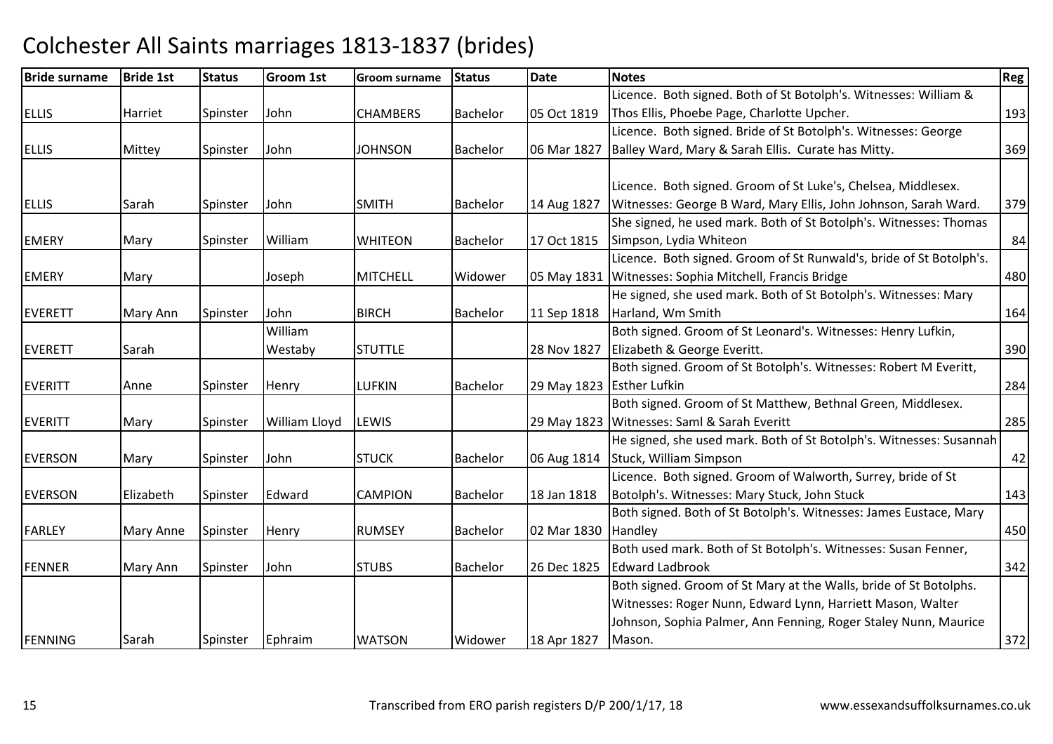| <b>Bride surname</b> | <b>Bride 1st</b> | <b>Status</b> | <b>Groom 1st</b>     | <b>Groom surname</b> | <b>Status</b>   | <b>Date</b> | <b>Notes</b>                                                        | Reg |
|----------------------|------------------|---------------|----------------------|----------------------|-----------------|-------------|---------------------------------------------------------------------|-----|
|                      |                  |               |                      |                      |                 |             | Licence. Both signed. Both of St Botolph's. Witnesses: William &    |     |
| <b>ELLIS</b>         | Harriet          | Spinster      | John                 | <b>CHAMBERS</b>      | <b>Bachelor</b> | 05 Oct 1819 | Thos Ellis, Phoebe Page, Charlotte Upcher.                          | 193 |
|                      |                  |               |                      |                      |                 |             | Licence. Both signed. Bride of St Botolph's. Witnesses: George      |     |
| <b>ELLIS</b>         | Mittey           | Spinster      | John                 | <b>JOHNSON</b>       | <b>Bachelor</b> | 06 Mar 1827 | Balley Ward, Mary & Sarah Ellis. Curate has Mitty.                  | 369 |
|                      |                  |               |                      |                      |                 |             |                                                                     |     |
|                      |                  |               |                      |                      |                 |             | Licence. Both signed. Groom of St Luke's, Chelsea, Middlesex.       |     |
| <b>ELLIS</b>         | Sarah            | Spinster      | John                 | <b>SMITH</b>         | <b>Bachelor</b> | 14 Aug 1827 | Witnesses: George B Ward, Mary Ellis, John Johnson, Sarah Ward.     | 379 |
|                      |                  |               |                      |                      |                 |             | She signed, he used mark. Both of St Botolph's. Witnesses: Thomas   |     |
| <b>EMERY</b>         | Mary             | Spinster      | William              | <b>WHITEON</b>       | <b>Bachelor</b> | 17 Oct 1815 | Simpson, Lydia Whiteon                                              | 84  |
|                      |                  |               |                      |                      |                 |             | Licence. Both signed. Groom of St Runwald's, bride of St Botolph's. |     |
| <b>EMERY</b>         | Mary             |               | Joseph               | <b>MITCHELL</b>      | Widower         | 05 May 1831 | Witnesses: Sophia Mitchell, Francis Bridge                          | 480 |
|                      |                  |               |                      |                      |                 |             | He signed, she used mark. Both of St Botolph's. Witnesses: Mary     |     |
| EVERETT              | Mary Ann         | Spinster      | John                 | <b>BIRCH</b>         | Bachelor        | 11 Sep 1818 | Harland, Wm Smith                                                   | 164 |
|                      |                  |               | William              |                      |                 |             | Both signed. Groom of St Leonard's. Witnesses: Henry Lufkin,        |     |
| <b>EVERETT</b>       | Sarah            |               | Westaby              | <b>STUTTLE</b>       |                 | 28 Nov 1827 | Elizabeth & George Everitt.                                         | 390 |
|                      |                  |               |                      |                      |                 |             | Both signed. Groom of St Botolph's. Witnesses: Robert M Everitt,    |     |
| <b>EVERITT</b>       | Anne             | Spinster      | Henry                | <b>LUFKIN</b>        | <b>Bachelor</b> |             | 29 May 1823 Esther Lufkin                                           | 284 |
|                      |                  |               |                      |                      |                 |             | Both signed. Groom of St Matthew, Bethnal Green, Middlesex.         |     |
| <b>EVERITT</b>       | Mary             | Spinster      | <b>William Lloyd</b> | LEWIS                |                 | 29 May 1823 | Witnesses: Saml & Sarah Everitt                                     | 285 |
|                      |                  |               |                      |                      |                 |             | He signed, she used mark. Both of St Botolph's. Witnesses: Susannah |     |
| <b>EVERSON</b>       | Mary             | Spinster      | John                 | <b>STUCK</b>         | Bachelor        | 06 Aug 1814 | Stuck, William Simpson                                              | 42  |
|                      |                  |               |                      |                      |                 |             | Licence. Both signed. Groom of Walworth, Surrey, bride of St        |     |
| <b>EVERSON</b>       | Elizabeth        | Spinster      | Edward               | <b>CAMPION</b>       | <b>Bachelor</b> | 18 Jan 1818 | Botolph's. Witnesses: Mary Stuck, John Stuck                        | 143 |
|                      |                  |               |                      |                      |                 |             | Both signed. Both of St Botolph's. Witnesses: James Eustace, Mary   |     |
| <b>FARLEY</b>        | Mary Anne        | Spinster      | Henry                | <b>RUMSEY</b>        | <b>Bachelor</b> | 02 Mar 1830 | Handley                                                             | 450 |
|                      |                  |               |                      |                      |                 |             | Both used mark. Both of St Botolph's. Witnesses: Susan Fenner,      |     |
| FENNER               | Mary Ann         | Spinster      | John                 | <b>STUBS</b>         | <b>Bachelor</b> | 26 Dec 1825 | <b>Edward Ladbrook</b>                                              | 342 |
|                      |                  |               |                      |                      |                 |             | Both signed. Groom of St Mary at the Walls, bride of St Botolphs.   |     |
|                      |                  |               |                      |                      |                 |             | Witnesses: Roger Nunn, Edward Lynn, Harriett Mason, Walter          |     |
|                      |                  |               |                      |                      |                 |             | Johnson, Sophia Palmer, Ann Fenning, Roger Staley Nunn, Maurice     |     |
| FENNING              | Sarah            | Spinster      | Ephraim              | <b>WATSON</b>        | Widower         | 18 Apr 1827 | Mason.                                                              | 372 |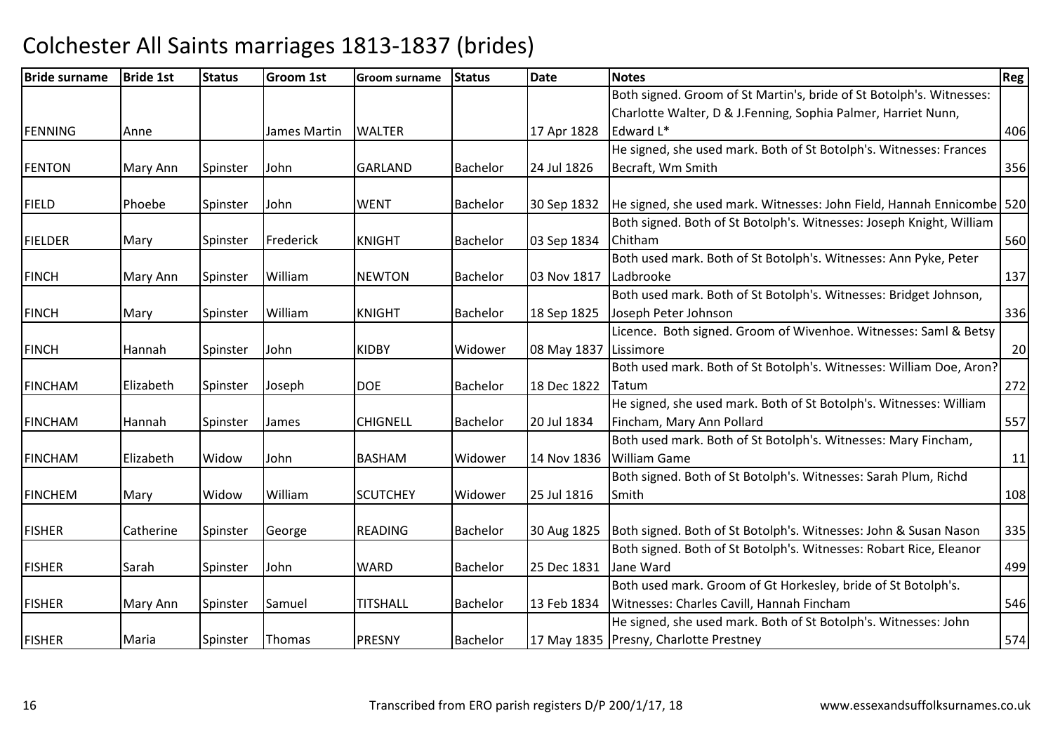| <b>Bride surname</b> | <b>Bride 1st</b> | <b>Status</b> | <b>Groom 1st</b> | Groom surname   | <b>Status</b>   | <b>Date</b> | <b>Notes</b>                                                            | Reg |
|----------------------|------------------|---------------|------------------|-----------------|-----------------|-------------|-------------------------------------------------------------------------|-----|
|                      |                  |               |                  |                 |                 |             | Both signed. Groom of St Martin's, bride of St Botolph's. Witnesses:    |     |
|                      |                  |               |                  |                 |                 |             | Charlotte Walter, D & J.Fenning, Sophia Palmer, Harriet Nunn,           |     |
| <b>FENNING</b>       | Anne             |               | James Martin     | <b>WALTER</b>   |                 | 17 Apr 1828 | Edward L*                                                               | 406 |
|                      |                  |               |                  |                 |                 |             | He signed, she used mark. Both of St Botolph's. Witnesses: Frances      |     |
| <b>FENTON</b>        | Mary Ann         | Spinster      | John             | <b>GARLAND</b>  | <b>Bachelor</b> | 24 Jul 1826 | Becraft, Wm Smith                                                       | 356 |
| <b>FIELD</b>         | Phoebe           | Spinster      | John             | <b>WENT</b>     | <b>Bachelor</b> | 30 Sep 1832 | He signed, she used mark. Witnesses: John Field, Hannah Ennicombe   520 |     |
|                      |                  |               |                  |                 |                 |             | Both signed. Both of St Botolph's. Witnesses: Joseph Knight, William    |     |
| <b>FIELDER</b>       | Mary             | Spinster      | Frederick        | <b>KNIGHT</b>   | <b>Bachelor</b> | 03 Sep 1834 | Chitham                                                                 | 560 |
|                      |                  |               |                  |                 |                 |             | Both used mark. Both of St Botolph's. Witnesses: Ann Pyke, Peter        |     |
| <b>FINCH</b>         | Mary Ann         | Spinster      | William          | <b>NEWTON</b>   | <b>Bachelor</b> | 03 Nov 1817 | Ladbrooke                                                               | 137 |
|                      |                  |               |                  |                 |                 |             | Both used mark. Both of St Botolph's. Witnesses: Bridget Johnson,       |     |
| <b>FINCH</b>         | Mary             | Spinster      | William          | <b>KNIGHT</b>   | <b>Bachelor</b> | 18 Sep 1825 | Joseph Peter Johnson                                                    | 336 |
|                      |                  |               |                  |                 |                 |             | Licence. Both signed. Groom of Wivenhoe. Witnesses: Saml & Betsy        |     |
| <b>FINCH</b>         | Hannah           | Spinster      | John             | <b>KIDBY</b>    | Widower         | 08 May 1837 | Lissimore                                                               | 20  |
|                      |                  |               |                  |                 |                 |             | Both used mark. Both of St Botolph's. Witnesses: William Doe, Aron?     |     |
| <b>FINCHAM</b>       | Elizabeth        | Spinster      | Joseph           | <b>DOE</b>      | <b>Bachelor</b> | 18 Dec 1822 | Tatum                                                                   | 272 |
|                      |                  |               |                  |                 |                 |             | He signed, she used mark. Both of St Botolph's. Witnesses: William      |     |
| <b>FINCHAM</b>       | Hannah           | Spinster      | James            | <b>CHIGNELL</b> | <b>Bachelor</b> | 20 Jul 1834 | Fincham, Mary Ann Pollard                                               | 557 |
|                      |                  |               |                  |                 |                 |             | Both used mark. Both of St Botolph's. Witnesses: Mary Fincham,          |     |
| <b>FINCHAM</b>       | Elizabeth        | Widow         | John             | <b>BASHAM</b>   | Widower         | 14 Nov 1836 | <b>William Game</b>                                                     | 11  |
|                      |                  |               |                  |                 |                 |             | Both signed. Both of St Botolph's. Witnesses: Sarah Plum, Richd         |     |
| <b>FINCHEM</b>       | Mary             | Widow         | William          | <b>SCUTCHEY</b> | Widower         | 25 Jul 1816 | Smith                                                                   | 108 |
|                      |                  |               |                  |                 |                 |             |                                                                         |     |
| <b>FISHER</b>        | Catherine        | Spinster      | George           | <b>READING</b>  | <b>Bachelor</b> | 30 Aug 1825 | Both signed. Both of St Botolph's. Witnesses: John & Susan Nason        | 335 |
|                      |                  |               |                  |                 |                 |             | Both signed. Both of St Botolph's. Witnesses: Robart Rice, Eleanor      |     |
| <b>FISHER</b>        | Sarah            | Spinster      | John             | <b>WARD</b>     | Bachelor        | 25 Dec 1831 | Jane Ward                                                               | 499 |
|                      |                  |               |                  |                 |                 |             | Both used mark. Groom of Gt Horkesley, bride of St Botolph's.           |     |
| <b>FISHER</b>        | Mary Ann         | Spinster      | Samuel           | <b>TITSHALL</b> | <b>Bachelor</b> | 13 Feb 1834 | Witnesses: Charles Cavill, Hannah Fincham                               | 546 |
|                      |                  |               |                  |                 |                 |             | He signed, she used mark. Both of St Botolph's. Witnesses: John         |     |
| <b>FISHER</b>        | Maria            | Spinster      | Thomas           | <b>PRESNY</b>   | <b>Bachelor</b> |             | 17 May 1835 Presny, Charlotte Prestney                                  | 574 |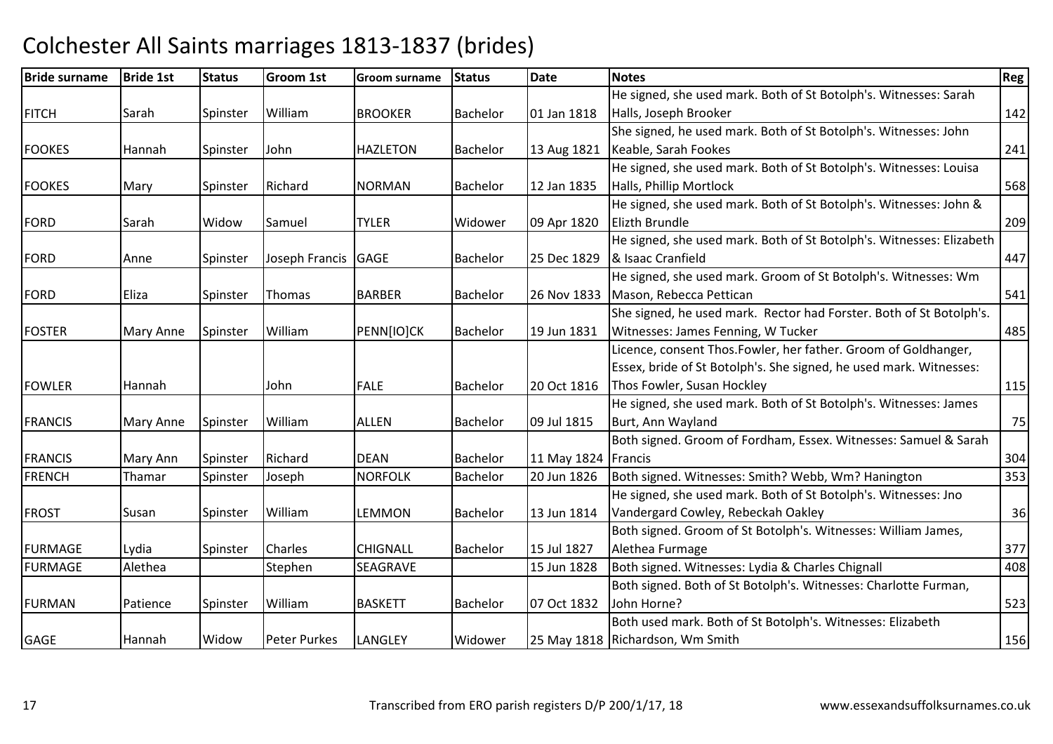| <b>Bride surname</b> | <b>Bride 1st</b> | <b>Status</b> | <b>Groom 1st</b>    | Groom surname   | <b>Status</b>   | <b>Date</b> | <b>Notes</b>                                                         | Reg |
|----------------------|------------------|---------------|---------------------|-----------------|-----------------|-------------|----------------------------------------------------------------------|-----|
|                      |                  |               |                     |                 |                 |             | He signed, she used mark. Both of St Botolph's. Witnesses: Sarah     |     |
| <b>FITCH</b>         | Sarah            | Spinster      | William             | <b>BROOKER</b>  | <b>Bachelor</b> | 01 Jan 1818 | Halls, Joseph Brooker                                                | 142 |
|                      |                  |               |                     |                 |                 |             | She signed, he used mark. Both of St Botolph's. Witnesses: John      |     |
| <b>FOOKES</b>        | Hannah           | Spinster      | John                | <b>HAZLETON</b> | <b>Bachelor</b> | 13 Aug 1821 | Keable, Sarah Fookes                                                 | 241 |
|                      |                  |               |                     |                 |                 |             | He signed, she used mark. Both of St Botolph's. Witnesses: Louisa    |     |
| <b>FOOKES</b>        | Mary             | Spinster      | Richard             | <b>NORMAN</b>   | <b>Bachelor</b> | 12 Jan 1835 | Halls, Phillip Mortlock                                              | 568 |
|                      |                  |               |                     |                 |                 |             | He signed, she used mark. Both of St Botolph's. Witnesses: John &    |     |
| <b>FORD</b>          | Sarah            | Widow         | Samuel              | <b>TYLER</b>    | Widower         | 09 Apr 1820 | Elizth Brundle                                                       | 209 |
|                      |                  |               |                     |                 |                 |             | He signed, she used mark. Both of St Botolph's. Witnesses: Elizabeth |     |
| <b>FORD</b>          | Anne             | Spinster      | Joseph Francis      | <b>GAGE</b>     | <b>Bachelor</b> | 25 Dec 1829 | & Isaac Cranfield                                                    | 447 |
|                      |                  |               |                     |                 |                 |             | He signed, she used mark. Groom of St Botolph's. Witnesses: Wm       |     |
| <b>FORD</b>          | Eliza            | Spinster      | Thomas              | <b>BARBER</b>   | <b>Bachelor</b> | 26 Nov 1833 | Mason, Rebecca Pettican                                              | 541 |
|                      |                  |               |                     |                 |                 |             | She signed, he used mark. Rector had Forster. Both of St Botolph's.  |     |
| <b>FOSTER</b>        | Mary Anne        | Spinster      | William             | PENN[IO]CK      | <b>Bachelor</b> | 19 Jun 1831 | Witnesses: James Fenning, W Tucker                                   | 485 |
|                      |                  |               |                     |                 |                 |             | Licence, consent Thos.Fowler, her father. Groom of Goldhanger,       |     |
|                      |                  |               |                     |                 |                 |             | Essex, bride of St Botolph's. She signed, he used mark. Witnesses:   |     |
| <b>FOWLER</b>        | Hannah           |               | John                | <b>FALE</b>     | <b>Bachelor</b> | 20 Oct 1816 | Thos Fowler, Susan Hockley                                           | 115 |
|                      |                  |               |                     |                 |                 |             | He signed, she used mark. Both of St Botolph's. Witnesses: James     |     |
| <b>FRANCIS</b>       | Mary Anne        | Spinster      | William             | <b>ALLEN</b>    | <b>Bachelor</b> | 09 Jul 1815 | Burt, Ann Wayland                                                    | 75  |
|                      |                  |               |                     |                 |                 |             | Both signed. Groom of Fordham, Essex. Witnesses: Samuel & Sarah      |     |
| <b>FRANCIS</b>       | Mary Ann         | Spinster      | Richard             | <b>DEAN</b>     | <b>Bachelor</b> | 11 May 1824 | Francis                                                              | 304 |
| <b>FRENCH</b>        | Thamar           | Spinster      | Joseph              | <b>NORFOLK</b>  | <b>Bachelor</b> | 20 Jun 1826 | Both signed. Witnesses: Smith? Webb, Wm? Hanington                   | 353 |
|                      |                  |               |                     |                 |                 |             | He signed, she used mark. Both of St Botolph's. Witnesses: Jno       |     |
| <b>FROST</b>         | Susan            | Spinster      | William             | LEMMON          | <b>Bachelor</b> | 13 Jun 1814 | Vandergard Cowley, Rebeckah Oakley                                   | 36  |
|                      |                  |               |                     |                 |                 |             | Both signed. Groom of St Botolph's. Witnesses: William James,        |     |
| <b>FURMAGE</b>       | Lydia            | Spinster      | Charles             | <b>CHIGNALL</b> | <b>Bachelor</b> | 15 Jul 1827 | Alethea Furmage                                                      | 377 |
| <b>FURMAGE</b>       | Alethea          |               | Stephen             | SEAGRAVE        |                 | 15 Jun 1828 | Both signed. Witnesses: Lydia & Charles Chignall                     | 408 |
|                      |                  |               |                     |                 |                 |             | Both signed. Both of St Botolph's. Witnesses: Charlotte Furman,      |     |
| <b>FURMAN</b>        | Patience         | Spinster      | William             | <b>BASKETT</b>  | <b>Bachelor</b> | 07 Oct 1832 | John Horne?                                                          | 523 |
|                      |                  |               |                     |                 |                 |             | Both used mark. Both of St Botolph's. Witnesses: Elizabeth           |     |
| GAGE                 | Hannah           | Widow         | <b>Peter Purkes</b> | <b>LANGLEY</b>  | Widower         |             | 25 May 1818 Richardson, Wm Smith                                     | 156 |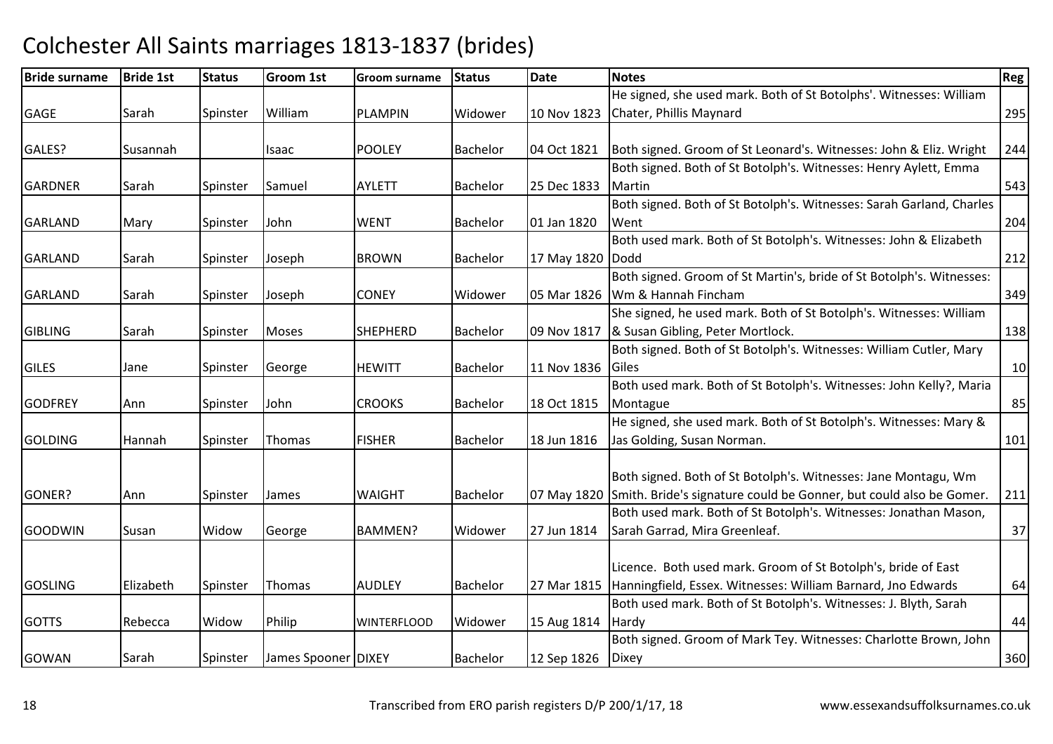| He signed, she used mark. Both of St Botolphs'. Witnesses: William<br>William<br>Chater, Phillis Maynard<br>Sarah<br><b>PLAMPIN</b><br>Widower<br><b>GAGE</b><br>Spinster<br>10 Nov 1823<br>Both signed. Groom of St Leonard's. Witnesses: John & Eliz. Wright<br>GALES?<br><b>POOLEY</b><br>Bachelor<br>04 Oct 1821<br>Susannah<br>Isaac<br>Both signed. Both of St Botolph's. Witnesses: Henry Aylett, Emma<br><b>GARDNER</b><br><b>AYLETT</b><br>Bachelor<br>Martin<br>Sarah<br>Samuel<br>25 Dec 1833<br>Spinster | 295 |
|----------------------------------------------------------------------------------------------------------------------------------------------------------------------------------------------------------------------------------------------------------------------------------------------------------------------------------------------------------------------------------------------------------------------------------------------------------------------------------------------------------------------|-----|
|                                                                                                                                                                                                                                                                                                                                                                                                                                                                                                                      |     |
|                                                                                                                                                                                                                                                                                                                                                                                                                                                                                                                      |     |
|                                                                                                                                                                                                                                                                                                                                                                                                                                                                                                                      |     |
|                                                                                                                                                                                                                                                                                                                                                                                                                                                                                                                      | 244 |
|                                                                                                                                                                                                                                                                                                                                                                                                                                                                                                                      |     |
|                                                                                                                                                                                                                                                                                                                                                                                                                                                                                                                      | 543 |
| Both signed. Both of St Botolph's. Witnesses: Sarah Garland, Charles                                                                                                                                                                                                                                                                                                                                                                                                                                                 |     |
| John<br><b>WENT</b><br><b>Bachelor</b><br>01 Jan 1820<br>Went<br><b>GARLAND</b><br>Mary<br>Spinster                                                                                                                                                                                                                                                                                                                                                                                                                  | 204 |
| Both used mark. Both of St Botolph's. Witnesses: John & Elizabeth                                                                                                                                                                                                                                                                                                                                                                                                                                                    |     |
| <b>GARLAND</b><br>Joseph<br><b>BROWN</b><br><b>Bachelor</b><br>17 May 1820<br>Dodd<br>Sarah<br>Spinster                                                                                                                                                                                                                                                                                                                                                                                                              | 212 |
| Both signed. Groom of St Martin's, bride of St Botolph's. Witnesses:                                                                                                                                                                                                                                                                                                                                                                                                                                                 |     |
| <b>CONEY</b><br>Wm & Hannah Fincham<br><b>GARLAND</b><br>Sarah<br>Joseph<br>Widower<br>05 Mar 1826<br>Spinster                                                                                                                                                                                                                                                                                                                                                                                                       | 349 |
| She signed, he used mark. Both of St Botolph's. Witnesses: William                                                                                                                                                                                                                                                                                                                                                                                                                                                   |     |
| & Susan Gibling, Peter Mortlock.<br><b>GIBLING</b><br><b>SHEPHERD</b><br>09 Nov 1817<br>Sarah<br>Moses<br>Bachelor<br>Spinster                                                                                                                                                                                                                                                                                                                                                                                       | 138 |
| Both signed. Both of St Botolph's. Witnesses: William Cutler, Mary                                                                                                                                                                                                                                                                                                                                                                                                                                                   |     |
| <b>GILES</b><br><b>HEWITT</b><br><b>Bachelor</b><br>11 Nov 1836<br>Spinster<br>George<br><b>IGiles</b><br>Jane                                                                                                                                                                                                                                                                                                                                                                                                       | 10  |
| Both used mark. Both of St Botolph's. Witnesses: John Kelly?, Maria                                                                                                                                                                                                                                                                                                                                                                                                                                                  |     |
| <b>GODFREY</b><br><b>CROOKS</b><br>John<br>Bachelor<br>18 Oct 1815<br>Montague<br>Spinster<br>Ann                                                                                                                                                                                                                                                                                                                                                                                                                    | 85  |
| He signed, she used mark. Both of St Botolph's. Witnesses: Mary &                                                                                                                                                                                                                                                                                                                                                                                                                                                    |     |
| Jas Golding, Susan Norman.<br><b>FISHER</b><br><b>Bachelor</b><br>18 Jun 1816<br><b>GOLDING</b><br>Hannah<br>Spinster<br>Thomas                                                                                                                                                                                                                                                                                                                                                                                      | 101 |
|                                                                                                                                                                                                                                                                                                                                                                                                                                                                                                                      |     |
| Both signed. Both of St Botolph's. Witnesses: Jane Montagu, Wm                                                                                                                                                                                                                                                                                                                                                                                                                                                       |     |
| 07 May 1820 Smith. Bride's signature could be Gonner, but could also be Gomer.<br>GONER?<br><b>Bachelor</b><br><b>WAIGHT</b><br>Ann<br>Spinster<br><b>James</b>                                                                                                                                                                                                                                                                                                                                                      | 211 |
| Both used mark. Both of St Botolph's. Witnesses: Jonathan Mason,                                                                                                                                                                                                                                                                                                                                                                                                                                                     |     |
| <b>GOODWIN</b><br>Widower<br>27 Jun 1814<br>Sarah Garrad, Mira Greenleaf.<br><b>BAMMEN?</b><br>Susan<br>Widow<br>George                                                                                                                                                                                                                                                                                                                                                                                              | 37  |
|                                                                                                                                                                                                                                                                                                                                                                                                                                                                                                                      |     |
| Licence. Both used mark. Groom of St Botolph's, bride of East                                                                                                                                                                                                                                                                                                                                                                                                                                                        |     |
| Hanningfield, Essex. Witnesses: William Barnard, Jno Edwards<br>Elizabeth<br><b>GOSLING</b><br><b>Bachelor</b><br>Spinster<br>Thomas<br><b>AUDLEY</b><br>27 Mar 1815                                                                                                                                                                                                                                                                                                                                                 | 64  |
| Both used mark. Both of St Botolph's. Witnesses: J. Blyth, Sarah                                                                                                                                                                                                                                                                                                                                                                                                                                                     |     |
| <b>GOTTS</b><br>Philip<br>Widower<br>Hardy<br>Rebecca<br>Widow<br><b>WINTERFLOOD</b><br>15 Aug 1814                                                                                                                                                                                                                                                                                                                                                                                                                  | 44  |
| Both signed. Groom of Mark Tey. Witnesses: Charlotte Brown, John                                                                                                                                                                                                                                                                                                                                                                                                                                                     |     |
| <b>GOWAN</b><br>James Spooner DIXEY<br><b>Bachelor</b><br>12 Sep 1826<br>Sarah<br>Spinster<br><b>Dixey</b>                                                                                                                                                                                                                                                                                                                                                                                                           | 360 |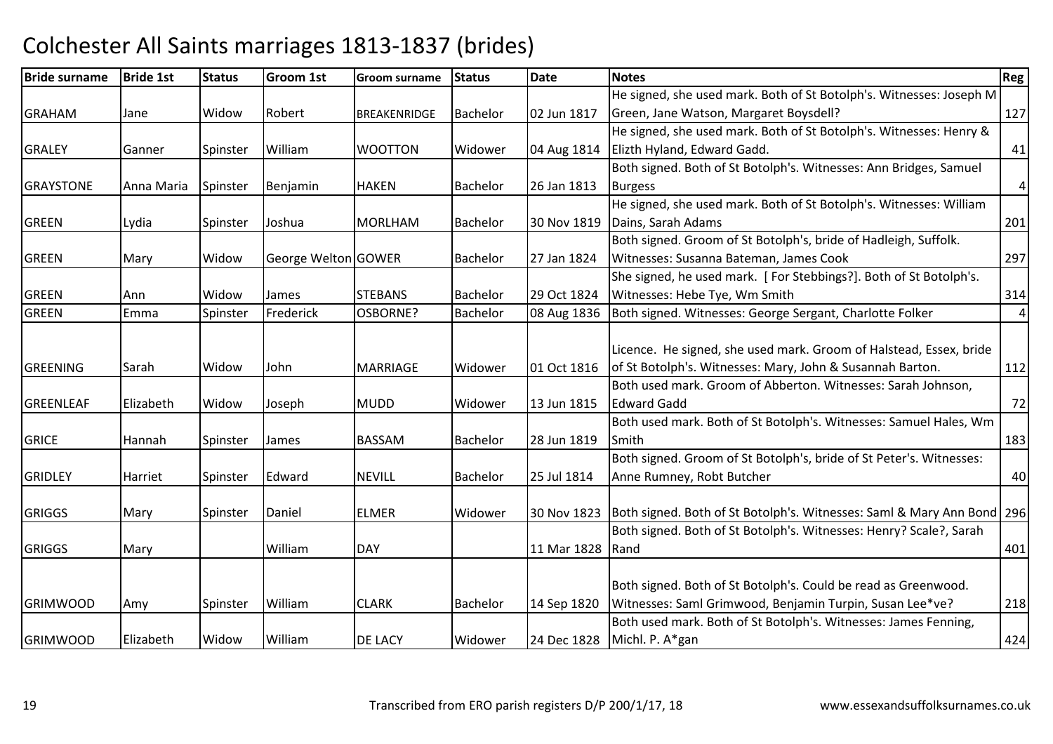| <b>Bride surname</b> | <b>Bride 1st</b> | <b>Status</b> | <b>Groom 1st</b>    | <b>Groom surname</b> | <b>Status</b>   | <b>Date</b> | <b>Notes</b>                                                           | Reg              |
|----------------------|------------------|---------------|---------------------|----------------------|-----------------|-------------|------------------------------------------------------------------------|------------------|
|                      |                  |               |                     |                      |                 |             | He signed, she used mark. Both of St Botolph's. Witnesses: Joseph M    |                  |
| <b>GRAHAM</b>        | Jane             | Widow         | Robert              | <b>BREAKENRIDGE</b>  | Bachelor        | 02 Jun 1817 | Green, Jane Watson, Margaret Boysdell?                                 | 127              |
|                      |                  |               |                     |                      |                 |             | He signed, she used mark. Both of St Botolph's. Witnesses: Henry &     |                  |
| <b>GRALEY</b>        | Ganner           | Spinster      | William             | <b>WOOTTON</b>       | Widower         | 04 Aug 1814 | Elizth Hyland, Edward Gadd.                                            | 41               |
|                      |                  |               |                     |                      |                 |             | Both signed. Both of St Botolph's. Witnesses: Ann Bridges, Samuel      |                  |
| <b>GRAYSTONE</b>     | Anna Maria       | Spinster      | Benjamin            | <b>HAKEN</b>         | <b>Bachelor</b> | 26 Jan 1813 | <b>Burgess</b>                                                         | $\boldsymbol{4}$ |
|                      |                  |               |                     |                      |                 |             | He signed, she used mark. Both of St Botolph's. Witnesses: William     |                  |
| <b>GREEN</b>         | Lydia            | Spinster      | Joshua              | <b>MORLHAM</b>       | Bachelor        | 30 Nov 1819 | Dains, Sarah Adams                                                     | 201              |
|                      |                  |               |                     |                      |                 |             | Both signed. Groom of St Botolph's, bride of Hadleigh, Suffolk.        |                  |
| <b>GREEN</b>         | Mary             | Widow         | George Welton GOWER |                      | <b>Bachelor</b> | 27 Jan 1824 | Witnesses: Susanna Bateman, James Cook                                 | 297              |
|                      |                  |               |                     |                      |                 |             | She signed, he used mark. [For Stebbings?]. Both of St Botolph's.      |                  |
| <b>GREEN</b>         | Ann              | Widow         | James               | <b>STEBANS</b>       | <b>Bachelor</b> | 29 Oct 1824 | Witnesses: Hebe Tye, Wm Smith                                          | 314              |
| <b>GREEN</b>         | Emma             | Spinster      | Frederick           | OSBORNE?             | Bachelor        | 08 Aug 1836 | Both signed. Witnesses: George Sergant, Charlotte Folker               | $\vert$          |
|                      |                  |               |                     |                      |                 |             |                                                                        |                  |
|                      |                  |               |                     |                      |                 |             | Licence. He signed, she used mark. Groom of Halstead, Essex, bride     |                  |
| <b>GREENING</b>      | Sarah            | Widow         | John                | <b>MARRIAGE</b>      | Widower         | 01 Oct 1816 | of St Botolph's. Witnesses: Mary, John & Susannah Barton.              | 112              |
|                      |                  |               |                     |                      |                 |             | Both used mark. Groom of Abberton. Witnesses: Sarah Johnson,           |                  |
| GREENLEAF            | Elizabeth        | Widow         | Joseph              | <b>MUDD</b>          | Widower         | 13 Jun 1815 | <b>Edward Gadd</b>                                                     | 72               |
|                      |                  |               |                     |                      |                 |             | Both used mark. Both of St Botolph's. Witnesses: Samuel Hales, Wm      |                  |
| <b>GRICE</b>         | Hannah           | Spinster      | James               | <b>BASSAM</b>        | <b>Bachelor</b> | 28 Jun 1819 | Smith                                                                  | 183              |
|                      |                  |               |                     |                      |                 |             | Both signed. Groom of St Botolph's, bride of St Peter's. Witnesses:    |                  |
| <b>GRIDLEY</b>       | Harriet          | Spinster      | Edward              | <b>NEVILL</b>        | <b>Bachelor</b> | 25 Jul 1814 | Anne Rumney, Robt Butcher                                              | 40               |
|                      |                  |               |                     |                      |                 |             |                                                                        |                  |
| <b>GRIGGS</b>        | Mary             | Spinster      | Daniel              | <b>ELMER</b>         | Widower         | 30 Nov 1823 | Both signed. Both of St Botolph's. Witnesses: Saml & Mary Ann Bond 296 |                  |
|                      |                  |               |                     |                      |                 |             | Both signed. Both of St Botolph's. Witnesses: Henry? Scale?, Sarah     |                  |
| <b>GRIGGS</b>        | Mary             |               | William             | <b>DAY</b>           |                 | 11 Mar 1828 | <b>Rand</b>                                                            | 401              |
|                      |                  |               |                     |                      |                 |             |                                                                        |                  |
|                      |                  |               |                     |                      |                 |             | Both signed. Both of St Botolph's. Could be read as Greenwood.         |                  |
| <b>GRIMWOOD</b>      | Amy              | Spinster      | William             | <b>CLARK</b>         | <b>Bachelor</b> | 14 Sep 1820 | Witnesses: Saml Grimwood, Benjamin Turpin, Susan Lee*ve?               | 218              |
|                      |                  |               |                     |                      |                 |             | Both used mark. Both of St Botolph's. Witnesses: James Fenning,        |                  |
| <b>GRIMWOOD</b>      | Elizabeth        | Widow         | William             | DE LACY              | Widower         | 24 Dec 1828 | Michl. P. A*gan                                                        | 424              |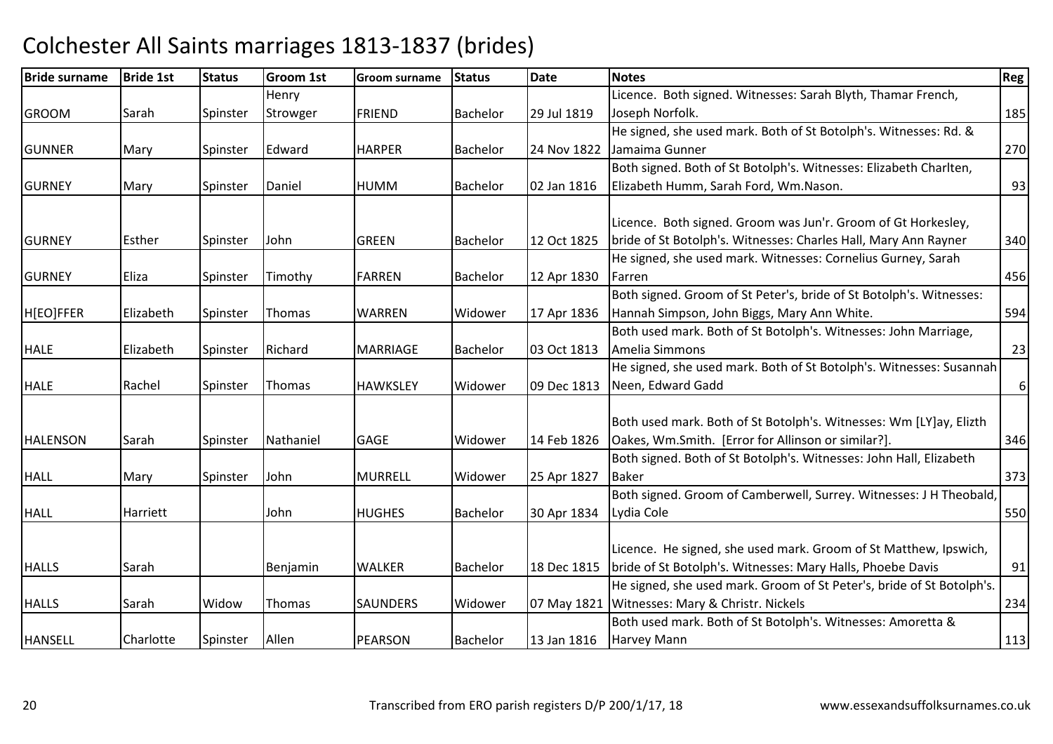| <b>Bride surname</b> | <b>Bride 1st</b> | <b>Status</b> | <b>Groom 1st</b> | <b>Groom surname</b> | <b>Status</b>   | <b>Date</b> | <b>Notes</b>                                                          | Reg      |
|----------------------|------------------|---------------|------------------|----------------------|-----------------|-------------|-----------------------------------------------------------------------|----------|
|                      |                  |               | Henry            |                      |                 |             | Licence. Both signed. Witnesses: Sarah Blyth, Thamar French,          |          |
| <b>GROOM</b>         | Sarah            | Spinster      | Strowger         | <b>FRIEND</b>        | <b>Bachelor</b> | 29 Jul 1819 | Joseph Norfolk.                                                       | 185      |
|                      |                  |               |                  |                      |                 |             | He signed, she used mark. Both of St Botolph's. Witnesses: Rd. &      |          |
| <b>GUNNER</b>        | Mary             | Spinster      | Edward           | <b>HARPER</b>        | <b>Bachelor</b> | 24 Nov 1822 | Jamaima Gunner                                                        | 270      |
|                      |                  |               |                  |                      |                 |             | Both signed. Both of St Botolph's. Witnesses: Elizabeth Charlten,     |          |
| <b>GURNEY</b>        | Mary             | Spinster      | Daniel           | <b>HUMM</b>          | <b>Bachelor</b> | 02 Jan 1816 | Elizabeth Humm, Sarah Ford, Wm.Nason.                                 | 93       |
|                      |                  |               |                  |                      |                 |             |                                                                       |          |
|                      |                  |               |                  |                      |                 |             | Licence. Both signed. Groom was Jun'r. Groom of Gt Horkesley,         |          |
| <b>GURNEY</b>        | Esther           | Spinster      | John             | <b>GREEN</b>         | <b>Bachelor</b> | 12 Oct 1825 | bride of St Botolph's. Witnesses: Charles Hall, Mary Ann Rayner       | 340      |
|                      |                  |               |                  |                      |                 |             | He signed, she used mark. Witnesses: Cornelius Gurney, Sarah          |          |
| <b>GURNEY</b>        | Eliza            | Spinster      | Timothy          | <b>FARREN</b>        | <b>Bachelor</b> | 12 Apr 1830 | Farren                                                                | 456      |
|                      |                  |               |                  |                      |                 |             | Both signed. Groom of St Peter's, bride of St Botolph's. Witnesses:   |          |
| H[EO]FFER            | Elizabeth        | Spinster      | Thomas           | <b>WARREN</b>        | Widower         | 17 Apr 1836 | Hannah Simpson, John Biggs, Mary Ann White.                           | 594      |
|                      |                  |               |                  |                      |                 |             | Both used mark. Both of St Botolph's. Witnesses: John Marriage,       |          |
| <b>HALE</b>          | Elizabeth        | Spinster      | Richard          | <b>MARRIAGE</b>      | <b>Bachelor</b> | 03 Oct 1813 | Amelia Simmons                                                        | 23       |
|                      |                  |               |                  |                      |                 |             | He signed, she used mark. Both of St Botolph's. Witnesses: Susannah   |          |
| <b>HALE</b>          | Rachel           | Spinster      | Thomas           | <b>HAWKSLEY</b>      | Widower         | 09 Dec 1813 | Neen, Edward Gadd                                                     | $6 \mid$ |
|                      |                  |               |                  |                      |                 |             |                                                                       |          |
|                      |                  |               |                  |                      |                 |             | Both used mark. Both of St Botolph's. Witnesses: Wm [LY]ay, Elizth    |          |
| <b>HALENSON</b>      | Sarah            | Spinster      | Nathaniel        | GAGE                 | Widower         | 14 Feb 1826 | Oakes, Wm.Smith. [Error for Allinson or similar?].                    | 346      |
|                      |                  |               |                  |                      |                 |             | Both signed. Both of St Botolph's. Witnesses: John Hall, Elizabeth    |          |
| <b>HALL</b>          | Mary             | Spinster      | John             | <b>MURRELL</b>       | Widower         | 25 Apr 1827 | <b>Baker</b>                                                          | 373      |
|                      |                  |               |                  |                      |                 |             | Both signed. Groom of Camberwell, Surrey. Witnesses: J H Theobald,    |          |
| <b>HALL</b>          | Harriett         |               | John             | <b>HUGHES</b>        | <b>Bachelor</b> | 30 Apr 1834 | Lydia Cole                                                            | 550      |
|                      |                  |               |                  |                      |                 |             |                                                                       |          |
|                      |                  |               |                  |                      |                 |             | Licence. He signed, she used mark. Groom of St Matthew, Ipswich,      |          |
| <b>HALLS</b>         | Sarah            |               | Benjamin         | <b>WALKER</b>        | <b>Bachelor</b> | 18 Dec 1815 | bride of St Botolph's. Witnesses: Mary Halls, Phoebe Davis            | 91       |
|                      |                  |               |                  |                      |                 |             | He signed, she used mark. Groom of St Peter's, bride of St Botolph's. |          |
| <b>HALLS</b>         | Sarah            | Widow         | Thomas           | <b>SAUNDERS</b>      | Widower         | 07 May 1821 | Witnesses: Mary & Christr. Nickels                                    | 234      |
|                      |                  |               |                  |                      |                 |             | Both used mark. Both of St Botolph's. Witnesses: Amoretta &           |          |
| <b>HANSELL</b>       | Charlotte        | Spinster      | Allen            | <b>PEARSON</b>       | <b>Bachelor</b> | 13 Jan 1816 | <b>Harvey Mann</b>                                                    | 113      |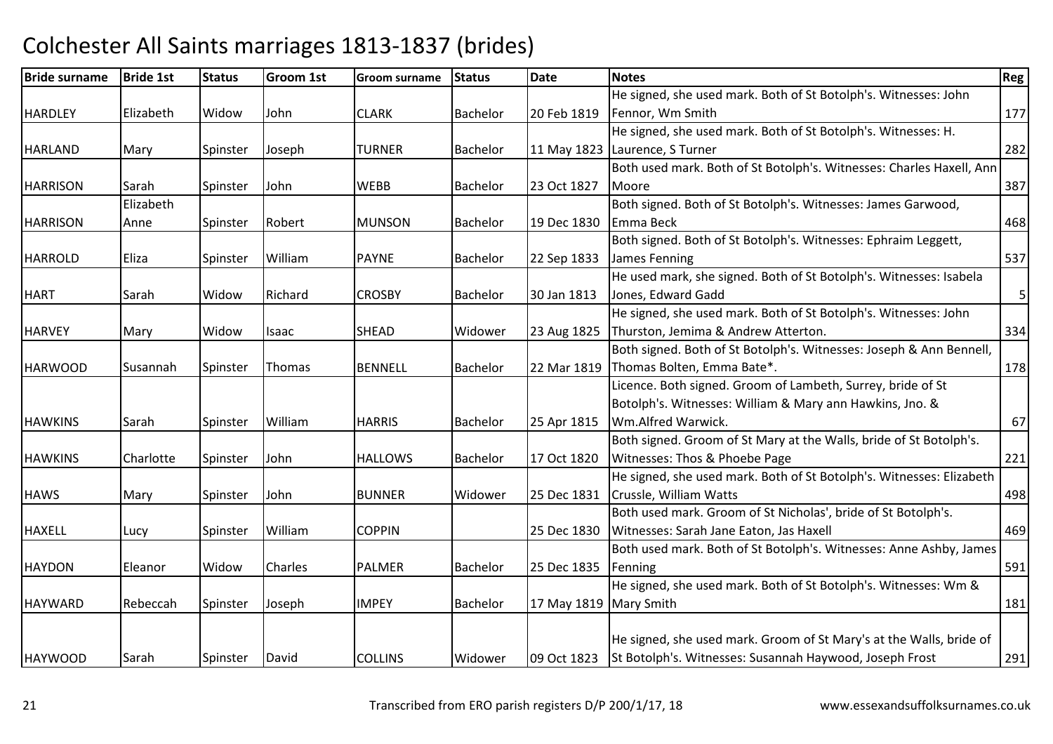| <b>Bride surname</b> | <b>Bride 1st</b> | <b>Status</b> | <b>Groom 1st</b> | <b>Groom surname</b> | Status          | Date                   | <b>Notes</b>                                                         | <b>Reg</b>     |
|----------------------|------------------|---------------|------------------|----------------------|-----------------|------------------------|----------------------------------------------------------------------|----------------|
|                      |                  |               |                  |                      |                 |                        | He signed, she used mark. Both of St Botolph's. Witnesses: John      |                |
| <b>HARDLEY</b>       | Elizabeth        | Widow         | John             | <b>CLARK</b>         | <b>Bachelor</b> | 20 Feb 1819            | Fennor, Wm Smith                                                     | 177            |
|                      |                  |               |                  |                      |                 |                        | He signed, she used mark. Both of St Botolph's. Witnesses: H.        |                |
| <b>HARLAND</b>       | Mary             | Spinster      | Joseph           | <b>TURNER</b>        | <b>Bachelor</b> |                        | 11 May 1823 Laurence, S Turner                                       | 282            |
|                      |                  |               |                  |                      |                 |                        | Both used mark. Both of St Botolph's. Witnesses: Charles Haxell, Ann |                |
| <b>HARRISON</b>      | Sarah            | Spinster      | John             | <b>WEBB</b>          | <b>Bachelor</b> | 23 Oct 1827            | Moore                                                                | 387            |
|                      | Elizabeth        |               |                  |                      |                 |                        | Both signed. Both of St Botolph's. Witnesses: James Garwood,         |                |
| <b>HARRISON</b>      | Anne             | Spinster      | Robert           | <b>MUNSON</b>        | <b>Bachelor</b> | 19 Dec 1830            | Emma Beck                                                            | 468            |
|                      |                  |               |                  |                      |                 |                        | Both signed. Both of St Botolph's. Witnesses: Ephraim Leggett,       |                |
| <b>HARROLD</b>       | Eliza            | Spinster      | William          | <b>PAYNE</b>         | <b>Bachelor</b> | 22 Sep 1833            | James Fenning                                                        | 537            |
|                      |                  |               |                  |                      |                 |                        | He used mark, she signed. Both of St Botolph's. Witnesses: Isabela   |                |
| <b>HART</b>          | Sarah            | Widow         | Richard          | <b>CROSBY</b>        | <b>Bachelor</b> | 30 Jan 1813            | Jones, Edward Gadd                                                   | 5 <sup>1</sup> |
|                      |                  |               |                  |                      |                 |                        | He signed, she used mark. Both of St Botolph's. Witnesses: John      |                |
| <b>HARVEY</b>        | Mary             | Widow         | Isaac            | <b>SHEAD</b>         | Widower         | 23 Aug 1825            | Thurston, Jemima & Andrew Atterton.                                  | 334            |
|                      |                  |               |                  |                      |                 |                        | Both signed. Both of St Botolph's. Witnesses: Joseph & Ann Bennell,  |                |
| <b>HARWOOD</b>       | Susannah         | Spinster      | Thomas           | <b>BENNELL</b>       | <b>Bachelor</b> | 22 Mar 1819            | Thomas Bolten, Emma Bate*.                                           | 178            |
|                      |                  |               |                  |                      |                 |                        | Licence. Both signed. Groom of Lambeth, Surrey, bride of St          |                |
|                      |                  |               |                  |                      |                 |                        | Botolph's. Witnesses: William & Mary ann Hawkins, Jno. &             |                |
| <b>HAWKINS</b>       | Sarah            | Spinster      | William          | <b>HARRIS</b>        | <b>Bachelor</b> | 25 Apr 1815            | Wm.Alfred Warwick.                                                   | 67             |
|                      |                  |               |                  |                      |                 |                        | Both signed. Groom of St Mary at the Walls, bride of St Botolph's.   |                |
| <b>HAWKINS</b>       | Charlotte        | Spinster      | John             | <b>HALLOWS</b>       | <b>Bachelor</b> | 17 Oct 1820            | Witnesses: Thos & Phoebe Page                                        | 221            |
|                      |                  |               |                  |                      |                 |                        | He signed, she used mark. Both of St Botolph's. Witnesses: Elizabeth |                |
| <b>HAWS</b>          | Mary             | Spinster      | John             | <b>BUNNER</b>        | Widower         | 25 Dec 1831            | Crussle, William Watts                                               | 498            |
|                      |                  |               |                  |                      |                 |                        | Both used mark. Groom of St Nicholas', bride of St Botolph's.        |                |
| <b>HAXELL</b>        | Lucy             | Spinster      | William          | <b>COPPIN</b>        |                 | 25 Dec 1830            | Witnesses: Sarah Jane Eaton, Jas Haxell                              | 469            |
|                      |                  |               |                  |                      |                 |                        | Both used mark. Both of St Botolph's. Witnesses: Anne Ashby, James   |                |
| <b>HAYDON</b>        | Eleanor          | Widow         | Charles          | <b>PALMER</b>        | <b>Bachelor</b> | 25 Dec 1835            | Fenning                                                              | 591            |
|                      |                  |               |                  |                      |                 |                        | He signed, she used mark. Both of St Botolph's. Witnesses: Wm &      |                |
| <b>HAYWARD</b>       | Rebeccah         | Spinster      | Joseph           | <b>IMPEY</b>         | <b>Bachelor</b> | 17 May 1819 Mary Smith |                                                                      | 181            |
|                      |                  |               |                  |                      |                 |                        |                                                                      |                |
|                      |                  |               |                  |                      |                 |                        | He signed, she used mark. Groom of St Mary's at the Walls, bride of  |                |
| <b>HAYWOOD</b>       | Sarah            | Spinster      | David            | <b>COLLINS</b>       | Widower         | 09 Oct 1823            | St Botolph's. Witnesses: Susannah Haywood, Joseph Frost              | 291            |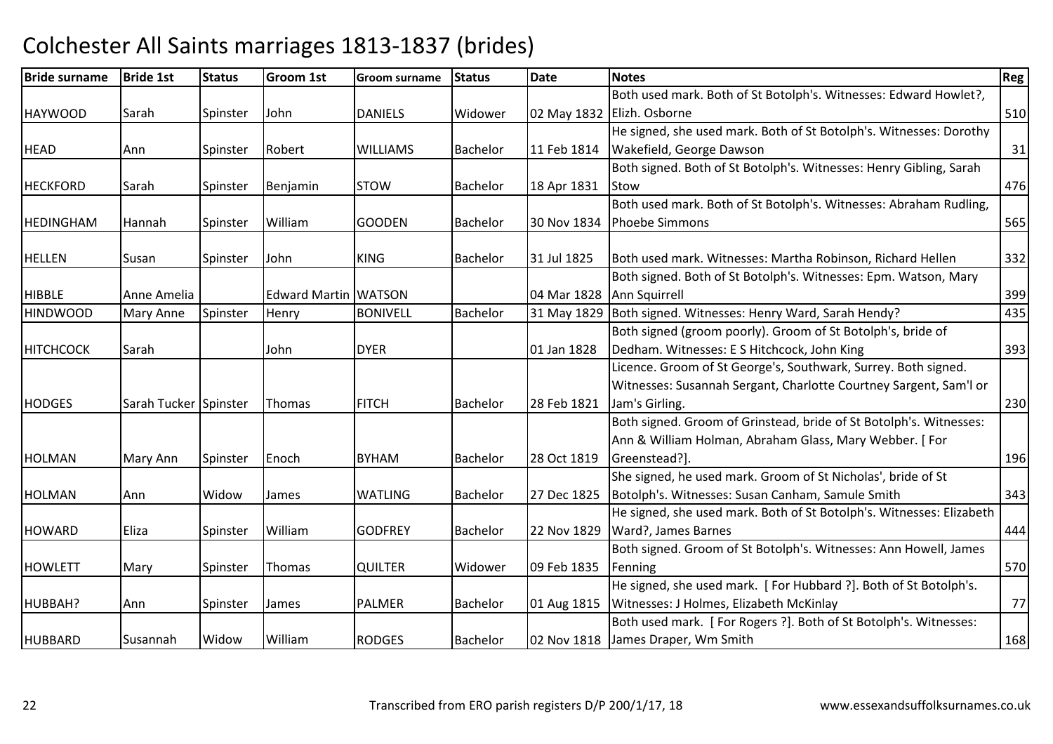| <b>Bride surname</b> | <b>Bride 1st</b>      | <b>Status</b> | <b>Groom 1st</b>            | <b>Groom surname</b> | <b>Status</b>   | <b>Date</b> | <b>Notes</b>                                                         | <b>Reg</b> |
|----------------------|-----------------------|---------------|-----------------------------|----------------------|-----------------|-------------|----------------------------------------------------------------------|------------|
|                      |                       |               |                             |                      |                 |             | Both used mark. Both of St Botolph's. Witnesses: Edward Howlet?,     |            |
| <b>HAYWOOD</b>       | Sarah                 | Spinster      | John                        | <b>DANIELS</b>       | Widower         |             | 02 May 1832 Elizh. Osborne                                           | 510        |
|                      |                       |               |                             |                      |                 |             | He signed, she used mark. Both of St Botolph's. Witnesses: Dorothy   |            |
| <b>HEAD</b>          | Ann                   | Spinster      | Robert                      | <b>WILLIAMS</b>      | <b>Bachelor</b> | 11 Feb 1814 | Wakefield, George Dawson                                             | 31         |
|                      |                       |               |                             |                      |                 |             | Both signed. Both of St Botolph's. Witnesses: Henry Gibling, Sarah   |            |
| <b>HECKFORD</b>      | <b>Sarah</b>          | Spinster      | Benjamin                    | <b>STOW</b>          | <b>Bachelor</b> | 18 Apr 1831 | <b>Stow</b>                                                          | 476        |
|                      |                       |               |                             |                      |                 |             | Both used mark. Both of St Botolph's. Witnesses: Abraham Rudling,    |            |
| <b>HEDINGHAM</b>     | Hannah                | Spinster      | William                     | <b>GOODEN</b>        | Bachelor        | 30 Nov 1834 | <b>Phoebe Simmons</b>                                                | 565        |
|                      |                       |               |                             |                      |                 |             |                                                                      |            |
| <b>HELLEN</b>        | Susan                 | Spinster      | John                        | <b>KING</b>          | <b>Bachelor</b> | 31 Jul 1825 | Both used mark. Witnesses: Martha Robinson, Richard Hellen           | 332        |
|                      |                       |               |                             |                      |                 |             | Both signed. Both of St Botolph's. Witnesses: Epm. Watson, Mary      |            |
| <b>HIBBLE</b>        | Anne Amelia           |               | <b>Edward Martin WATSON</b> |                      |                 | 04 Mar 1828 | Ann Squirrell                                                        | 399        |
| <b>HINDWOOD</b>      | Mary Anne             | Spinster      | Henry                       | <b>BONIVELL</b>      | Bachelor        | 31 May 1829 | Both signed. Witnesses: Henry Ward, Sarah Hendy?                     | 435        |
|                      |                       |               |                             |                      |                 |             | Both signed (groom poorly). Groom of St Botolph's, bride of          |            |
| <b>HITCHCOCK</b>     | Sarah                 |               | John                        | <b>DYER</b>          |                 | 01 Jan 1828 | Dedham. Witnesses: E S Hitchcock, John King                          | 393        |
|                      |                       |               |                             |                      |                 |             | Licence. Groom of St George's, Southwark, Surrey. Both signed.       |            |
|                      |                       |               |                             |                      |                 |             | Witnesses: Susannah Sergant, Charlotte Courtney Sargent, Sam'l or    |            |
| <b>HODGES</b>        | Sarah Tucker Spinster |               | Thomas                      | <b>FITCH</b>         | <b>Bachelor</b> | 28 Feb 1821 | Jam's Girling.                                                       | 230        |
|                      |                       |               |                             |                      |                 |             | Both signed. Groom of Grinstead, bride of St Botolph's. Witnesses:   |            |
|                      |                       |               |                             |                      |                 |             | Ann & William Holman, Abraham Glass, Mary Webber. [For               |            |
| <b>HOLMAN</b>        | Mary Ann              | Spinster      | Enoch                       | <b>BYHAM</b>         | <b>Bachelor</b> | 28 Oct 1819 | Greenstead?].                                                        | 196        |
|                      |                       |               |                             |                      |                 |             | She signed, he used mark. Groom of St Nicholas', bride of St         |            |
| <b>HOLMAN</b>        | Ann                   | Widow         | James                       | <b>WATLING</b>       | Bachelor        | 27 Dec 1825 | Botolph's. Witnesses: Susan Canham, Samule Smith                     | 343        |
|                      |                       |               |                             |                      |                 |             | He signed, she used mark. Both of St Botolph's. Witnesses: Elizabeth |            |
| <b>HOWARD</b>        | Eliza                 | Spinster      | William                     | <b>GODFREY</b>       | <b>Bachelor</b> | 22 Nov 1829 | Ward?, James Barnes                                                  | 444        |
|                      |                       |               |                             |                      |                 |             | Both signed. Groom of St Botolph's. Witnesses: Ann Howell, James     |            |
| <b>HOWLETT</b>       | Mary                  | Spinster      | Thomas                      | <b>QUILTER</b>       | Widower         | 09 Feb 1835 | Fenning                                                              | 570        |
|                      |                       |               |                             |                      |                 |             | He signed, she used mark. [For Hubbard ?]. Both of St Botolph's.     |            |
| HUBBAH?              | Ann                   | Spinster      | James                       | <b>PALMER</b>        | <b>Bachelor</b> | 01 Aug 1815 | Witnesses: J Holmes, Elizabeth McKinlay                              | 77         |
|                      |                       |               |                             |                      |                 |             | Both used mark. [For Rogers ?]. Both of St Botolph's. Witnesses:     |            |
| <b>HUBBARD</b>       | Susannah              | Widow         | William                     | <b>RODGES</b>        | <b>Bachelor</b> |             | 02 Nov 1818 James Draper, Wm Smith                                   | 168        |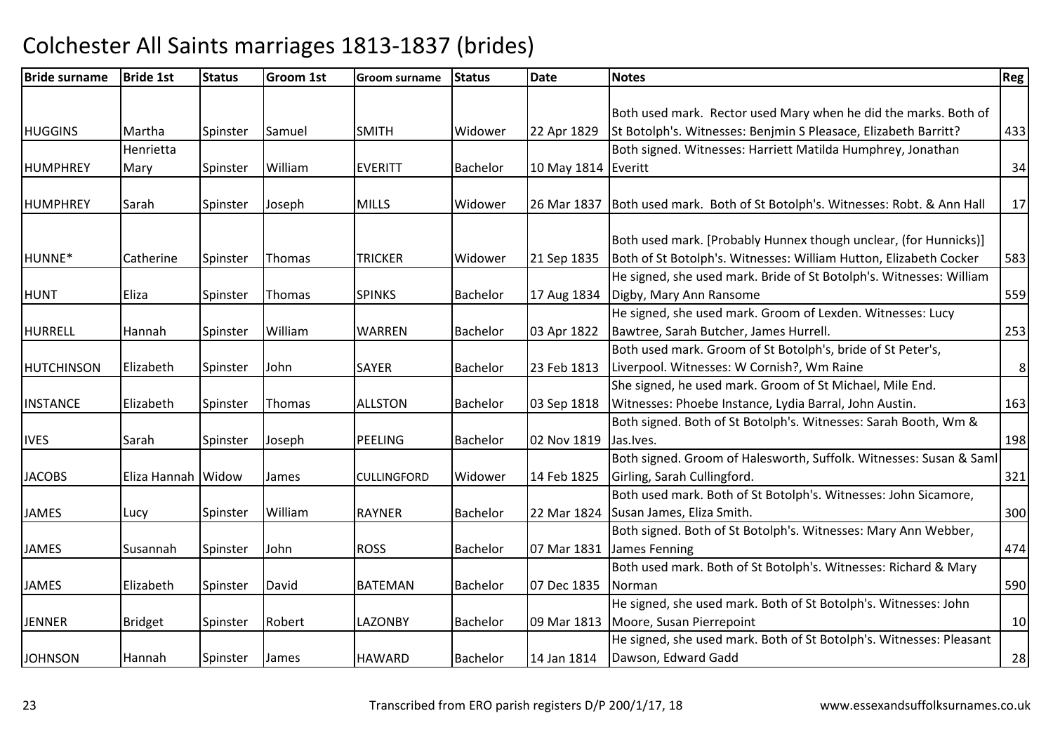| Both used mark. Rector used Mary when he did the marks. Both of<br>St Botolph's. Witnesses: Benjmin S Pleasace, Elizabeth Barritt?<br><b>HUGGINS</b><br>Martha<br>Samuel<br><b>SMITH</b><br>Widower<br>22 Apr 1829<br>Spinster<br>Both signed. Witnesses: Harriett Matilda Humphrey, Jonathan<br>Henrietta<br>William<br><b>HUMPHREY</b><br>Spinster<br><b>EVERITT</b><br><b>Bachelor</b><br>10 May 1814 Everitt<br>Mary<br><b>MILLS</b><br>Both used mark. Both of St Botolph's. Witnesses: Robt. & Ann Hall<br><b>HUMPHREY</b><br>Spinster<br>Joseph<br>Widower<br>26 Mar 1837<br>Sarah<br>Both used mark. [Probably Hunnex though unclear, (for Hunnicks)]<br>Both of St Botolph's. Witnesses: William Hutton, Elizabeth Cocker<br>HUNNE*<br>21 Sep 1835<br>Catherine<br><b>TRICKER</b><br>Widower<br>Spinster<br>Thomas | 433<br>34<br>17 |
|-----------------------------------------------------------------------------------------------------------------------------------------------------------------------------------------------------------------------------------------------------------------------------------------------------------------------------------------------------------------------------------------------------------------------------------------------------------------------------------------------------------------------------------------------------------------------------------------------------------------------------------------------------------------------------------------------------------------------------------------------------------------------------------------------------------------------------|-----------------|
|                                                                                                                                                                                                                                                                                                                                                                                                                                                                                                                                                                                                                                                                                                                                                                                                                             |                 |
|                                                                                                                                                                                                                                                                                                                                                                                                                                                                                                                                                                                                                                                                                                                                                                                                                             |                 |
|                                                                                                                                                                                                                                                                                                                                                                                                                                                                                                                                                                                                                                                                                                                                                                                                                             |                 |
|                                                                                                                                                                                                                                                                                                                                                                                                                                                                                                                                                                                                                                                                                                                                                                                                                             |                 |
|                                                                                                                                                                                                                                                                                                                                                                                                                                                                                                                                                                                                                                                                                                                                                                                                                             |                 |
|                                                                                                                                                                                                                                                                                                                                                                                                                                                                                                                                                                                                                                                                                                                                                                                                                             |                 |
|                                                                                                                                                                                                                                                                                                                                                                                                                                                                                                                                                                                                                                                                                                                                                                                                                             |                 |
|                                                                                                                                                                                                                                                                                                                                                                                                                                                                                                                                                                                                                                                                                                                                                                                                                             | 583             |
| He signed, she used mark. Bride of St Botolph's. Witnesses: William                                                                                                                                                                                                                                                                                                                                                                                                                                                                                                                                                                                                                                                                                                                                                         |                 |
| <b>SPINKS</b><br><b>Bachelor</b><br>17 Aug 1834<br><b>HUNT</b><br>Eliza<br>Digby, Mary Ann Ransome<br>Spinster<br>Thomas                                                                                                                                                                                                                                                                                                                                                                                                                                                                                                                                                                                                                                                                                                    | 559             |
| He signed, she used mark. Groom of Lexden. Witnesses: Lucy                                                                                                                                                                                                                                                                                                                                                                                                                                                                                                                                                                                                                                                                                                                                                                  |                 |
| HURRELL<br>William<br><b>WARREN</b><br>Bachelor<br>03 Apr 1822<br>Bawtree, Sarah Butcher, James Hurrell.<br>Spinster<br>Hannah                                                                                                                                                                                                                                                                                                                                                                                                                                                                                                                                                                                                                                                                                              | 253             |
| Both used mark. Groom of St Botolph's, bride of St Peter's,                                                                                                                                                                                                                                                                                                                                                                                                                                                                                                                                                                                                                                                                                                                                                                 |                 |
| Liverpool. Witnesses: W Cornish?, Wm Raine<br>Elizabeth<br>John<br><b>HUTCHINSON</b><br><b>SAYER</b><br><b>Bachelor</b><br>23 Feb 1813<br>Spinster                                                                                                                                                                                                                                                                                                                                                                                                                                                                                                                                                                                                                                                                          | $\bf 8$         |
| She signed, he used mark. Groom of St Michael, Mile End.                                                                                                                                                                                                                                                                                                                                                                                                                                                                                                                                                                                                                                                                                                                                                                    |                 |
| <b>INSTANCE</b><br>03 Sep 1818<br>Witnesses: Phoebe Instance, Lydia Barral, John Austin.<br>Elizabeth<br>Thomas<br><b>ALLSTON</b><br>Bachelor<br>Spinster                                                                                                                                                                                                                                                                                                                                                                                                                                                                                                                                                                                                                                                                   | 163             |
| Both signed. Both of St Botolph's. Witnesses: Sarah Booth, Wm &                                                                                                                                                                                                                                                                                                                                                                                                                                                                                                                                                                                                                                                                                                                                                             |                 |
| <b>IVES</b><br>Joseph<br><b>PEELING</b><br><b>Bachelor</b><br>02 Nov 1819<br>Jas. Ives.<br>Sarah<br>Spinster                                                                                                                                                                                                                                                                                                                                                                                                                                                                                                                                                                                                                                                                                                                | 198             |
| Both signed. Groom of Halesworth, Suffolk. Witnesses: Susan & Saml                                                                                                                                                                                                                                                                                                                                                                                                                                                                                                                                                                                                                                                                                                                                                          |                 |
| Girling, Sarah Cullingford.<br><b>JACOBS</b><br>Eliza Hannah Widow<br>14 Feb 1825<br>Widower<br>James<br><b>CULLINGFORD</b>                                                                                                                                                                                                                                                                                                                                                                                                                                                                                                                                                                                                                                                                                                 | 321             |
| Both used mark. Both of St Botolph's. Witnesses: John Sicamore,                                                                                                                                                                                                                                                                                                                                                                                                                                                                                                                                                                                                                                                                                                                                                             |                 |
| William<br>Susan James, Eliza Smith.<br><b>JAMES</b><br><b>RAYNER</b><br><b>Bachelor</b><br>22 Mar 1824<br>Spinster<br>Lucy                                                                                                                                                                                                                                                                                                                                                                                                                                                                                                                                                                                                                                                                                                 | 300             |
| Both signed. Both of St Botolph's. Witnesses: Mary Ann Webber,                                                                                                                                                                                                                                                                                                                                                                                                                                                                                                                                                                                                                                                                                                                                                              |                 |
| <b>JAMES</b><br><b>ROSS</b><br>07 Mar 1831<br>John<br><b>Bachelor</b><br>James Fenning<br>Susannah<br>Spinster                                                                                                                                                                                                                                                                                                                                                                                                                                                                                                                                                                                                                                                                                                              | 474             |
| Both used mark. Both of St Botolph's. Witnesses: Richard & Mary                                                                                                                                                                                                                                                                                                                                                                                                                                                                                                                                                                                                                                                                                                                                                             |                 |
| Elizabeth<br>David<br><b>BATEMAN</b><br>07 Dec 1835<br><b>JAMES</b><br>Spinster<br><b>Bachelor</b><br>Norman                                                                                                                                                                                                                                                                                                                                                                                                                                                                                                                                                                                                                                                                                                                | 590             |
| He signed, she used mark. Both of St Botolph's. Witnesses: John                                                                                                                                                                                                                                                                                                                                                                                                                                                                                                                                                                                                                                                                                                                                                             |                 |
| Moore, Susan Pierrepoint<br><b>JENNER</b><br>Spinster<br>Robert<br><b>LAZONBY</b><br>09 Mar 1813<br><b>Bridget</b><br><b>Bachelor</b>                                                                                                                                                                                                                                                                                                                                                                                                                                                                                                                                                                                                                                                                                       | 10              |
| He signed, she used mark. Both of St Botolph's. Witnesses: Pleasant                                                                                                                                                                                                                                                                                                                                                                                                                                                                                                                                                                                                                                                                                                                                                         |                 |
| <b>JOHNSON</b><br>Dawson, Edward Gadd<br><b>HAWARD</b><br><b>Bachelor</b><br>14 Jan 1814<br>Hannah<br>Spinster<br>James                                                                                                                                                                                                                                                                                                                                                                                                                                                                                                                                                                                                                                                                                                     | 28              |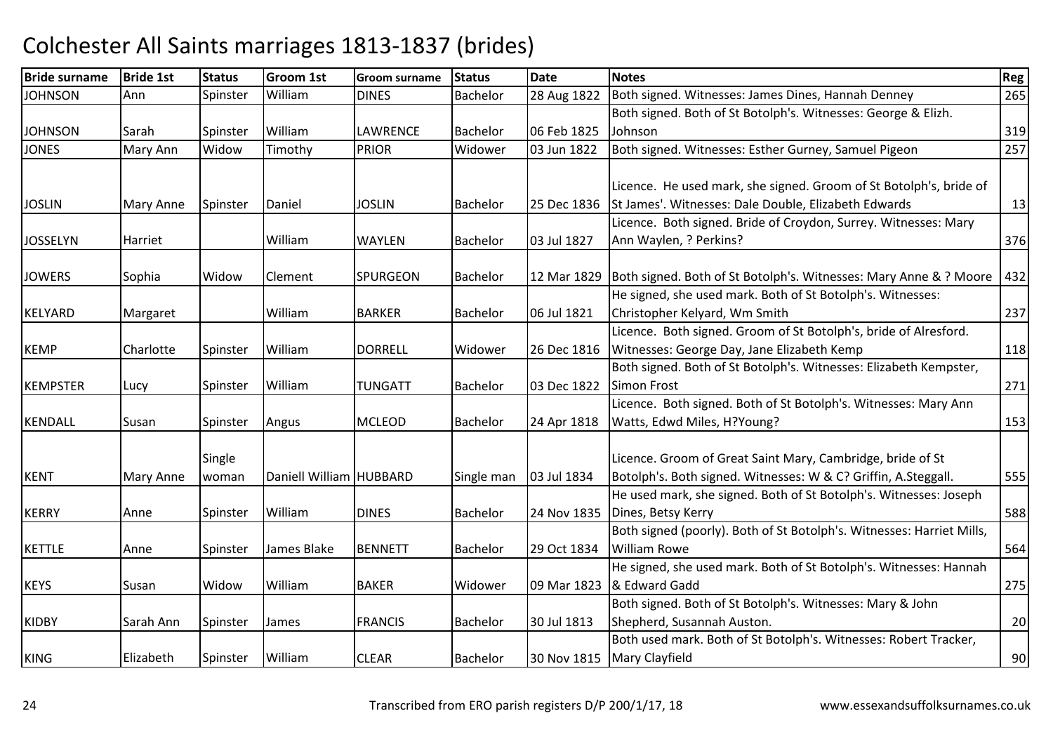| <b>Bride surname</b> | <b>Bride 1st</b> | <b>Status</b> | Groom 1st               | <b>Groom surname</b> | <b>Status</b>   | <b>Date</b> | <b>Notes</b>                                                          | Reg |
|----------------------|------------------|---------------|-------------------------|----------------------|-----------------|-------------|-----------------------------------------------------------------------|-----|
| <b>JOHNSON</b>       | Ann              | Spinster      | William                 | <b>DINES</b>         | <b>Bachelor</b> | 28 Aug 1822 | Both signed. Witnesses: James Dines, Hannah Denney                    | 265 |
|                      |                  |               |                         |                      |                 |             | Both signed. Both of St Botolph's. Witnesses: George & Elizh.         |     |
| <b>JOHNSON</b>       | Sarah            | Spinster      | William                 | LAWRENCE             | <b>Bachelor</b> | 06 Feb 1825 | Johnson                                                               | 319 |
| <b>JONES</b>         | Mary Ann         | Widow         | Timothy                 | <b>PRIOR</b>         | Widower         | 03 Jun 1822 | Both signed. Witnesses: Esther Gurney, Samuel Pigeon                  | 257 |
|                      |                  |               |                         |                      |                 |             |                                                                       |     |
|                      |                  |               |                         |                      |                 |             | Licence. He used mark, she signed. Groom of St Botolph's, bride of    |     |
| <b>JOSLIN</b>        | Mary Anne        | Spinster      | Daniel                  | <b>JOSLIN</b>        | <b>Bachelor</b> | 25 Dec 1836 | St James'. Witnesses: Dale Double, Elizabeth Edwards                  | 13  |
|                      |                  |               |                         |                      |                 |             | Licence. Both signed. Bride of Croydon, Surrey. Witnesses: Mary       |     |
| <b>JOSSELYN</b>      | Harriet          |               | William                 | WAYLEN               | <b>Bachelor</b> | 03 Jul 1827 | Ann Waylen, ? Perkins?                                                | 376 |
|                      |                  |               |                         |                      |                 |             |                                                                       |     |
| <b>JOWERS</b>        | Sophia           | Widow         | Clement                 | <b>SPURGEON</b>      | <b>Bachelor</b> | 12 Mar 1829 | Both signed. Both of St Botolph's. Witnesses: Mary Anne & ? Moore     | 432 |
|                      |                  |               |                         |                      |                 |             | He signed, she used mark. Both of St Botolph's. Witnesses:            |     |
| <b>KELYARD</b>       | Margaret         |               | William                 | <b>BARKER</b>        | <b>Bachelor</b> | 06 Jul 1821 | Christopher Kelyard, Wm Smith                                         | 237 |
|                      |                  |               |                         |                      |                 |             | Licence. Both signed. Groom of St Botolph's, bride of Alresford.      |     |
| <b>KEMP</b>          | Charlotte        | Spinster      | William                 | <b>DORRELL</b>       | Widower         | 26 Dec 1816 | Witnesses: George Day, Jane Elizabeth Kemp                            | 118 |
|                      |                  |               |                         |                      |                 |             | Both signed. Both of St Botolph's. Witnesses: Elizabeth Kempster,     |     |
| <b>KEMPSTER</b>      | Lucy             | Spinster      | William                 | <b>TUNGATT</b>       | <b>Bachelor</b> | 03 Dec 1822 | <b>Simon Frost</b>                                                    | 271 |
|                      |                  |               |                         |                      |                 |             | Licence. Both signed. Both of St Botolph's. Witnesses: Mary Ann       |     |
| <b>KENDALL</b>       | Susan            | Spinster      | Angus                   | <b>MCLEOD</b>        | <b>Bachelor</b> | 24 Apr 1818 | Watts, Edwd Miles, H?Young?                                           | 153 |
|                      |                  |               |                         |                      |                 |             |                                                                       |     |
|                      |                  | Single        |                         |                      |                 |             | Licence. Groom of Great Saint Mary, Cambridge, bride of St            |     |
| <b>KENT</b>          | Mary Anne        | woman         | Daniell William HUBBARD |                      | Single man      | 03 Jul 1834 | Botolph's. Both signed. Witnesses: W & C? Griffin, A.Steggall.        | 555 |
|                      |                  |               |                         |                      |                 |             | He used mark, she signed. Both of St Botolph's. Witnesses: Joseph     |     |
| <b>KERRY</b>         | Anne             | Spinster      | William                 | <b>DINES</b>         | <b>Bachelor</b> | 24 Nov 1835 | Dines, Betsy Kerry                                                    | 588 |
|                      |                  |               |                         |                      |                 |             | Both signed (poorly). Both of St Botolph's. Witnesses: Harriet Mills, |     |
| <b>KETTLE</b>        | Anne             | Spinster      | James Blake             | <b>BENNETT</b>       | <b>Bachelor</b> | 29 Oct 1834 | <b>William Rowe</b>                                                   | 564 |
|                      |                  |               |                         |                      |                 |             | He signed, she used mark. Both of St Botolph's. Witnesses: Hannah     |     |
| <b>KEYS</b>          | Susan            | Widow         | William                 | <b>BAKER</b>         | Widower         | 09 Mar 1823 | & Edward Gadd                                                         | 275 |
|                      |                  |               |                         |                      |                 |             | Both signed. Both of St Botolph's. Witnesses: Mary & John             |     |
| <b>KIDBY</b>         | Sarah Ann        | Spinster      | James                   | <b>FRANCIS</b>       | <b>Bachelor</b> | 30 Jul 1813 | Shepherd, Susannah Auston.                                            | 20  |
|                      |                  |               |                         |                      |                 |             | Both used mark. Both of St Botolph's. Witnesses: Robert Tracker,      |     |
| <b>KING</b>          | Elizabeth        | Spinster      | William                 | <b>CLEAR</b>         | <b>Bachelor</b> | 30 Nov 1815 | Mary Clayfield                                                        | 90  |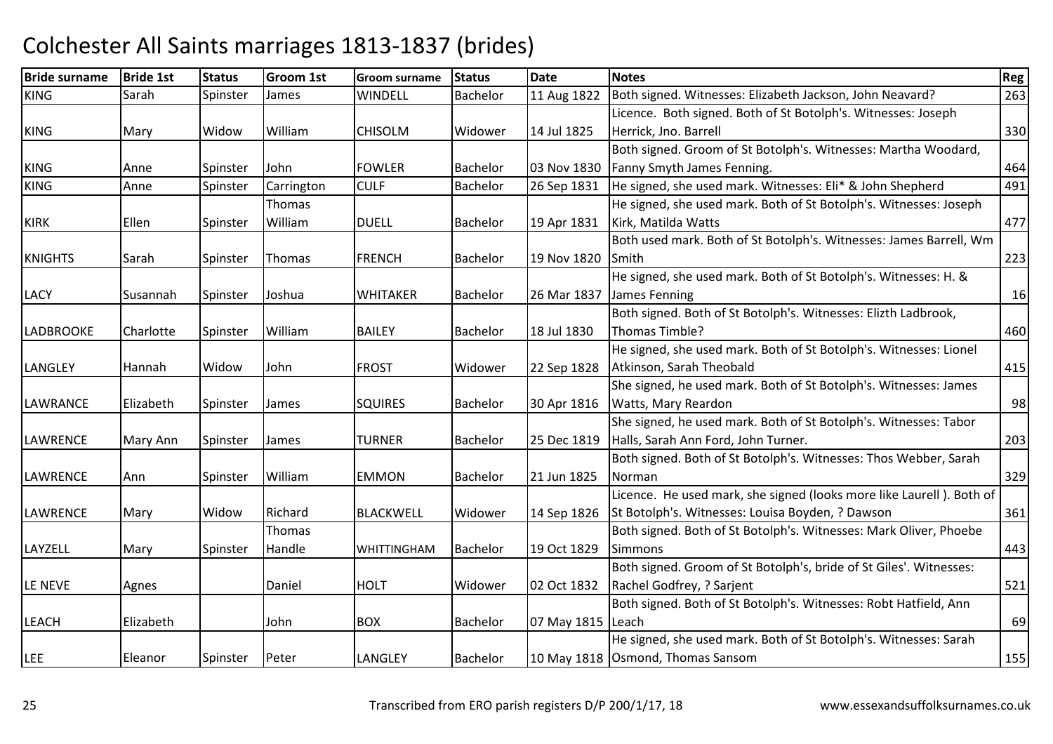| <b>Bride surname</b> | <b>Bride 1st</b> | <b>Status</b> | <b>Groom 1st</b> | <b>Groom surname</b> | <b>Status</b>   | <b>Date</b>       | <b>Notes</b>                                                         | Reg |
|----------------------|------------------|---------------|------------------|----------------------|-----------------|-------------------|----------------------------------------------------------------------|-----|
| <b>KING</b>          | Sarah            | Spinster      | James            | <b>WINDELL</b>       | <b>Bachelor</b> | 11 Aug 1822       | Both signed. Witnesses: Elizabeth Jackson, John Neavard?             | 263 |
|                      |                  |               |                  |                      |                 |                   | Licence. Both signed. Both of St Botolph's. Witnesses: Joseph        |     |
| <b>KING</b>          | Mary             | Widow         | William          | <b>CHISOLM</b>       | Widower         | 14 Jul 1825       | Herrick, Jno. Barrell                                                | 330 |
|                      |                  |               |                  |                      |                 |                   | Both signed. Groom of St Botolph's. Witnesses: Martha Woodard,       |     |
| <b>KING</b>          | Anne             | Spinster      | John             | <b>FOWLER</b>        | <b>Bachelor</b> | 03 Nov 1830       | Fanny Smyth James Fenning.                                           | 464 |
| <b>KING</b>          | Anne             | Spinster      | Carrington       | <b>CULF</b>          | Bachelor        | 26 Sep 1831       | He signed, she used mark. Witnesses: Eli* & John Shepherd            | 491 |
|                      |                  |               | Thomas           |                      |                 |                   | He signed, she used mark. Both of St Botolph's. Witnesses: Joseph    |     |
| <b>KIRK</b>          | Ellen            | Spinster      | William          | <b>DUELL</b>         | <b>Bachelor</b> | 19 Apr 1831       | Kirk, Matilda Watts                                                  | 477 |
|                      |                  |               |                  |                      |                 |                   | Both used mark. Both of St Botolph's. Witnesses: James Barrell, Wm   |     |
| <b>KNIGHTS</b>       | Sarah            | Spinster      | Thomas           | <b>FRENCH</b>        | Bachelor        | 19 Nov 1820       | Smith                                                                | 223 |
|                      |                  |               |                  |                      |                 |                   | He signed, she used mark. Both of St Botolph's. Witnesses: H. &      |     |
| <b>LACY</b>          | Susannah         | Spinster      | Joshua           | <b>WHITAKER</b>      | <b>Bachelor</b> | 26 Mar 1837       | James Fenning                                                        | 16  |
|                      |                  |               |                  |                      |                 |                   | Both signed. Both of St Botolph's. Witnesses: Elizth Ladbrook,       |     |
| <b>LADBROOKE</b>     | Charlotte        | Spinster      | William          | <b>BAILEY</b>        | <b>Bachelor</b> | 18 Jul 1830       | Thomas Timble?                                                       | 460 |
|                      |                  |               |                  |                      |                 |                   | He signed, she used mark. Both of St Botolph's. Witnesses: Lionel    |     |
| <b>LANGLEY</b>       | Hannah           | Widow         | John             | <b>FROST</b>         | Widower         | 22 Sep 1828       | Atkinson, Sarah Theobald                                             | 415 |
|                      |                  |               |                  |                      |                 |                   | She signed, he used mark. Both of St Botolph's. Witnesses: James     |     |
| <b>LAWRANCE</b>      | Elizabeth        | Spinster      | James            | <b>SQUIRES</b>       | Bachelor        | 30 Apr 1816       | Watts, Mary Reardon                                                  | 98  |
|                      |                  |               |                  |                      |                 |                   | She signed, he used mark. Both of St Botolph's. Witnesses: Tabor     |     |
| <b>LAWRENCE</b>      | Mary Ann         | Spinster      | James            | TURNER               | <b>Bachelor</b> | 25 Dec 1819       | Halls, Sarah Ann Ford, John Turner.                                  | 203 |
|                      |                  |               |                  |                      |                 |                   | Both signed. Both of St Botolph's. Witnesses: Thos Webber, Sarah     |     |
| <b>LAWRENCE</b>      | Ann              | Spinster      | William          | <b>EMMON</b>         | <b>Bachelor</b> | 21 Jun 1825       | Norman                                                               | 329 |
|                      |                  |               |                  |                      |                 |                   | Licence. He used mark, she signed (looks more like Laurell). Both of |     |
| <b>LAWRENCE</b>      | Mary             | Widow         | Richard          | <b>BLACKWELL</b>     | Widower         | 14 Sep 1826       | St Botolph's. Witnesses: Louisa Boyden, ? Dawson                     | 361 |
|                      |                  |               | Thomas           |                      |                 |                   | Both signed. Both of St Botolph's. Witnesses: Mark Oliver, Phoebe    |     |
| <b>LAYZELL</b>       | Mary             | Spinster      | Handle           | <b>WHITTINGHAM</b>   | Bachelor        | 19 Oct 1829       | <b>Simmons</b>                                                       | 443 |
|                      |                  |               |                  |                      |                 |                   | Both signed. Groom of St Botolph's, bride of St Giles'. Witnesses:   |     |
| LE NEVE              | Agnes            |               | Daniel           | <b>HOLT</b>          | Widower         | 02 Oct 1832       | Rachel Godfrey, ? Sarjent                                            | 521 |
|                      |                  |               |                  |                      |                 |                   | Both signed. Both of St Botolph's. Witnesses: Robt Hatfield, Ann     |     |
| <b>LEACH</b>         | Elizabeth        |               | John             | <b>BOX</b>           | <b>Bachelor</b> | 07 May 1815 Leach |                                                                      | 69  |
|                      |                  |               |                  |                      |                 |                   | He signed, she used mark. Both of St Botolph's. Witnesses: Sarah     |     |
| <b>LEE</b>           | Eleanor          | Spinster      | Peter            | LANGLEY              | <b>Bachelor</b> |                   | 10 May 1818 Osmond, Thomas Sansom                                    | 155 |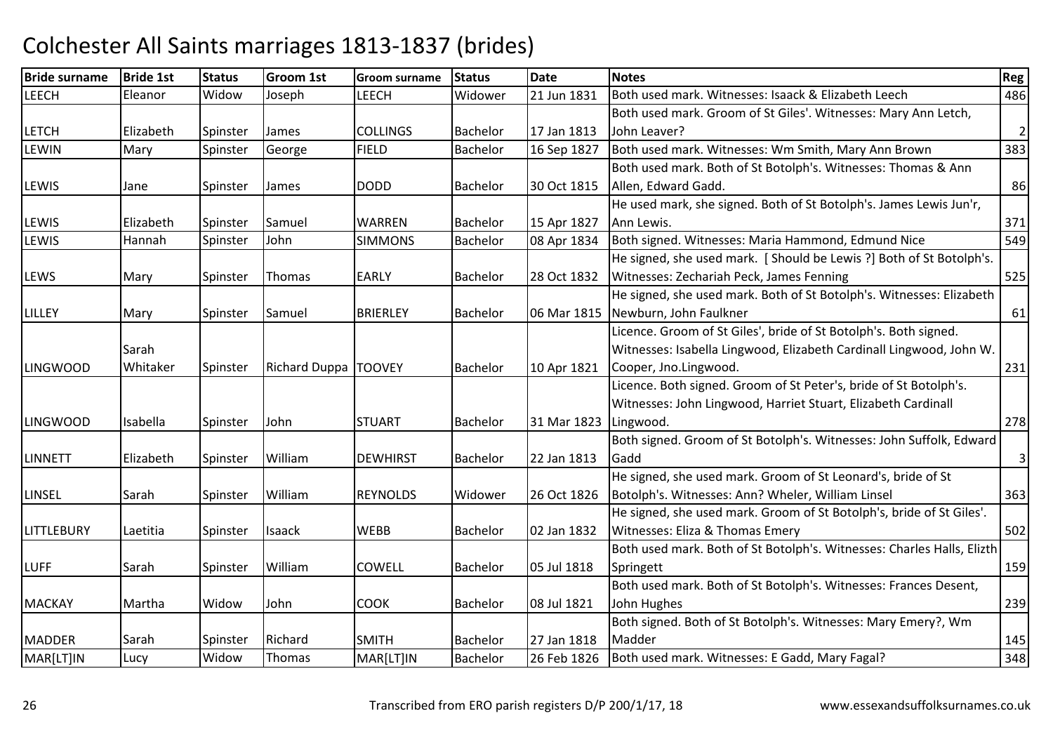| <b>Bride surname</b> | <b>Bride 1st</b> | <b>Status</b> | <b>Groom 1st</b>     | <b>Groom surname</b> | <b>Status</b>   | <b>Date</b> | <b>Notes</b>                                                           | Reg            |
|----------------------|------------------|---------------|----------------------|----------------------|-----------------|-------------|------------------------------------------------------------------------|----------------|
| <b>LEECH</b>         | Eleanor          | Widow         | Joseph               | <b>LEECH</b>         | Widower         | 21 Jun 1831 | Both used mark. Witnesses: Isaack & Elizabeth Leech                    | 486            |
|                      |                  |               |                      |                      |                 |             | Both used mark. Groom of St Giles'. Witnesses: Mary Ann Letch,         |                |
| <b>LETCH</b>         | Elizabeth        | Spinster      | James                | <b>COLLINGS</b>      | <b>Bachelor</b> | 17 Jan 1813 | John Leaver?                                                           | $\overline{2}$ |
| <b>LEWIN</b>         | Mary             | Spinster      | George               | <b>FIELD</b>         | <b>Bachelor</b> | 16 Sep 1827 | Both used mark. Witnesses: Wm Smith, Mary Ann Brown                    | 383            |
|                      |                  |               |                      |                      |                 |             | Both used mark. Both of St Botolph's. Witnesses: Thomas & Ann          |                |
| <b>LEWIS</b>         | Jane             | Spinster      | <b>James</b>         | <b>DODD</b>          | <b>Bachelor</b> | 30 Oct 1815 | Allen, Edward Gadd.                                                    | 86             |
|                      |                  |               |                      |                      |                 |             | He used mark, she signed. Both of St Botolph's. James Lewis Jun'r,     |                |
| <b>LEWIS</b>         | Elizabeth        | Spinster      | Samuel               | <b>WARREN</b>        | <b>Bachelor</b> | 15 Apr 1827 | Ann Lewis.                                                             | 371            |
| LEWIS                | Hannah           | Spinster      | John                 | <b>SIMMONS</b>       | <b>Bachelor</b> | 08 Apr 1834 | Both signed. Witnesses: Maria Hammond, Edmund Nice                     | 549            |
|                      |                  |               |                      |                      |                 |             | He signed, she used mark. [ Should be Lewis ?] Both of St Botolph's.   |                |
| <b>LEWS</b>          | Mary             | Spinster      | Thomas               | <b>EARLY</b>         | <b>Bachelor</b> | 28 Oct 1832 | Witnesses: Zechariah Peck, James Fenning                               | 525            |
|                      |                  |               |                      |                      |                 |             | He signed, she used mark. Both of St Botolph's. Witnesses: Elizabeth   |                |
| <b>LILLEY</b>        | Mary             | Spinster      | Samuel               | <b>BRIERLEY</b>      | <b>Bachelor</b> | 06 Mar 1815 | Newburn, John Faulkner                                                 | 61             |
|                      |                  |               |                      |                      |                 |             | Licence. Groom of St Giles', bride of St Botolph's. Both signed.       |                |
|                      | Sarah            |               |                      |                      |                 |             | Witnesses: Isabella Lingwood, Elizabeth Cardinall Lingwood, John W.    |                |
| <b>LINGWOOD</b>      | Whitaker         | Spinster      | Richard Duppa TOOVEY |                      | <b>Bachelor</b> | 10 Apr 1821 | Cooper, Jno.Lingwood.                                                  | 231            |
|                      |                  |               |                      |                      |                 |             | Licence. Both signed. Groom of St Peter's, bride of St Botolph's.      |                |
|                      |                  |               |                      |                      |                 |             | Witnesses: John Lingwood, Harriet Stuart, Elizabeth Cardinall          |                |
| <b>LINGWOOD</b>      | Isabella         | Spinster      | John                 | <b>STUART</b>        | <b>Bachelor</b> | 31 Mar 1823 | Lingwood.                                                              | 278            |
|                      |                  |               |                      |                      |                 |             | Both signed. Groom of St Botolph's. Witnesses: John Suffolk, Edward    |                |
| <b>LINNETT</b>       | Elizabeth        | Spinster      | William              | <b>DEWHIRST</b>      | <b>Bachelor</b> | 22 Jan 1813 | Gadd                                                                   | $\overline{3}$ |
|                      |                  |               |                      |                      |                 |             | He signed, she used mark. Groom of St Leonard's, bride of St           |                |
| <b>LINSEL</b>        | Sarah            | Spinster      | William              | <b>REYNOLDS</b>      | Widower         | 26 Oct 1826 | Botolph's. Witnesses: Ann? Wheler, William Linsel                      | 363            |
|                      |                  |               |                      |                      |                 |             | He signed, she used mark. Groom of St Botolph's, bride of St Giles'.   |                |
| <b>LITTLEBURY</b>    | Laetitia         | Spinster      | <b>Isaack</b>        | <b>WEBB</b>          | <b>Bachelor</b> | 02 Jan 1832 | Witnesses: Eliza & Thomas Emery                                        | 502            |
|                      |                  |               |                      |                      |                 |             | Both used mark. Both of St Botolph's. Witnesses: Charles Halls, Elizth |                |
| <b>LUFF</b>          | Sarah            | Spinster      | William              | <b>COWELL</b>        | <b>Bachelor</b> | 05 Jul 1818 | Springett                                                              | 159            |
|                      |                  |               |                      |                      |                 |             | Both used mark. Both of St Botolph's. Witnesses: Frances Desent,       |                |
| <b>MACKAY</b>        | Martha           | Widow         | John                 | <b>COOK</b>          | <b>Bachelor</b> | 08 Jul 1821 | John Hughes                                                            | 239            |
|                      |                  |               |                      |                      |                 |             | Both signed. Both of St Botolph's. Witnesses: Mary Emery?, Wm          |                |
| <b>MADDER</b>        | Sarah            | Spinster      | Richard              | <b>SMITH</b>         | <b>Bachelor</b> | 27 Jan 1818 | Madder                                                                 | 145            |
| MAR[LT]IN            | Lucy             | Widow         | Thomas               | MAR[LT]IN            | <b>Bachelor</b> | 26 Feb 1826 | Both used mark. Witnesses: E Gadd, Mary Fagal?                         | 348            |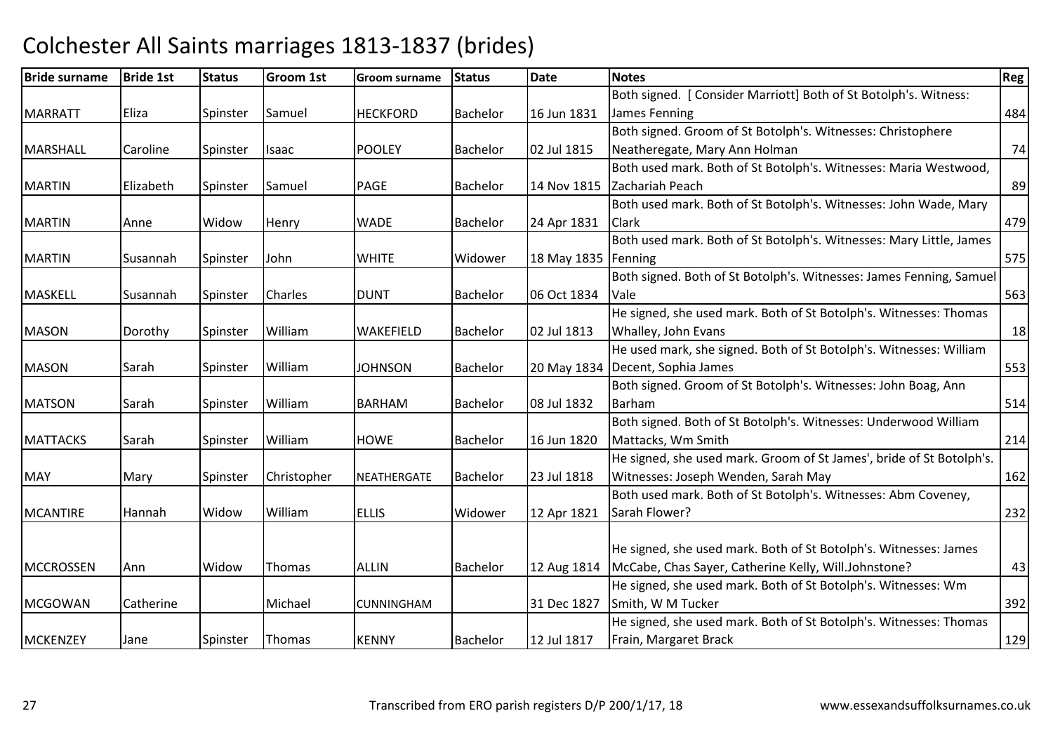| <b>Bride surname</b> | <b>Bride 1st</b> | <b>Status</b> | <b>Groom 1st</b> | <b>Groom surname</b> | <b>Status</b>   | <b>Date</b>           | <b>Notes</b>                                                         | <b>Reg</b> |
|----------------------|------------------|---------------|------------------|----------------------|-----------------|-----------------------|----------------------------------------------------------------------|------------|
|                      |                  |               |                  |                      |                 |                       | Both signed. [ Consider Marriott] Both of St Botolph's. Witness:     |            |
| <b>MARRATT</b>       | Eliza            | Spinster      | Samuel           | <b>HECKFORD</b>      | Bachelor        | 16 Jun 1831           | James Fenning                                                        | 484        |
|                      |                  |               |                  |                      |                 |                       | Both signed. Groom of St Botolph's. Witnesses: Christophere          |            |
| <b>MARSHALL</b>      | Caroline         | Spinster      | Isaac            | <b>POOLEY</b>        | <b>Bachelor</b> | 02 Jul 1815           | Neatheregate, Mary Ann Holman                                        | 74         |
|                      |                  |               |                  |                      |                 |                       | Both used mark. Both of St Botolph's. Witnesses: Maria Westwood,     |            |
| <b>MARTIN</b>        | Elizabeth        | Spinster      | Samuel           | <b>PAGE</b>          | <b>Bachelor</b> | 14 Nov 1815           | Zachariah Peach                                                      | 89         |
|                      |                  |               |                  |                      |                 |                       | Both used mark. Both of St Botolph's. Witnesses: John Wade, Mary     |            |
| <b>MARTIN</b>        | Anne             | Widow         | Henry            | <b>WADE</b>          | <b>Bachelor</b> | 24 Apr 1831           | <b>Clark</b>                                                         | 479        |
|                      |                  |               |                  |                      |                 |                       | Both used mark. Both of St Botolph's. Witnesses: Mary Little, James  |            |
| <b>MARTIN</b>        | Susannah         | Spinster      | John             | <b>WHITE</b>         | Widower         | 18 May 1835   Fenning |                                                                      | 575        |
|                      |                  |               |                  |                      |                 |                       | Both signed. Both of St Botolph's. Witnesses: James Fenning, Samuel  |            |
| <b>MASKELL</b>       | Susannah         | Spinster      | <b>Charles</b>   | <b>DUNT</b>          | Bachelor        | 06 Oct 1834           | Vale                                                                 | 563        |
|                      |                  |               |                  |                      |                 |                       | He signed, she used mark. Both of St Botolph's. Witnesses: Thomas    |            |
| <b>MASON</b>         | Dorothy          | Spinster      | William          | <b>WAKEFIELD</b>     | Bachelor        | 02 Jul 1813           | Whalley, John Evans                                                  | 18         |
|                      |                  |               |                  |                      |                 |                       | He used mark, she signed. Both of St Botolph's. Witnesses: William   |            |
| <b>MASON</b>         | Sarah            | Spinster      | William          | <b>JOHNSON</b>       | Bachelor        |                       | 20 May 1834   Decent, Sophia James                                   | 553        |
|                      |                  |               |                  |                      |                 |                       | Both signed. Groom of St Botolph's. Witnesses: John Boag, Ann        |            |
| <b>MATSON</b>        | Sarah            | Spinster      | William          | <b>BARHAM</b>        | <b>Bachelor</b> | 08 Jul 1832           | Barham                                                               | 514        |
|                      |                  |               |                  |                      |                 |                       | Both signed. Both of St Botolph's. Witnesses: Underwood William      |            |
| <b>MATTACKS</b>      | Sarah            | Spinster      | William          | <b>HOWE</b>          | <b>Bachelor</b> | 16 Jun 1820           | Mattacks, Wm Smith                                                   | 214        |
|                      |                  |               |                  |                      |                 |                       | He signed, she used mark. Groom of St James', bride of St Botolph's. |            |
| <b>MAY</b>           | Mary             | Spinster      | Christopher      | <b>NEATHERGATE</b>   | <b>Bachelor</b> | 23 Jul 1818           | Witnesses: Joseph Wenden, Sarah May                                  | 162        |
|                      |                  |               |                  |                      |                 |                       | Both used mark. Both of St Botolph's. Witnesses: Abm Coveney,        |            |
| <b>MCANTIRE</b>      | Hannah           | Widow         | William          | <b>ELLIS</b>         | Widower         | 12 Apr 1821           | Sarah Flower?                                                        | 232        |
|                      |                  |               |                  |                      |                 |                       |                                                                      |            |
|                      |                  |               |                  |                      |                 |                       | He signed, she used mark. Both of St Botolph's. Witnesses: James     |            |
| <b>MCCROSSEN</b>     | Ann              | Widow         | <b>Thomas</b>    | <b>ALLIN</b>         | <b>Bachelor</b> | 12 Aug 1814           | McCabe, Chas Sayer, Catherine Kelly, Will.Johnstone?                 | 43         |
|                      |                  |               |                  |                      |                 |                       | He signed, she used mark. Both of St Botolph's. Witnesses: Wm        |            |
| <b>MCGOWAN</b>       | Catherine        |               | Michael          | <b>CUNNINGHAM</b>    |                 | 31 Dec 1827           | Smith, W M Tucker                                                    | 392        |
|                      |                  |               |                  |                      |                 |                       | He signed, she used mark. Both of St Botolph's. Witnesses: Thomas    |            |
| <b>MCKENZEY</b>      | Jane             | Spinster      | Thomas           | <b>KENNY</b>         | Bachelor        | 12 Jul 1817           | Frain, Margaret Brack                                                | 129        |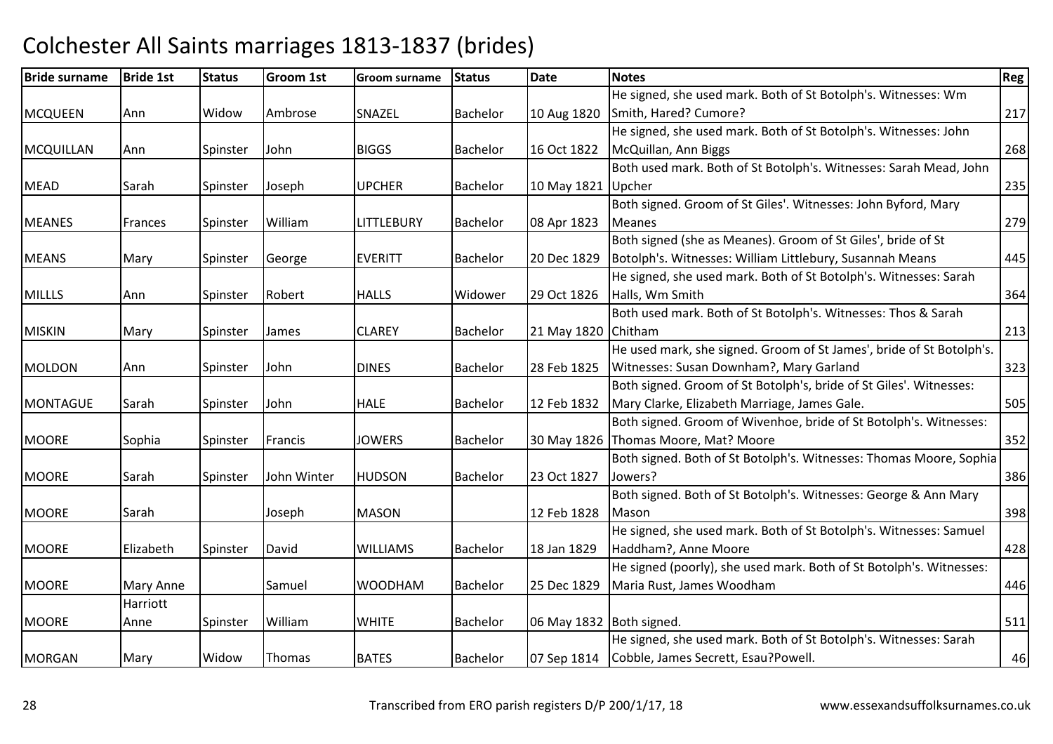| <b>Bride surname</b> | <b>Bride 1st</b> | <b>Status</b> | <b>Groom 1st</b> | <b>Groom surname</b> | <b>Status</b>   | <b>Date</b>              | <b>Notes</b>                                                         | <b>Reg</b> |
|----------------------|------------------|---------------|------------------|----------------------|-----------------|--------------------------|----------------------------------------------------------------------|------------|
|                      |                  |               |                  |                      |                 |                          | He signed, she used mark. Both of St Botolph's. Witnesses: Wm        |            |
| <b>MCQUEEN</b>       | Ann              | Widow         | Ambrose          | SNAZEL               | Bachelor        | 10 Aug 1820              | Smith, Hared? Cumore?                                                | 217        |
|                      |                  |               |                  |                      |                 |                          | He signed, she used mark. Both of St Botolph's. Witnesses: John      |            |
| <b>MCQUILLAN</b>     | Ann              | Spinster      | John             | <b>BIGGS</b>         | <b>Bachelor</b> | 16 Oct 1822              | McQuillan, Ann Biggs                                                 | 268        |
|                      |                  |               |                  |                      |                 |                          | Both used mark. Both of St Botolph's. Witnesses: Sarah Mead, John    |            |
| <b>MEAD</b>          | Sarah            | Spinster      | Joseph           | <b>UPCHER</b>        | Bachelor        | 10 May 1821 Upcher       |                                                                      | 235        |
|                      |                  |               |                  |                      |                 |                          | Both signed. Groom of St Giles'. Witnesses: John Byford, Mary        |            |
| <b>MEANES</b>        | Frances          | Spinster      | William          | <b>LITTLEBURY</b>    | Bachelor        | 08 Apr 1823              | <b>Meanes</b>                                                        | 279        |
|                      |                  |               |                  |                      |                 |                          | Both signed (she as Meanes). Groom of St Giles', bride of St         |            |
| <b>MEANS</b>         | Mary             | Spinster      | George           | <b>EVERITT</b>       | Bachelor        | 20 Dec 1829              | Botolph's. Witnesses: William Littlebury, Susannah Means             | 445        |
|                      |                  |               |                  |                      |                 |                          | He signed, she used mark. Both of St Botolph's. Witnesses: Sarah     |            |
| <b>MILLLS</b>        | Ann              | Spinster      | Robert           | <b>HALLS</b>         | Widower         | 29 Oct 1826              | Halls, Wm Smith                                                      | 364        |
|                      |                  |               |                  |                      |                 |                          | Both used mark. Both of St Botolph's. Witnesses: Thos & Sarah        |            |
| <b>MISKIN</b>        | Mary             | Spinster      | James            | <b>CLAREY</b>        | Bachelor        | 21 May 1820              | Chitham                                                              | 213        |
|                      |                  |               |                  |                      |                 |                          | He used mark, she signed. Groom of St James', bride of St Botolph's. |            |
| <b>MOLDON</b>        | Ann              | Spinster      | John             | <b>DINES</b>         | <b>Bachelor</b> | 28 Feb 1825              | Witnesses: Susan Downham?, Mary Garland                              | 323        |
|                      |                  |               |                  |                      |                 |                          | Both signed. Groom of St Botolph's, bride of St Giles'. Witnesses:   |            |
| <b>MONTAGUE</b>      | Sarah            | Spinster      | John             | <b>HALE</b>          | Bachelor        | 12 Feb 1832              | Mary Clarke, Elizabeth Marriage, James Gale.                         | 505        |
|                      |                  |               |                  |                      |                 |                          | Both signed. Groom of Wivenhoe, bride of St Botolph's. Witnesses:    |            |
| <b>MOORE</b>         | Sophia           | Spinster      | Francis          | <b>JOWERS</b>        | <b>Bachelor</b> |                          | 30 May 1826   Thomas Moore, Mat? Moore                               | 352        |
|                      |                  |               |                  |                      |                 |                          | Both signed. Both of St Botolph's. Witnesses: Thomas Moore, Sophia   |            |
| <b>MOORE</b>         | Sarah            | Spinster      | John Winter      | <b>HUDSON</b>        | Bachelor        | 23 Oct 1827              | Jowers?                                                              | 386        |
|                      |                  |               |                  |                      |                 |                          | Both signed. Both of St Botolph's. Witnesses: George & Ann Mary      |            |
| <b>MOORE</b>         | Sarah            |               | Joseph           | <b>MASON</b>         |                 | 12 Feb 1828              | Mason                                                                | 398        |
|                      |                  |               |                  |                      |                 |                          | He signed, she used mark. Both of St Botolph's. Witnesses: Samuel    |            |
| <b>MOORE</b>         | Elizabeth        | Spinster      | David            | <b>WILLIAMS</b>      | <b>Bachelor</b> | 18 Jan 1829              | Haddham?, Anne Moore                                                 | 428        |
|                      |                  |               |                  |                      |                 |                          | He signed (poorly), she used mark. Both of St Botolph's. Witnesses:  |            |
| <b>MOORE</b>         | Mary Anne        |               | Samuel           | <b>WOODHAM</b>       | <b>Bachelor</b> | 25 Dec 1829              | Maria Rust, James Woodham                                            | 446        |
|                      | Harriott         |               |                  |                      |                 |                          |                                                                      |            |
| <b>MOORE</b>         | Anne             | Spinster      | William          | <b>WHITE</b>         | Bachelor        | 06 May 1832 Both signed. |                                                                      | 511        |
|                      |                  |               |                  |                      |                 |                          | He signed, she used mark. Both of St Botolph's. Witnesses: Sarah     |            |
| <b>MORGAN</b>        | Mary             | Widow         | Thomas           | <b>BATES</b>         | <b>Bachelor</b> | 07 Sep 1814              | Cobble, James Secrett, Esau?Powell.                                  | 46         |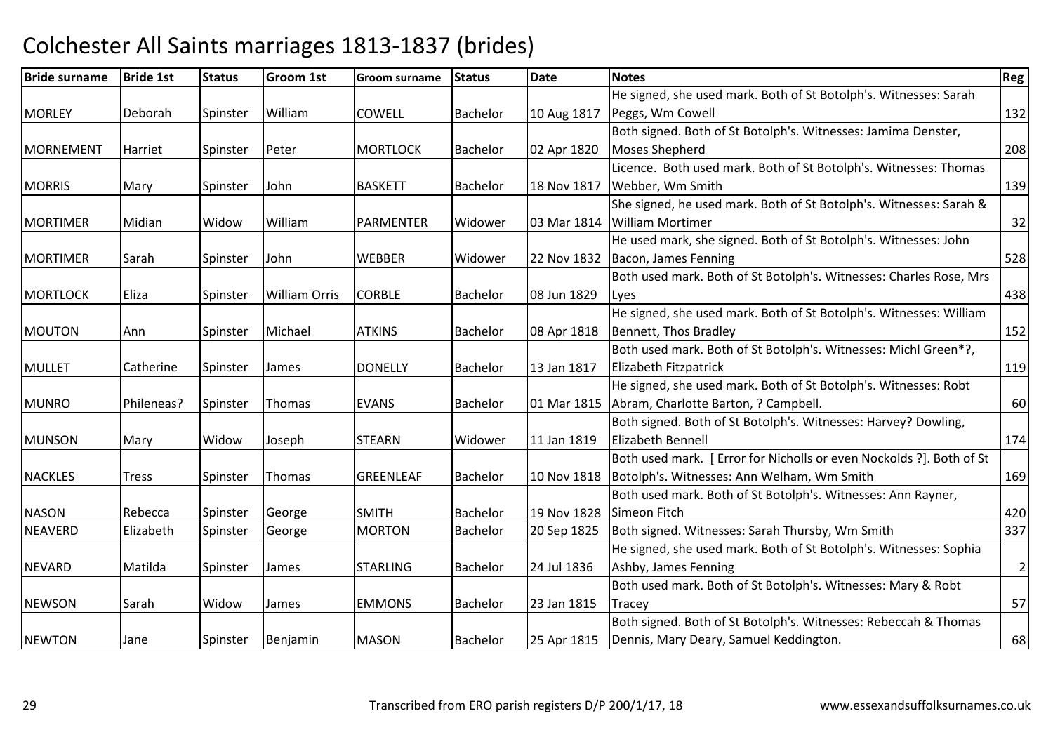| <b>Bride surname</b> | <b>Bride 1st</b> | <b>Status</b> | <b>Groom 1st</b>     | <b>Groom surname</b> | <b>Status</b>   | <b>Date</b> | <b>Notes</b>                                                         | <b>Reg</b>   |
|----------------------|------------------|---------------|----------------------|----------------------|-----------------|-------------|----------------------------------------------------------------------|--------------|
|                      |                  |               |                      |                      |                 |             | He signed, she used mark. Both of St Botolph's. Witnesses: Sarah     |              |
| <b>MORLEY</b>        | Deborah          | Spinster      | William              | <b>COWELL</b>        | Bachelor        | 10 Aug 1817 | Peggs, Wm Cowell                                                     | 132          |
|                      |                  |               |                      |                      |                 |             | Both signed. Both of St Botolph's. Witnesses: Jamima Denster,        |              |
| <b>MORNEMENT</b>     | Harriet          | Spinster      | Peter                | <b>MORTLOCK</b>      | Bachelor        | 02 Apr 1820 | <b>Moses Shepherd</b>                                                | 208          |
|                      |                  |               |                      |                      |                 |             | Licence. Both used mark. Both of St Botolph's. Witnesses: Thomas     |              |
| <b>MORRIS</b>        | Mary             | Spinster      | John                 | <b>BASKETT</b>       | Bachelor        | 18 Nov 1817 | Webber, Wm Smith                                                     | 139          |
|                      |                  |               |                      |                      |                 |             | She signed, he used mark. Both of St Botolph's. Witnesses: Sarah &   |              |
| <b>MORTIMER</b>      | Midian           | Widow         | William              | PARMENTER            | Widower         | 03 Mar 1814 | <b>William Mortimer</b>                                              | 32           |
|                      |                  |               |                      |                      |                 |             | He used mark, she signed. Both of St Botolph's. Witnesses: John      |              |
| <b>MORTIMER</b>      | Sarah            | Spinster      | John                 | <b>WEBBER</b>        | Widower         | 22 Nov 1832 | Bacon, James Fenning                                                 | 528          |
|                      |                  |               |                      |                      |                 |             | Both used mark. Both of St Botolph's. Witnesses: Charles Rose, Mrs   |              |
| <b>MORTLOCK</b>      | Eliza            | Spinster      | <b>William Orris</b> | <b>CORBLE</b>        | Bachelor        | 08 Jun 1829 | Lyes                                                                 | 438          |
|                      |                  |               |                      |                      |                 |             | He signed, she used mark. Both of St Botolph's. Witnesses: William   |              |
| <b>MOUTON</b>        | Ann              | Spinster      | Michael              | <b>ATKINS</b>        | Bachelor        | 08 Apr 1818 | Bennett, Thos Bradley                                                | 152          |
|                      |                  |               |                      |                      |                 |             | Both used mark. Both of St Botolph's. Witnesses: Michl Green*?,      |              |
| <b>MULLET</b>        | Catherine        | Spinster      | <b>James</b>         | <b>DONELLY</b>       | Bachelor        | 13 Jan 1817 | Elizabeth Fitzpatrick                                                | 119          |
|                      |                  |               |                      |                      |                 |             | He signed, she used mark. Both of St Botolph's. Witnesses: Robt      |              |
| <b>MUNRO</b>         | Phileneas?       | Spinster      | Thomas               | <b>EVANS</b>         | <b>Bachelor</b> | 01 Mar 1815 | Abram, Charlotte Barton, ? Campbell.                                 | 60           |
|                      |                  |               |                      |                      |                 |             | Both signed. Both of St Botolph's. Witnesses: Harvey? Dowling,       |              |
| <b>MUNSON</b>        | Mary             | Widow         | Joseph               | <b>STEARN</b>        | Widower         | 11 Jan 1819 | <b>Elizabeth Bennell</b>                                             | 174          |
|                      |                  |               |                      |                      |                 |             | Both used mark. [ Error for Nicholls or even Nockolds ?]. Both of St |              |
| <b>NACKLES</b>       | <b>Tress</b>     | Spinster      | Thomas               | <b>GREENLEAF</b>     | <b>Bachelor</b> | 10 Nov 1818 | Botolph's. Witnesses: Ann Welham, Wm Smith                           | 169          |
|                      |                  |               |                      |                      |                 |             | Both used mark. Both of St Botolph's. Witnesses: Ann Rayner,         |              |
| <b>NASON</b>         | Rebecca          | Spinster      | George               | <b>SMITH</b>         | <b>Bachelor</b> | 19 Nov 1828 | Simeon Fitch                                                         | 420          |
| <b>NEAVERD</b>       | Elizabeth        | Spinster      | George               | <b>MORTON</b>        | <b>Bachelor</b> | 20 Sep 1825 | Both signed. Witnesses: Sarah Thursby, Wm Smith                      | 337          |
|                      |                  |               |                      |                      |                 |             | He signed, she used mark. Both of St Botolph's. Witnesses: Sophia    |              |
| <b>NEVARD</b>        | Matilda          | Spinster      | James                | <b>STARLING</b>      | <b>Bachelor</b> | 24 Jul 1836 | Ashby, James Fenning                                                 | $\mathbf{2}$ |
|                      |                  |               |                      |                      |                 |             | Both used mark. Both of St Botolph's. Witnesses: Mary & Robt         |              |
| <b>NEWSON</b>        | Sarah            | Widow         | James                | <b>EMMONS</b>        | Bachelor        | 23 Jan 1815 | Tracey                                                               | 57           |
|                      |                  |               |                      |                      |                 |             | Both signed. Both of St Botolph's. Witnesses: Rebeccah & Thomas      |              |
| <b>NEWTON</b>        | Jane             | Spinster      | Benjamin             | <b>MASON</b>         | Bachelor        | 25 Apr 1815 | Dennis, Mary Deary, Samuel Keddington.                               | 68           |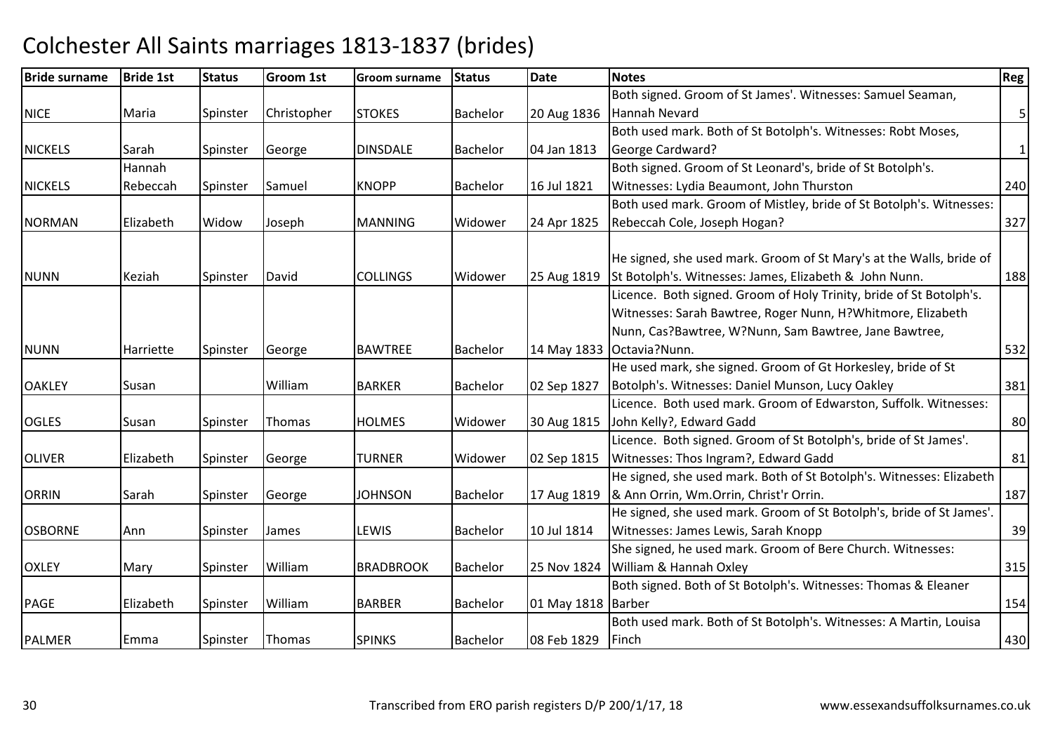| <b>Bride surname</b> | <b>Bride 1st</b> | <b>Status</b> | <b>Groom 1st</b> | <b>Groom surname</b> | <b>Status</b>   | <b>Date</b>        | <b>Notes</b>                                                         | <b>Reg</b>     |
|----------------------|------------------|---------------|------------------|----------------------|-----------------|--------------------|----------------------------------------------------------------------|----------------|
|                      |                  |               |                  |                      |                 |                    | Both signed. Groom of St James'. Witnesses: Samuel Seaman,           |                |
| <b>NICE</b>          | Maria            | Spinster      | Christopher      | <b>STOKES</b>        | Bachelor        | 20 Aug 1836        | Hannah Nevard                                                        | 5 <sup>1</sup> |
|                      |                  |               |                  |                      |                 |                    | Both used mark. Both of St Botolph's. Witnesses: Robt Moses,         |                |
| <b>NICKELS</b>       | Sarah            | Spinster      | George           | <b>DINSDALE</b>      | <b>Bachelor</b> | 04 Jan 1813        | <b>George Cardward?</b>                                              | $\vert$ 1      |
|                      | Hannah           |               |                  |                      |                 |                    | Both signed. Groom of St Leonard's, bride of St Botolph's.           |                |
| <b>NICKELS</b>       | Rebeccah         | Spinster      | Samuel           | <b>KNOPP</b>         | <b>Bachelor</b> | 16 Jul 1821        | Witnesses: Lydia Beaumont, John Thurston                             | 240            |
|                      |                  |               |                  |                      |                 |                    | Both used mark. Groom of Mistley, bride of St Botolph's. Witnesses:  |                |
| <b>NORMAN</b>        | Elizabeth        | Widow         | Joseph           | <b>MANNING</b>       | Widower         | 24 Apr 1825        | Rebeccah Cole, Joseph Hogan?                                         | 327            |
|                      |                  |               |                  |                      |                 |                    |                                                                      |                |
|                      |                  |               |                  |                      |                 |                    | He signed, she used mark. Groom of St Mary's at the Walls, bride of  |                |
| <b>NUNN</b>          | Keziah           | Spinster      | David            | <b>COLLINGS</b>      | Widower         | 25 Aug 1819        | St Botolph's. Witnesses: James, Elizabeth & John Nunn.               | 188            |
|                      |                  |               |                  |                      |                 |                    | Licence. Both signed. Groom of Holy Trinity, bride of St Botolph's.  |                |
|                      |                  |               |                  |                      |                 |                    | Witnesses: Sarah Bawtree, Roger Nunn, H?Whitmore, Elizabeth          |                |
|                      |                  |               |                  |                      |                 |                    | Nunn, Cas?Bawtree, W?Nunn, Sam Bawtree, Jane Bawtree,                |                |
| <b>NUNN</b>          | Harriette        | Spinster      | George           | <b>BAWTREE</b>       | <b>Bachelor</b> | 14 May 1833        | lOctavia?Nunn.                                                       | 532            |
|                      |                  |               |                  |                      |                 |                    | He used mark, she signed. Groom of Gt Horkesley, bride of St         |                |
| <b>OAKLEY</b>        | Susan            |               | William          | <b>BARKER</b>        | <b>Bachelor</b> | 02 Sep 1827        | Botolph's. Witnesses: Daniel Munson, Lucy Oakley                     | 381            |
|                      |                  |               |                  |                      |                 |                    | Licence. Both used mark. Groom of Edwarston, Suffolk. Witnesses:     |                |
| <b>OGLES</b>         | Susan            | Spinster      | Thomas           | <b>HOLMES</b>        | Widower         | 30 Aug 1815        | John Kelly?, Edward Gadd                                             | 80             |
|                      |                  |               |                  |                      |                 |                    | Licence. Both signed. Groom of St Botolph's, bride of St James'.     |                |
| <b>OLIVER</b>        | Elizabeth        | Spinster      | George           | <b>TURNER</b>        | Widower         | 02 Sep 1815        | Witnesses: Thos Ingram?, Edward Gadd                                 | 81             |
|                      |                  |               |                  |                      |                 |                    | He signed, she used mark. Both of St Botolph's. Witnesses: Elizabeth |                |
| <b>ORRIN</b>         | Sarah            | Spinster      | George           | <b>JOHNSON</b>       | <b>Bachelor</b> | 17 Aug 1819        | & Ann Orrin, Wm.Orrin, Christ'r Orrin.                               | 187            |
|                      |                  |               |                  |                      |                 |                    | He signed, she used mark. Groom of St Botolph's, bride of St James'. |                |
| <b>OSBORNE</b>       | Ann              | Spinster      | James            | LEWIS                | <b>Bachelor</b> | 10 Jul 1814        | Witnesses: James Lewis, Sarah Knopp                                  | 39             |
|                      |                  |               |                  |                      |                 |                    | She signed, he used mark. Groom of Bere Church. Witnesses:           |                |
| <b>OXLEY</b>         | Mary             | Spinster      | William          | <b>BRADBROOK</b>     | <b>Bachelor</b> | 25 Nov 1824        | William & Hannah Oxley                                               | 315            |
|                      |                  |               |                  |                      |                 |                    | Both signed. Both of St Botolph's. Witnesses: Thomas & Eleaner       |                |
| <b>PAGE</b>          | Elizabeth        | Spinster      | William          | <b>BARBER</b>        | <b>Bachelor</b> | 01 May 1818 Barber |                                                                      | 154            |
|                      |                  |               |                  |                      |                 |                    | Both used mark. Both of St Botolph's. Witnesses: A Martin, Louisa    |                |
| <b>PALMER</b>        | Emma             | Spinster      | Thomas           | <b>SPINKS</b>        | <b>Bachelor</b> | 08 Feb 1829        | Finch                                                                | 430            |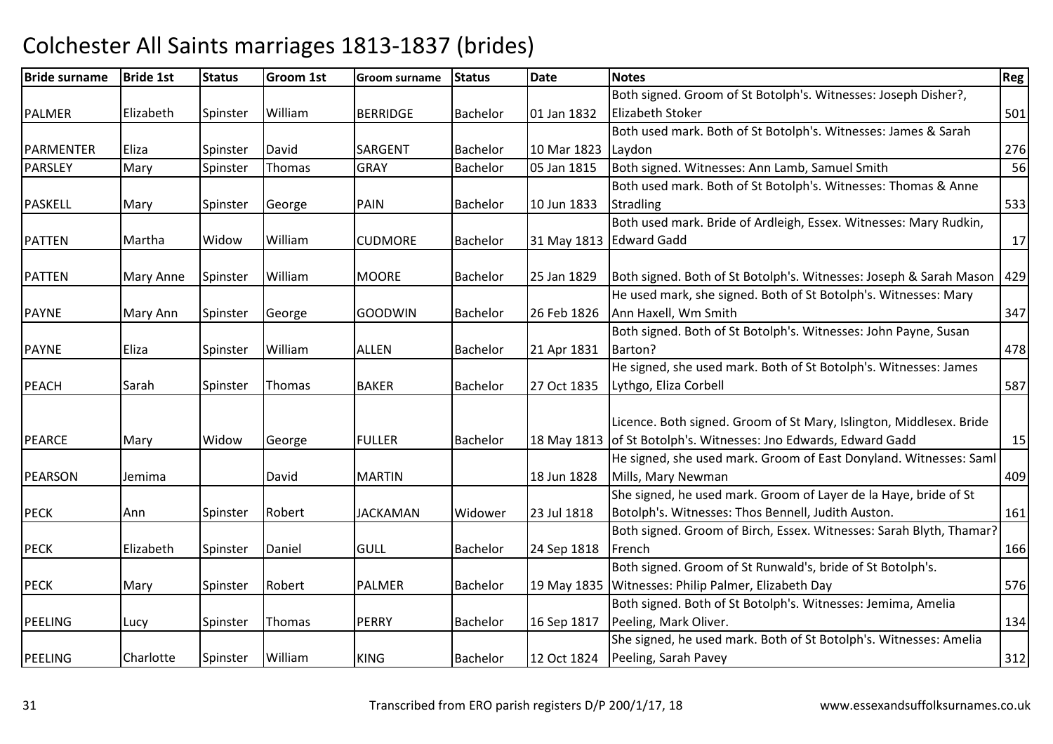| <b>Bride surname</b> | <b>Bride 1st</b> | <b>Status</b> | Groom 1st     | <b>Groom surname</b> | Status          | Date        | <b>Notes</b>                                                        | <b>Reg</b> |
|----------------------|------------------|---------------|---------------|----------------------|-----------------|-------------|---------------------------------------------------------------------|------------|
|                      |                  |               |               |                      |                 |             | Both signed. Groom of St Botolph's. Witnesses: Joseph Disher?,      |            |
| <b>PALMER</b>        | Elizabeth        | Spinster      | William       | <b>BERRIDGE</b>      | <b>Bachelor</b> | 01 Jan 1832 | Elizabeth Stoker                                                    | 501        |
|                      |                  |               |               |                      |                 |             | Both used mark. Both of St Botolph's. Witnesses: James & Sarah      |            |
| PARMENTER            | Eliza            | Spinster      | David         | <b>SARGENT</b>       | <b>Bachelor</b> | 10 Mar 1823 | Laydon                                                              | 276        |
| <b>PARSLEY</b>       | Mary             | Spinster      | Thomas        | <b>GRAY</b>          | <b>Bachelor</b> | 05 Jan 1815 | Both signed. Witnesses: Ann Lamb, Samuel Smith                      | 56         |
|                      |                  |               |               |                      |                 |             | Both used mark. Both of St Botolph's. Witnesses: Thomas & Anne      |            |
| <b>PASKELL</b>       | Mary             | Spinster      | George        | <b>PAIN</b>          | <b>Bachelor</b> | 10 Jun 1833 | Stradling                                                           | 533        |
|                      |                  |               |               |                      |                 |             | Both used mark. Bride of Ardleigh, Essex. Witnesses: Mary Rudkin,   |            |
| <b>PATTEN</b>        | Martha           | Widow         | William       | <b>CUDMORE</b>       | <b>Bachelor</b> |             | 31 May 1813 Edward Gadd                                             | 17         |
|                      |                  |               |               |                      |                 |             |                                                                     |            |
| <b>PATTEN</b>        | Mary Anne        | Spinster      | William       | <b>MOORE</b>         | <b>Bachelor</b> | 25 Jan 1829 | Both signed. Both of St Botolph's. Witnesses: Joseph & Sarah Mason  | 429        |
|                      |                  |               |               |                      |                 |             | He used mark, she signed. Both of St Botolph's. Witnesses: Mary     |            |
| <b>PAYNE</b>         | Mary Ann         | Spinster      | George        | <b>GOODWIN</b>       | <b>Bachelor</b> | 26 Feb 1826 | Ann Haxell, Wm Smith                                                | 347        |
|                      |                  |               |               |                      |                 |             | Both signed. Both of St Botolph's. Witnesses: John Payne, Susan     |            |
| <b>PAYNE</b>         | Eliza            | Spinster      | William       | <b>ALLEN</b>         | <b>Bachelor</b> | 21 Apr 1831 | Barton?                                                             | 478        |
|                      |                  |               |               |                      |                 |             | He signed, she used mark. Both of St Botolph's. Witnesses: James    |            |
| <b>PEACH</b>         | Sarah            | Spinster      | <b>Thomas</b> | <b>BAKER</b>         | <b>Bachelor</b> | 27 Oct 1835 | Lythgo, Eliza Corbell                                               | 587        |
|                      |                  |               |               |                      |                 |             |                                                                     |            |
|                      |                  |               |               |                      |                 |             | Licence. Both signed. Groom of St Mary, Islington, Middlesex. Bride |            |
| <b>PEARCE</b>        | Mary             | Widow         | George        | <b>FULLER</b>        | <b>Bachelor</b> |             | 18 May 1813 of St Botolph's. Witnesses: Jno Edwards, Edward Gadd    | 15         |
|                      |                  |               |               |                      |                 |             | He signed, she used mark. Groom of East Donyland. Witnesses: Saml   |            |
| <b>PEARSON</b>       | Jemima           |               | David         | <b>MARTIN</b>        |                 | 18 Jun 1828 | Mills, Mary Newman                                                  | 409        |
|                      |                  |               |               |                      |                 |             | She signed, he used mark. Groom of Layer de la Haye, bride of St    |            |
| <b>PECK</b>          | Ann              | Spinster      | Robert        | <b>JACKAMAN</b>      | Widower         | 23 Jul 1818 | Botolph's. Witnesses: Thos Bennell, Judith Auston.                  | 161        |
|                      |                  |               |               |                      |                 |             | Both signed. Groom of Birch, Essex. Witnesses: Sarah Blyth, Thamar? |            |
| <b>PECK</b>          | Elizabeth        | Spinster      | Daniel        | <b>GULL</b>          | <b>Bachelor</b> | 24 Sep 1818 | French                                                              | 166        |
|                      |                  |               |               |                      |                 |             | Both signed. Groom of St Runwald's, bride of St Botolph's.          |            |
| <b>PECK</b>          | Mary             | Spinster      | Robert        | <b>PALMER</b>        | <b>Bachelor</b> |             | 19 May 1835   Witnesses: Philip Palmer, Elizabeth Day               | 576        |
|                      |                  |               |               |                      |                 |             | Both signed. Both of St Botolph's. Witnesses: Jemima, Amelia        |            |
| <b>PEELING</b>       | Lucy             | Spinster      | Thomas        | PERRY                | <b>Bachelor</b> | 16 Sep 1817 | Peeling, Mark Oliver.                                               | 134        |
|                      |                  |               |               |                      |                 |             | She signed, he used mark. Both of St Botolph's. Witnesses: Amelia   |            |
| PEELING              | Charlotte        | Spinster      | William       | <b>KING</b>          | <b>Bachelor</b> | 12 Oct 1824 | Peeling, Sarah Pavey                                                | 312        |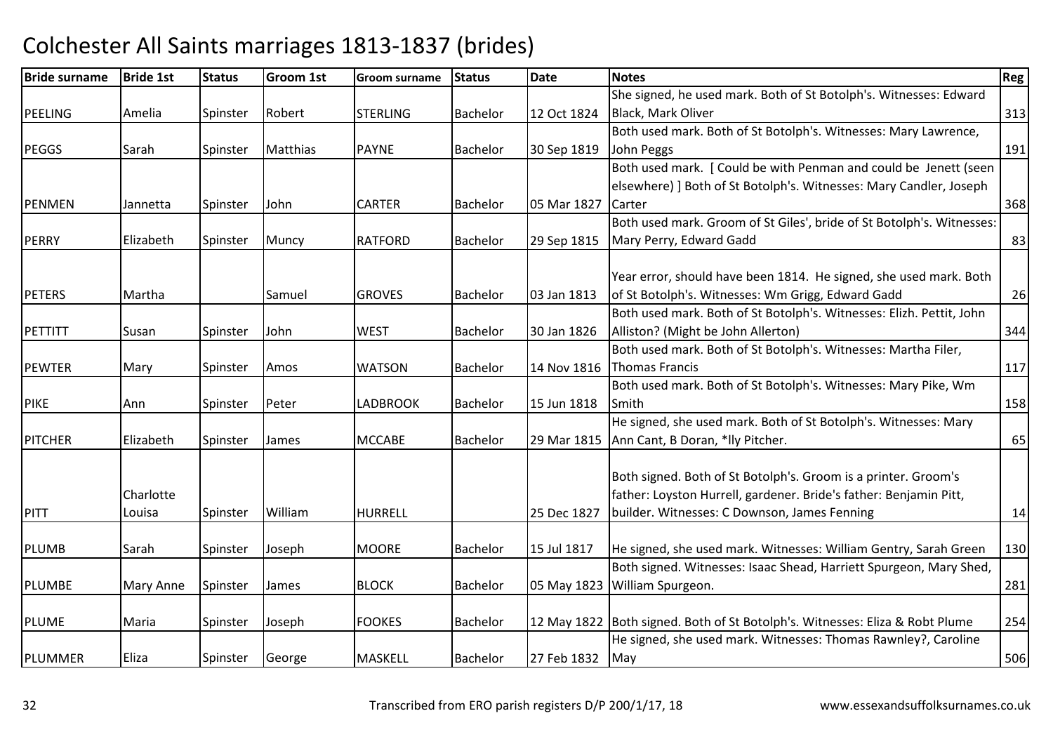| <b>Bride surname</b> | <b>Bride 1st</b> | <b>Status</b> | <b>Groom 1st</b> | <b>Groom surname</b> | <b>Status</b>   | Date        | <b>Notes</b>                                                                 | <b>Reg</b> |
|----------------------|------------------|---------------|------------------|----------------------|-----------------|-------------|------------------------------------------------------------------------------|------------|
|                      |                  |               |                  |                      |                 |             | She signed, he used mark. Both of St Botolph's. Witnesses: Edward            |            |
| <b>PEELING</b>       | Amelia           | Spinster      | Robert           | <b>STERLING</b>      | <b>Bachelor</b> | 12 Oct 1824 | Black, Mark Oliver                                                           | 313        |
|                      |                  |               |                  |                      |                 |             | Both used mark. Both of St Botolph's. Witnesses: Mary Lawrence,              |            |
| <b>PEGGS</b>         | Sarah            | Spinster      | Matthias         | <b>PAYNE</b>         | <b>Bachelor</b> | 30 Sep 1819 | John Peggs                                                                   | 191        |
|                      |                  |               |                  |                      |                 |             | Both used mark. [ Could be with Penman and could be Jenett (seen             |            |
|                      |                  |               |                  |                      |                 |             | elsewhere) ] Both of St Botolph's. Witnesses: Mary Candler, Joseph           |            |
| <b>PENMEN</b>        | Jannetta         | Spinster      | John             | <b>CARTER</b>        | <b>Bachelor</b> | 05 Mar 1827 | Carter                                                                       | 368        |
|                      |                  |               |                  |                      |                 |             | Both used mark. Groom of St Giles', bride of St Botolph's. Witnesses:        |            |
| PERRY                | Elizabeth        | Spinster      | Muncy            | <b>RATFORD</b>       | <b>Bachelor</b> | 29 Sep 1815 | Mary Perry, Edward Gadd                                                      | 83         |
|                      |                  |               |                  |                      |                 |             |                                                                              |            |
|                      |                  |               |                  |                      |                 |             | Year error, should have been 1814. He signed, she used mark. Both            |            |
| <b>PETERS</b>        | Martha           |               | Samuel           | <b>GROVES</b>        | <b>Bachelor</b> | 03 Jan 1813 | of St Botolph's. Witnesses: Wm Grigg, Edward Gadd                            | 26         |
|                      |                  |               |                  |                      |                 |             | Both used mark. Both of St Botolph's. Witnesses: Elizh. Pettit, John         |            |
| PETTITT              | Susan            | Spinster      | John             | <b>WEST</b>          | <b>Bachelor</b> | 30 Jan 1826 | Alliston? (Might be John Allerton)                                           | 344        |
|                      |                  |               |                  |                      |                 |             | Both used mark. Both of St Botolph's. Witnesses: Martha Filer,               |            |
| <b>PEWTER</b>        | Mary             | Spinster      | Amos             | <b>WATSON</b>        | <b>Bachelor</b> | 14 Nov 1816 | <b>Thomas Francis</b>                                                        | 117        |
|                      |                  |               |                  |                      |                 |             | Both used mark. Both of St Botolph's. Witnesses: Mary Pike, Wm               |            |
| <b>PIKE</b>          | Ann              | Spinster      | Peter            | <b>LADBROOK</b>      | <b>Bachelor</b> | 15 Jun 1818 | Smith                                                                        | 158        |
|                      |                  |               |                  |                      |                 |             | He signed, she used mark. Both of St Botolph's. Witnesses: Mary              |            |
| <b>PITCHER</b>       | Elizabeth        | Spinster      | James            | <b>MCCABE</b>        | <b>Bachelor</b> | 29 Mar 1815 | Ann Cant, B Doran, *lly Pitcher.                                             | 65         |
|                      |                  |               |                  |                      |                 |             |                                                                              |            |
|                      |                  |               |                  |                      |                 |             | Both signed. Both of St Botolph's. Groom is a printer. Groom's               |            |
|                      | Charlotte        |               |                  |                      |                 |             | father: Loyston Hurrell, gardener. Bride's father: Benjamin Pitt,            |            |
| <b>PITT</b>          | Louisa           | Spinster      | William          | <b>HURRELL</b>       |                 | 25 Dec 1827 | builder. Witnesses: C Downson, James Fenning                                 | 14         |
|                      |                  |               |                  |                      |                 |             |                                                                              |            |
| <b>PLUMB</b>         | Sarah            | Spinster      | Joseph           | <b>MOORE</b>         | <b>Bachelor</b> | 15 Jul 1817 | He signed, she used mark. Witnesses: William Gentry, Sarah Green             | 130        |
|                      |                  |               |                  |                      |                 |             | Both signed. Witnesses: Isaac Shead, Harriett Spurgeon, Mary Shed,           |            |
| <b>PLUMBE</b>        | Mary Anne        | Spinster      | James            | <b>BLOCK</b>         | <b>Bachelor</b> | 05 May 1823 | William Spurgeon.                                                            | 281        |
|                      |                  |               |                  |                      |                 |             |                                                                              |            |
| <b>PLUME</b>         | Maria            | Spinster      | Joseph           | <b>FOOKES</b>        | <b>Bachelor</b> |             | 12 May 1822 Both signed. Both of St Botolph's. Witnesses: Eliza & Robt Plume | 254        |
|                      |                  |               |                  |                      |                 |             | He signed, she used mark. Witnesses: Thomas Rawnley?, Caroline               |            |
| PLUMMER              | Eliza            | Spinster      | George           | <b>MASKELL</b>       | <b>Bachelor</b> | 27 Feb 1832 | May                                                                          | 506        |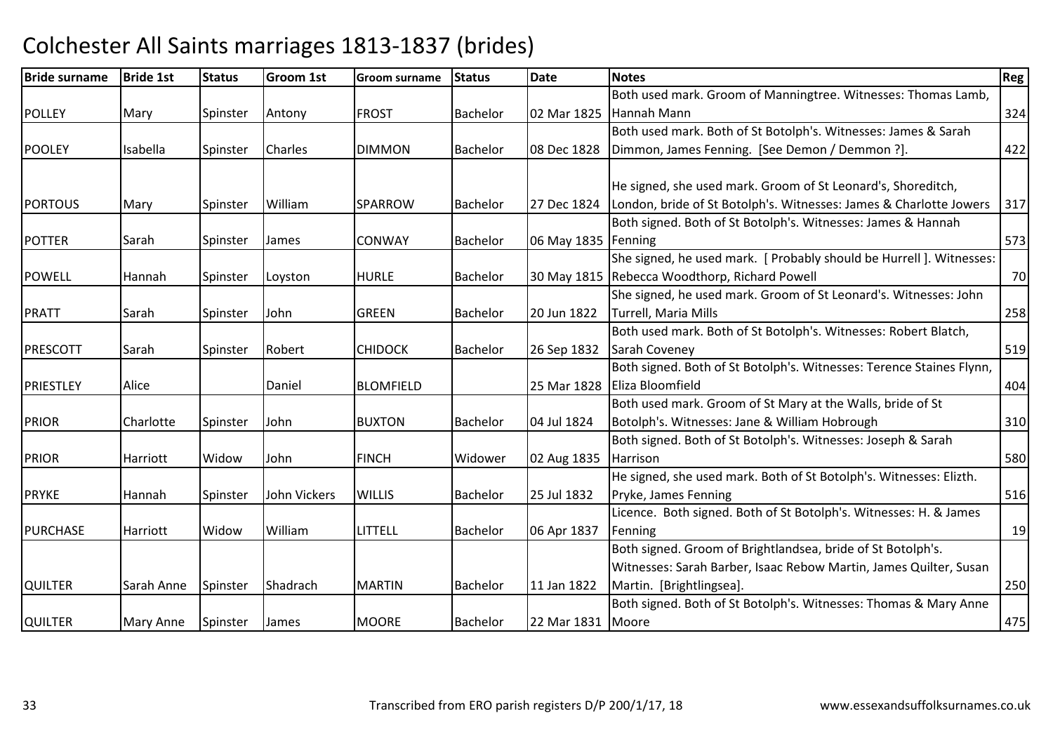| <b>Bride surname</b> | <b>Bride 1st</b> | <b>Status</b> | <b>Groom 1st</b> | Groom surname    | <b>Status</b>   | <b>Date</b>           | <b>Notes</b>                                                         | <b>Reg</b> |
|----------------------|------------------|---------------|------------------|------------------|-----------------|-----------------------|----------------------------------------------------------------------|------------|
|                      |                  |               |                  |                  |                 |                       | Both used mark. Groom of Manningtree. Witnesses: Thomas Lamb,        |            |
| <b>POLLEY</b>        | Mary             | Spinster      | Antony           | <b>FROST</b>     | <b>Bachelor</b> |                       | 02 Mar 1825 Hannah Mann                                              | 324        |
|                      |                  |               |                  |                  |                 |                       | Both used mark. Both of St Botolph's. Witnesses: James & Sarah       |            |
| <b>POOLEY</b>        | Isabella         | Spinster      | <b>Charles</b>   | <b>DIMMON</b>    | <b>Bachelor</b> | 08 Dec 1828           | Dimmon, James Fenning. [See Demon / Demmon ?].                       | 422        |
|                      |                  |               |                  |                  |                 |                       |                                                                      |            |
|                      |                  |               |                  |                  |                 |                       | He signed, she used mark. Groom of St Leonard's, Shoreditch,         |            |
| <b>PORTOUS</b>       | Mary             | Spinster      | William          | <b>SPARROW</b>   | <b>Bachelor</b> | 27 Dec 1824           | London, bride of St Botolph's. Witnesses: James & Charlotte Jowers   | 317        |
|                      |                  |               |                  |                  |                 |                       | Both signed. Both of St Botolph's. Witnesses: James & Hannah         |            |
| <b>POTTER</b>        | Sarah            | Spinster      | James            | <b>CONWAY</b>    | <b>Bachelor</b> | 06 May 1835   Fenning |                                                                      | 573        |
|                      |                  |               |                  |                  |                 |                       | She signed, he used mark. [ Probably should be Hurrell ]. Witnesses: |            |
| <b>POWELL</b>        | Hannah           | Spinster      | Loyston          | <b>HURLE</b>     | <b>Bachelor</b> |                       | 30 May 1815 Rebecca Woodthorp, Richard Powell                        | 70         |
|                      |                  |               |                  |                  |                 |                       | She signed, he used mark. Groom of St Leonard's. Witnesses: John     |            |
| <b>PRATT</b>         | Sarah            | Spinster      | John             | <b>GREEN</b>     | <b>Bachelor</b> | 20 Jun 1822           | Turrell, Maria Mills                                                 | 258        |
|                      |                  |               |                  |                  |                 |                       | Both used mark. Both of St Botolph's. Witnesses: Robert Blatch,      |            |
| <b>PRESCOTT</b>      | <b>Sarah</b>     | Spinster      | Robert           | <b>CHIDOCK</b>   | <b>Bachelor</b> | 26 Sep 1832           | Sarah Coveney                                                        | 519        |
|                      |                  |               |                  |                  |                 |                       | Both signed. Both of St Botolph's. Witnesses: Terence Staines Flynn, |            |
| PRIESTLEY            | Alice            |               | Daniel           | <b>BLOMFIELD</b> |                 | 25 Mar 1828           | Eliza Bloomfield                                                     | 404        |
|                      |                  |               |                  |                  |                 |                       | Both used mark. Groom of St Mary at the Walls, bride of St           |            |
| <b>PRIOR</b>         | Charlotte        | Spinster      | John             | <b>BUXTON</b>    | <b>Bachelor</b> | 04 Jul 1824           | Botolph's. Witnesses: Jane & William Hobrough                        | 310        |
|                      |                  |               |                  |                  |                 |                       | Both signed. Both of St Botolph's. Witnesses: Joseph & Sarah         |            |
| <b>PRIOR</b>         | Harriott         | Widow         | John             | <b>FINCH</b>     | Widower         | 02 Aug 1835           | Harrison                                                             | 580        |
|                      |                  |               |                  |                  |                 |                       | He signed, she used mark. Both of St Botolph's. Witnesses: Elizth.   |            |
| <b>PRYKE</b>         | Hannah           | Spinster      | John Vickers     | <b>WILLIS</b>    | <b>Bachelor</b> | 25 Jul 1832           | Pryke, James Fenning                                                 | 516        |
|                      |                  |               |                  |                  |                 |                       | Licence. Both signed. Both of St Botolph's. Witnesses: H. & James    |            |
| <b>PURCHASE</b>      | Harriott         | Widow         | William          | LITTELL          | <b>Bachelor</b> | 06 Apr 1837           | Fenning                                                              | 19         |
|                      |                  |               |                  |                  |                 |                       | Both signed. Groom of Brightlandsea, bride of St Botolph's.          |            |
|                      |                  |               |                  |                  |                 |                       | Witnesses: Sarah Barber, Isaac Rebow Martin, James Quilter, Susan    |            |
| <b>QUILTER</b>       | Sarah Anne       | Spinster      | Shadrach         | <b>MARTIN</b>    | Bachelor        | 11 Jan 1822           | Martin. [Brightlingsea].                                             | 250        |
|                      |                  |               |                  |                  |                 |                       | Both signed. Both of St Botolph's. Witnesses: Thomas & Mary Anne     |            |
| <b>QUILTER</b>       | Mary Anne        | Spinster      | James            | <b>MOORE</b>     | <b>Bachelor</b> | 22 Mar 1831   Moore   |                                                                      | 475        |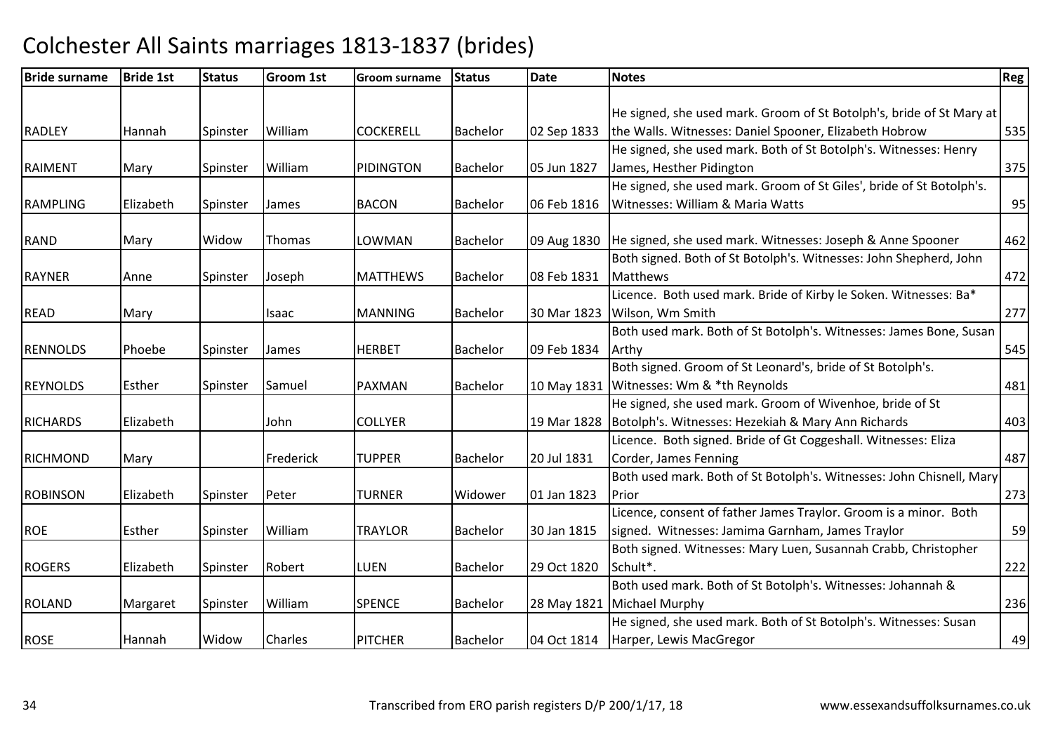| He signed, she used mark. Groom of St Botolph's, bride of St Mary at<br>the Walls. Witnesses: Daniel Spooner, Elizabeth Hobrow<br>535<br>William<br><b>COCKERELL</b><br><b>Bachelor</b><br>02 Sep 1833<br>Hannah<br>Spinster<br>He signed, she used mark. Both of St Botolph's. Witnesses: Henry<br>William<br>James, Hesther Pidington<br>375<br>Mary<br>Spinster<br>PIDINGTON<br>05 Jun 1827<br><b>Bachelor</b><br>He signed, she used mark. Groom of St Giles', bride of St Botolph's.<br>95<br>06 Feb 1816<br>Witnesses: William & Maria Watts<br>Elizabeth<br><b>BACON</b><br><b>Bachelor</b><br>Spinster<br>James<br>He signed, she used mark. Witnesses: Joseph & Anne Spooner<br>462<br>09 Aug 1830<br>Widow<br>Thomas<br>LOWMAN<br><b>Bachelor</b><br>Mary<br>Both signed. Both of St Botolph's. Witnesses: John Shepherd, John<br>08 Feb 1831<br><b>Matthews</b><br>472<br>Joseph<br><b>MATTHEWS</b><br><b>Bachelor</b><br>Spinster<br>Anne<br>Licence. Both used mark. Bride of Kirby le Soken. Witnesses: Ba*<br>Wilson, Wm Smith<br><b>Bachelor</b><br>30 Mar 1823<br>Mary<br><b>Isaac</b><br><b>MANNING</b><br>Both used mark. Both of St Botolph's. Witnesses: James Bone, Susan<br>09 Feb 1834<br><b>HERBET</b><br><b>Bachelor</b><br>Phoebe<br>Spinster<br>James<br>Arthy<br>Both signed. Groom of St Leonard's, bride of St Botolph's.<br>Witnesses: Wm & *th Reynolds<br>Esther<br>Samuel<br><b>PAXMAN</b><br><b>Bachelor</b><br>10 May 1831<br>481<br>Spinster<br>He signed, she used mark. Groom of Wivenhoe, bride of St<br>Botolph's. Witnesses: Hezekiah & Mary Ann Richards<br>403<br>Elizabeth<br>John<br><b>COLLYER</b><br>19 Mar 1828<br>Licence. Both signed. Bride of Gt Coggeshall. Witnesses: Eliza<br>Frederick<br><b>TUPPER</b><br><b>Bachelor</b><br>20 Jul 1831<br>Corder, James Fenning<br>Mary<br>Both used mark. Both of St Botolph's. Witnesses: John Chisnell, Mary<br>01 Jan 1823<br>Elizabeth<br>Peter<br><b>TURNER</b><br>Widower<br>Prior<br>273<br>Spinster<br>Licence, consent of father James Traylor. Groom is a minor. Both<br>William<br>signed. Witnesses: Jamima Garnham, James Traylor<br>Esther<br><b>TRAYLOR</b><br><b>Bachelor</b><br>30 Jan 1815<br>Spinster<br>Both signed. Witnesses: Mary Luen, Susannah Crabb, Christopher<br>Robert<br>Schult*.<br>222<br>Elizabeth<br>LUEN<br>29 Oct 1820<br>Spinster<br><b>Bachelor</b><br>Both used mark. Both of St Botolph's. Witnesses: Johannah &<br>William<br>Michael Murphy<br>236<br><b>SPENCE</b><br><b>Bachelor</b><br>28 May 1821<br>Margaret<br>Spinster<br>He signed, she used mark. Both of St Botolph's. Witnesses: Susan<br>Charles<br>Harper, Lewis MacGregor<br>Widow<br><b>PITCHER</b><br><b>Bachelor</b><br>04 Oct 1814<br>Hannah | <b>Bride surname</b> | <b>Bride 1st</b> | <b>Status</b> | <b>Groom 1st</b> | <b>Groom surname</b> | <b>Status</b> | <b>Date</b> | <b>Notes</b> | <b>Reg</b> |
|---------------------------------------------------------------------------------------------------------------------------------------------------------------------------------------------------------------------------------------------------------------------------------------------------------------------------------------------------------------------------------------------------------------------------------------------------------------------------------------------------------------------------------------------------------------------------------------------------------------------------------------------------------------------------------------------------------------------------------------------------------------------------------------------------------------------------------------------------------------------------------------------------------------------------------------------------------------------------------------------------------------------------------------------------------------------------------------------------------------------------------------------------------------------------------------------------------------------------------------------------------------------------------------------------------------------------------------------------------------------------------------------------------------------------------------------------------------------------------------------------------------------------------------------------------------------------------------------------------------------------------------------------------------------------------------------------------------------------------------------------------------------------------------------------------------------------------------------------------------------------------------------------------------------------------------------------------------------------------------------------------------------------------------------------------------------------------------------------------------------------------------------------------------------------------------------------------------------------------------------------------------------------------------------------------------------------------------------------------------------------------------------------------------------------------------------------------------------------------------------------------------------------------------------------------------------------------------------------------------------------------------------------------------------------------------------------------------------------------------------------------|----------------------|------------------|---------------|------------------|----------------------|---------------|-------------|--------------|------------|
|                                                                                                                                                                                                                                                                                                                                                                                                                                                                                                                                                                                                                                                                                                                                                                                                                                                                                                                                                                                                                                                                                                                                                                                                                                                                                                                                                                                                                                                                                                                                                                                                                                                                                                                                                                                                                                                                                                                                                                                                                                                                                                                                                                                                                                                                                                                                                                                                                                                                                                                                                                                                                                                                                                                                                         |                      |                  |               |                  |                      |               |             |              |            |
| 277<br>545<br>487<br>59<br>49                                                                                                                                                                                                                                                                                                                                                                                                                                                                                                                                                                                                                                                                                                                                                                                                                                                                                                                                                                                                                                                                                                                                                                                                                                                                                                                                                                                                                                                                                                                                                                                                                                                                                                                                                                                                                                                                                                                                                                                                                                                                                                                                                                                                                                                                                                                                                                                                                                                                                                                                                                                                                                                                                                                           |                      |                  |               |                  |                      |               |             |              |            |
|                                                                                                                                                                                                                                                                                                                                                                                                                                                                                                                                                                                                                                                                                                                                                                                                                                                                                                                                                                                                                                                                                                                                                                                                                                                                                                                                                                                                                                                                                                                                                                                                                                                                                                                                                                                                                                                                                                                                                                                                                                                                                                                                                                                                                                                                                                                                                                                                                                                                                                                                                                                                                                                                                                                                                         | <b>RADLEY</b>        |                  |               |                  |                      |               |             |              |            |
|                                                                                                                                                                                                                                                                                                                                                                                                                                                                                                                                                                                                                                                                                                                                                                                                                                                                                                                                                                                                                                                                                                                                                                                                                                                                                                                                                                                                                                                                                                                                                                                                                                                                                                                                                                                                                                                                                                                                                                                                                                                                                                                                                                                                                                                                                                                                                                                                                                                                                                                                                                                                                                                                                                                                                         |                      |                  |               |                  |                      |               |             |              |            |
|                                                                                                                                                                                                                                                                                                                                                                                                                                                                                                                                                                                                                                                                                                                                                                                                                                                                                                                                                                                                                                                                                                                                                                                                                                                                                                                                                                                                                                                                                                                                                                                                                                                                                                                                                                                                                                                                                                                                                                                                                                                                                                                                                                                                                                                                                                                                                                                                                                                                                                                                                                                                                                                                                                                                                         | <b>RAIMENT</b>       |                  |               |                  |                      |               |             |              |            |
|                                                                                                                                                                                                                                                                                                                                                                                                                                                                                                                                                                                                                                                                                                                                                                                                                                                                                                                                                                                                                                                                                                                                                                                                                                                                                                                                                                                                                                                                                                                                                                                                                                                                                                                                                                                                                                                                                                                                                                                                                                                                                                                                                                                                                                                                                                                                                                                                                                                                                                                                                                                                                                                                                                                                                         |                      |                  |               |                  |                      |               |             |              |            |
|                                                                                                                                                                                                                                                                                                                                                                                                                                                                                                                                                                                                                                                                                                                                                                                                                                                                                                                                                                                                                                                                                                                                                                                                                                                                                                                                                                                                                                                                                                                                                                                                                                                                                                                                                                                                                                                                                                                                                                                                                                                                                                                                                                                                                                                                                                                                                                                                                                                                                                                                                                                                                                                                                                                                                         | <b>RAMPLING</b>      |                  |               |                  |                      |               |             |              |            |
|                                                                                                                                                                                                                                                                                                                                                                                                                                                                                                                                                                                                                                                                                                                                                                                                                                                                                                                                                                                                                                                                                                                                                                                                                                                                                                                                                                                                                                                                                                                                                                                                                                                                                                                                                                                                                                                                                                                                                                                                                                                                                                                                                                                                                                                                                                                                                                                                                                                                                                                                                                                                                                                                                                                                                         |                      |                  |               |                  |                      |               |             |              |            |
|                                                                                                                                                                                                                                                                                                                                                                                                                                                                                                                                                                                                                                                                                                                                                                                                                                                                                                                                                                                                                                                                                                                                                                                                                                                                                                                                                                                                                                                                                                                                                                                                                                                                                                                                                                                                                                                                                                                                                                                                                                                                                                                                                                                                                                                                                                                                                                                                                                                                                                                                                                                                                                                                                                                                                         | <b>RAND</b>          |                  |               |                  |                      |               |             |              |            |
|                                                                                                                                                                                                                                                                                                                                                                                                                                                                                                                                                                                                                                                                                                                                                                                                                                                                                                                                                                                                                                                                                                                                                                                                                                                                                                                                                                                                                                                                                                                                                                                                                                                                                                                                                                                                                                                                                                                                                                                                                                                                                                                                                                                                                                                                                                                                                                                                                                                                                                                                                                                                                                                                                                                                                         |                      |                  |               |                  |                      |               |             |              |            |
|                                                                                                                                                                                                                                                                                                                                                                                                                                                                                                                                                                                                                                                                                                                                                                                                                                                                                                                                                                                                                                                                                                                                                                                                                                                                                                                                                                                                                                                                                                                                                                                                                                                                                                                                                                                                                                                                                                                                                                                                                                                                                                                                                                                                                                                                                                                                                                                                                                                                                                                                                                                                                                                                                                                                                         | <b>RAYNER</b>        |                  |               |                  |                      |               |             |              |            |
|                                                                                                                                                                                                                                                                                                                                                                                                                                                                                                                                                                                                                                                                                                                                                                                                                                                                                                                                                                                                                                                                                                                                                                                                                                                                                                                                                                                                                                                                                                                                                                                                                                                                                                                                                                                                                                                                                                                                                                                                                                                                                                                                                                                                                                                                                                                                                                                                                                                                                                                                                                                                                                                                                                                                                         |                      |                  |               |                  |                      |               |             |              |            |
|                                                                                                                                                                                                                                                                                                                                                                                                                                                                                                                                                                                                                                                                                                                                                                                                                                                                                                                                                                                                                                                                                                                                                                                                                                                                                                                                                                                                                                                                                                                                                                                                                                                                                                                                                                                                                                                                                                                                                                                                                                                                                                                                                                                                                                                                                                                                                                                                                                                                                                                                                                                                                                                                                                                                                         | <b>READ</b>          |                  |               |                  |                      |               |             |              |            |
|                                                                                                                                                                                                                                                                                                                                                                                                                                                                                                                                                                                                                                                                                                                                                                                                                                                                                                                                                                                                                                                                                                                                                                                                                                                                                                                                                                                                                                                                                                                                                                                                                                                                                                                                                                                                                                                                                                                                                                                                                                                                                                                                                                                                                                                                                                                                                                                                                                                                                                                                                                                                                                                                                                                                                         |                      |                  |               |                  |                      |               |             |              |            |
|                                                                                                                                                                                                                                                                                                                                                                                                                                                                                                                                                                                                                                                                                                                                                                                                                                                                                                                                                                                                                                                                                                                                                                                                                                                                                                                                                                                                                                                                                                                                                                                                                                                                                                                                                                                                                                                                                                                                                                                                                                                                                                                                                                                                                                                                                                                                                                                                                                                                                                                                                                                                                                                                                                                                                         | <b>RENNOLDS</b>      |                  |               |                  |                      |               |             |              |            |
|                                                                                                                                                                                                                                                                                                                                                                                                                                                                                                                                                                                                                                                                                                                                                                                                                                                                                                                                                                                                                                                                                                                                                                                                                                                                                                                                                                                                                                                                                                                                                                                                                                                                                                                                                                                                                                                                                                                                                                                                                                                                                                                                                                                                                                                                                                                                                                                                                                                                                                                                                                                                                                                                                                                                                         |                      |                  |               |                  |                      |               |             |              |            |
|                                                                                                                                                                                                                                                                                                                                                                                                                                                                                                                                                                                                                                                                                                                                                                                                                                                                                                                                                                                                                                                                                                                                                                                                                                                                                                                                                                                                                                                                                                                                                                                                                                                                                                                                                                                                                                                                                                                                                                                                                                                                                                                                                                                                                                                                                                                                                                                                                                                                                                                                                                                                                                                                                                                                                         | <b>REYNOLDS</b>      |                  |               |                  |                      |               |             |              |            |
|                                                                                                                                                                                                                                                                                                                                                                                                                                                                                                                                                                                                                                                                                                                                                                                                                                                                                                                                                                                                                                                                                                                                                                                                                                                                                                                                                                                                                                                                                                                                                                                                                                                                                                                                                                                                                                                                                                                                                                                                                                                                                                                                                                                                                                                                                                                                                                                                                                                                                                                                                                                                                                                                                                                                                         |                      |                  |               |                  |                      |               |             |              |            |
|                                                                                                                                                                                                                                                                                                                                                                                                                                                                                                                                                                                                                                                                                                                                                                                                                                                                                                                                                                                                                                                                                                                                                                                                                                                                                                                                                                                                                                                                                                                                                                                                                                                                                                                                                                                                                                                                                                                                                                                                                                                                                                                                                                                                                                                                                                                                                                                                                                                                                                                                                                                                                                                                                                                                                         | <b>RICHARDS</b>      |                  |               |                  |                      |               |             |              |            |
|                                                                                                                                                                                                                                                                                                                                                                                                                                                                                                                                                                                                                                                                                                                                                                                                                                                                                                                                                                                                                                                                                                                                                                                                                                                                                                                                                                                                                                                                                                                                                                                                                                                                                                                                                                                                                                                                                                                                                                                                                                                                                                                                                                                                                                                                                                                                                                                                                                                                                                                                                                                                                                                                                                                                                         |                      |                  |               |                  |                      |               |             |              |            |
|                                                                                                                                                                                                                                                                                                                                                                                                                                                                                                                                                                                                                                                                                                                                                                                                                                                                                                                                                                                                                                                                                                                                                                                                                                                                                                                                                                                                                                                                                                                                                                                                                                                                                                                                                                                                                                                                                                                                                                                                                                                                                                                                                                                                                                                                                                                                                                                                                                                                                                                                                                                                                                                                                                                                                         | <b>RICHMOND</b>      |                  |               |                  |                      |               |             |              |            |
|                                                                                                                                                                                                                                                                                                                                                                                                                                                                                                                                                                                                                                                                                                                                                                                                                                                                                                                                                                                                                                                                                                                                                                                                                                                                                                                                                                                                                                                                                                                                                                                                                                                                                                                                                                                                                                                                                                                                                                                                                                                                                                                                                                                                                                                                                                                                                                                                                                                                                                                                                                                                                                                                                                                                                         |                      |                  |               |                  |                      |               |             |              |            |
|                                                                                                                                                                                                                                                                                                                                                                                                                                                                                                                                                                                                                                                                                                                                                                                                                                                                                                                                                                                                                                                                                                                                                                                                                                                                                                                                                                                                                                                                                                                                                                                                                                                                                                                                                                                                                                                                                                                                                                                                                                                                                                                                                                                                                                                                                                                                                                                                                                                                                                                                                                                                                                                                                                                                                         | <b>ROBINSON</b>      |                  |               |                  |                      |               |             |              |            |
|                                                                                                                                                                                                                                                                                                                                                                                                                                                                                                                                                                                                                                                                                                                                                                                                                                                                                                                                                                                                                                                                                                                                                                                                                                                                                                                                                                                                                                                                                                                                                                                                                                                                                                                                                                                                                                                                                                                                                                                                                                                                                                                                                                                                                                                                                                                                                                                                                                                                                                                                                                                                                                                                                                                                                         |                      |                  |               |                  |                      |               |             |              |            |
|                                                                                                                                                                                                                                                                                                                                                                                                                                                                                                                                                                                                                                                                                                                                                                                                                                                                                                                                                                                                                                                                                                                                                                                                                                                                                                                                                                                                                                                                                                                                                                                                                                                                                                                                                                                                                                                                                                                                                                                                                                                                                                                                                                                                                                                                                                                                                                                                                                                                                                                                                                                                                                                                                                                                                         | <b>ROE</b>           |                  |               |                  |                      |               |             |              |            |
|                                                                                                                                                                                                                                                                                                                                                                                                                                                                                                                                                                                                                                                                                                                                                                                                                                                                                                                                                                                                                                                                                                                                                                                                                                                                                                                                                                                                                                                                                                                                                                                                                                                                                                                                                                                                                                                                                                                                                                                                                                                                                                                                                                                                                                                                                                                                                                                                                                                                                                                                                                                                                                                                                                                                                         |                      |                  |               |                  |                      |               |             |              |            |
|                                                                                                                                                                                                                                                                                                                                                                                                                                                                                                                                                                                                                                                                                                                                                                                                                                                                                                                                                                                                                                                                                                                                                                                                                                                                                                                                                                                                                                                                                                                                                                                                                                                                                                                                                                                                                                                                                                                                                                                                                                                                                                                                                                                                                                                                                                                                                                                                                                                                                                                                                                                                                                                                                                                                                         | <b>ROGERS</b>        |                  |               |                  |                      |               |             |              |            |
|                                                                                                                                                                                                                                                                                                                                                                                                                                                                                                                                                                                                                                                                                                                                                                                                                                                                                                                                                                                                                                                                                                                                                                                                                                                                                                                                                                                                                                                                                                                                                                                                                                                                                                                                                                                                                                                                                                                                                                                                                                                                                                                                                                                                                                                                                                                                                                                                                                                                                                                                                                                                                                                                                                                                                         |                      |                  |               |                  |                      |               |             |              |            |
|                                                                                                                                                                                                                                                                                                                                                                                                                                                                                                                                                                                                                                                                                                                                                                                                                                                                                                                                                                                                                                                                                                                                                                                                                                                                                                                                                                                                                                                                                                                                                                                                                                                                                                                                                                                                                                                                                                                                                                                                                                                                                                                                                                                                                                                                                                                                                                                                                                                                                                                                                                                                                                                                                                                                                         | <b>ROLAND</b>        |                  |               |                  |                      |               |             |              |            |
|                                                                                                                                                                                                                                                                                                                                                                                                                                                                                                                                                                                                                                                                                                                                                                                                                                                                                                                                                                                                                                                                                                                                                                                                                                                                                                                                                                                                                                                                                                                                                                                                                                                                                                                                                                                                                                                                                                                                                                                                                                                                                                                                                                                                                                                                                                                                                                                                                                                                                                                                                                                                                                                                                                                                                         |                      |                  |               |                  |                      |               |             |              |            |
|                                                                                                                                                                                                                                                                                                                                                                                                                                                                                                                                                                                                                                                                                                                                                                                                                                                                                                                                                                                                                                                                                                                                                                                                                                                                                                                                                                                                                                                                                                                                                                                                                                                                                                                                                                                                                                                                                                                                                                                                                                                                                                                                                                                                                                                                                                                                                                                                                                                                                                                                                                                                                                                                                                                                                         | <b>ROSE</b>          |                  |               |                  |                      |               |             |              |            |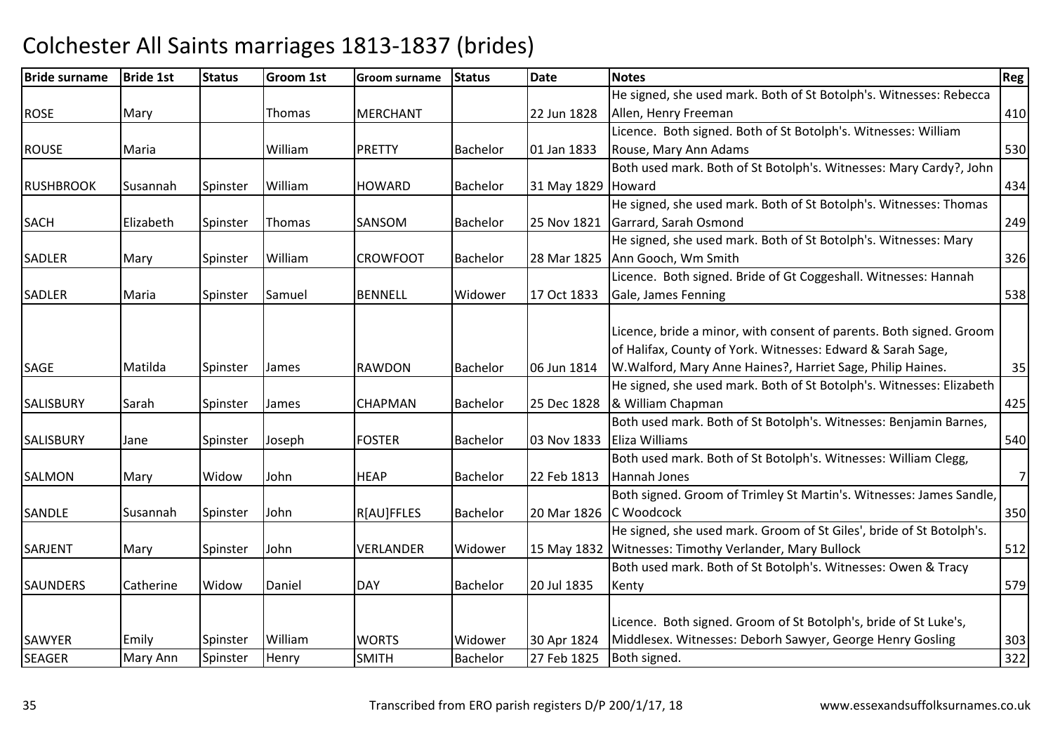| <b>Bride surname</b> | <b>Bride 1st</b> | <b>Status</b> | <b>Groom 1st</b> | Groom surname    | <b>Status</b>   | <b>Date</b> | <b>Notes</b>                                                                                                                                                                                      | <b>Reg</b>     |
|----------------------|------------------|---------------|------------------|------------------|-----------------|-------------|---------------------------------------------------------------------------------------------------------------------------------------------------------------------------------------------------|----------------|
|                      |                  |               |                  |                  |                 |             | He signed, she used mark. Both of St Botolph's. Witnesses: Rebecca                                                                                                                                |                |
| <b>ROSE</b>          | Mary             |               | Thomas           | <b>MERCHANT</b>  |                 | 22 Jun 1828 | Allen, Henry Freeman                                                                                                                                                                              | 410            |
|                      |                  |               |                  |                  |                 |             | Licence. Both signed. Both of St Botolph's. Witnesses: William                                                                                                                                    |                |
| <b>ROUSE</b>         | Maria            |               | William          | <b>PRETTY</b>    | <b>Bachelor</b> | 01 Jan 1833 | Rouse, Mary Ann Adams                                                                                                                                                                             | 530            |
|                      |                  |               |                  |                  |                 |             | Both used mark. Both of St Botolph's. Witnesses: Mary Cardy?, John                                                                                                                                |                |
| <b>RUSHBROOK</b>     | Susannah         | Spinster      | William          | <b>HOWARD</b>    | Bachelor        | 31 May 1829 | Howard                                                                                                                                                                                            | 434            |
|                      |                  |               |                  |                  |                 |             | He signed, she used mark. Both of St Botolph's. Witnesses: Thomas                                                                                                                                 |                |
| <b>SACH</b>          | Elizabeth        | Spinster      | Thomas           | <b>SANSOM</b>    | <b>Bachelor</b> | 25 Nov 1821 | Garrard, Sarah Osmond                                                                                                                                                                             | 249            |
|                      |                  |               |                  |                  |                 |             | He signed, she used mark. Both of St Botolph's. Witnesses: Mary                                                                                                                                   |                |
| <b>SADLER</b>        | Mary             | Spinster      | William          | <b>CROWFOOT</b>  | Bachelor        | 28 Mar 1825 | Ann Gooch, Wm Smith                                                                                                                                                                               | 326            |
|                      |                  |               |                  |                  |                 |             | Licence. Both signed. Bride of Gt Coggeshall. Witnesses: Hannah                                                                                                                                   |                |
| SADLER               | Maria            | Spinster      | Samuel           | <b>BENNELL</b>   | Widower         | 17 Oct 1833 | Gale, James Fenning                                                                                                                                                                               | 538            |
| <b>SAGE</b>          | Matilda          | Spinster      | James            | <b>RAWDON</b>    | Bachelor        | 06 Jun 1814 | Licence, bride a minor, with consent of parents. Both signed. Groom<br>of Halifax, County of York. Witnesses: Edward & Sarah Sage,<br>W. Walford, Mary Anne Haines?, Harriet Sage, Philip Haines. | 35             |
|                      |                  |               |                  |                  |                 |             | He signed, she used mark. Both of St Botolph's. Witnesses: Elizabeth                                                                                                                              |                |
| <b>SALISBURY</b>     | Sarah            | Spinster      | James            | <b>CHAPMAN</b>   | Bachelor        | 25 Dec 1828 | & William Chapman                                                                                                                                                                                 | 425            |
| SALISBURY            | Jane             | Spinster      | Joseph           | <b>FOSTER</b>    | <b>Bachelor</b> | 03 Nov 1833 | Both used mark. Both of St Botolph's. Witnesses: Benjamin Barnes,<br><b>Eliza Williams</b>                                                                                                        | 540            |
|                      |                  |               |                  |                  |                 |             | Both used mark. Both of St Botolph's. Witnesses: William Clegg,                                                                                                                                   |                |
| <b>SALMON</b>        | Mary             | Widow         | John             | <b>HEAP</b>      | <b>Bachelor</b> | 22 Feb 1813 | Hannah Jones                                                                                                                                                                                      | $\overline{7}$ |
| SANDLE               | Susannah         | Spinster      | John             | R[AU]FFLES       | <b>Bachelor</b> | 20 Mar 1826 | Both signed. Groom of Trimley St Martin's. Witnesses: James Sandle,<br>C Woodcock                                                                                                                 | 350            |
| SARJENT              | Mary             | Spinster      | John             | <b>VERLANDER</b> | Widower         | 15 May 1832 | He signed, she used mark. Groom of St Giles', bride of St Botolph's.<br>Witnesses: Timothy Verlander, Mary Bullock                                                                                | 512            |
|                      |                  |               |                  |                  |                 |             | Both used mark. Both of St Botolph's. Witnesses: Owen & Tracy                                                                                                                                     |                |
| <b>SAUNDERS</b>      | Catherine        | Widow         | Daniel           | <b>DAY</b>       | <b>Bachelor</b> | 20 Jul 1835 | Kenty                                                                                                                                                                                             | 579            |
| <b>SAWYER</b>        | Emily            | Spinster      | William          | <b>WORTS</b>     | Widower         | 30 Apr 1824 | Licence. Both signed. Groom of St Botolph's, bride of St Luke's,<br>Middlesex. Witnesses: Deborh Sawyer, George Henry Gosling                                                                     | 303            |
| <b>SEAGER</b>        | Mary Ann         | Spinster      | Henry            | <b>SMITH</b>     | Bachelor        | 27 Feb 1825 | Both signed.                                                                                                                                                                                      | 322            |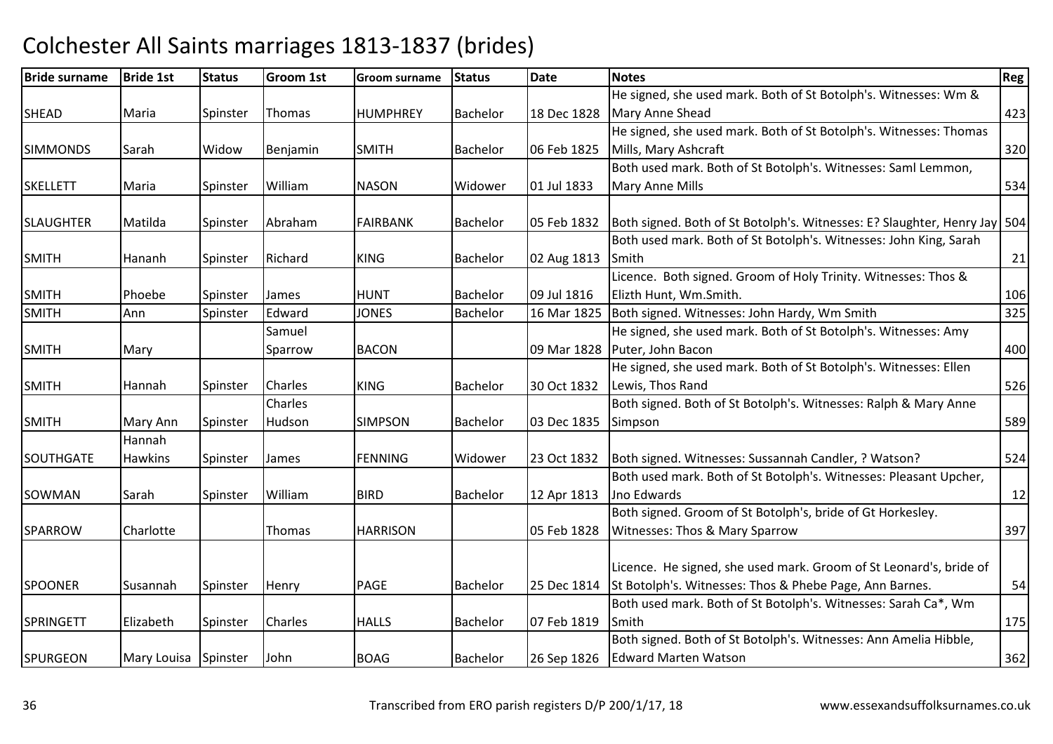| <b>Bride surname</b> | <b>Bride 1st</b>     | <b>Status</b> | <b>Groom 1st</b> | <b>Groom surname</b> | <b>Status</b>   | Date        | <b>Notes</b>                                                                | Reg |
|----------------------|----------------------|---------------|------------------|----------------------|-----------------|-------------|-----------------------------------------------------------------------------|-----|
|                      |                      |               |                  |                      |                 |             | He signed, she used mark. Both of St Botolph's. Witnesses: Wm &             |     |
| <b>SHEAD</b>         | Maria                | Spinster      | Thomas           | <b>HUMPHREY</b>      | <b>Bachelor</b> | 18 Dec 1828 | Mary Anne Shead                                                             | 423 |
|                      |                      |               |                  |                      |                 |             | He signed, she used mark. Both of St Botolph's. Witnesses: Thomas           |     |
| <b>SIMMONDS</b>      | Sarah                | Widow         | Benjamin         | <b>SMITH</b>         | <b>Bachelor</b> | 06 Feb 1825 | Mills, Mary Ashcraft                                                        | 320 |
|                      |                      |               |                  |                      |                 |             | Both used mark. Both of St Botolph's. Witnesses: Saml Lemmon,               |     |
| <b>SKELLETT</b>      | Maria                | Spinster      | William          | <b>NASON</b>         | Widower         | 01 Jul 1833 | Mary Anne Mills                                                             | 534 |
|                      |                      |               |                  |                      |                 |             |                                                                             |     |
| <b>SLAUGHTER</b>     | Matilda              | Spinster      | Abraham          | <b>FAIRBANK</b>      | Bachelor        | 05 Feb 1832 | Both signed. Both of St Botolph's. Witnesses: E? Slaughter, Henry Jay   504 |     |
|                      |                      |               |                  |                      |                 |             | Both used mark. Both of St Botolph's. Witnesses: John King, Sarah           |     |
| <b>SMITH</b>         | Hananh               | Spinster      | Richard          | <b>KING</b>          | <b>Bachelor</b> | 02 Aug 1813 | Smith                                                                       | 21  |
|                      |                      |               |                  |                      |                 |             | Licence. Both signed. Groom of Holy Trinity. Witnesses: Thos &              |     |
| <b>SMITH</b>         | Phoebe               | Spinster      | James            | <b>HUNT</b>          | <b>Bachelor</b> | 09 Jul 1816 | Elizth Hunt, Wm.Smith.                                                      | 106 |
| <b>SMITH</b>         | Ann                  | Spinster      | Edward           | <b>JONES</b>         | Bachelor        | 16 Mar 1825 | Both signed. Witnesses: John Hardy, Wm Smith                                | 325 |
|                      |                      |               | Samuel           |                      |                 |             | He signed, she used mark. Both of St Botolph's. Witnesses: Amy              |     |
| <b>SMITH</b>         | Mary                 |               | Sparrow          | <b>BACON</b>         |                 | 09 Mar 1828 | Puter, John Bacon                                                           | 400 |
|                      |                      |               |                  |                      |                 |             | He signed, she used mark. Both of St Botolph's. Witnesses: Ellen            |     |
| <b>SMITH</b>         | Hannah               | Spinster      | <b>Charles</b>   | <b>KING</b>          | <b>Bachelor</b> | 30 Oct 1832 | Lewis, Thos Rand                                                            | 526 |
|                      |                      |               | Charles          |                      |                 |             | Both signed. Both of St Botolph's. Witnesses: Ralph & Mary Anne             |     |
| <b>SMITH</b>         | Mary Ann             | Spinster      | Hudson           | <b>SIMPSON</b>       | <b>Bachelor</b> | 03 Dec 1835 | Simpson                                                                     | 589 |
|                      | Hannah               |               |                  |                      |                 |             |                                                                             |     |
| <b>SOUTHGATE</b>     | Hawkins              | Spinster      | James            | <b>FENNING</b>       | Widower         | 23 Oct 1832 | Both signed. Witnesses: Sussannah Candler, ? Watson?                        | 524 |
|                      |                      |               |                  |                      |                 |             | Both used mark. Both of St Botolph's. Witnesses: Pleasant Upcher,           |     |
| SOWMAN               | Sarah                | Spinster      | William          | <b>BIRD</b>          | <b>Bachelor</b> | 12 Apr 1813 | Jno Edwards                                                                 | 12  |
|                      |                      |               |                  |                      |                 |             | Both signed. Groom of St Botolph's, bride of Gt Horkesley.                  |     |
| <b>SPARROW</b>       | Charlotte            |               | Thomas           | <b>HARRISON</b>      |                 | 05 Feb 1828 | Witnesses: Thos & Mary Sparrow                                              | 397 |
|                      |                      |               |                  |                      |                 |             |                                                                             |     |
|                      |                      |               |                  |                      |                 |             | Licence. He signed, she used mark. Groom of St Leonard's, bride of          |     |
| <b>SPOONER</b>       | Susannah             | Spinster      | Henry            | <b>PAGE</b>          | <b>Bachelor</b> | 25 Dec 1814 | St Botolph's. Witnesses: Thos & Phebe Page, Ann Barnes.                     | 54  |
|                      |                      |               |                  |                      |                 |             | Both used mark. Both of St Botolph's. Witnesses: Sarah Ca*, Wm              |     |
| <b>SPRINGETT</b>     | Elizabeth            | Spinster      | <b>Charles</b>   | <b>HALLS</b>         | <b>Bachelor</b> | 07 Feb 1819 | Smith                                                                       | 175 |
|                      |                      |               |                  |                      |                 |             | Both signed. Both of St Botolph's. Witnesses: Ann Amelia Hibble,            |     |
| <b>SPURGEON</b>      | Mary Louisa Spinster |               | John             | <b>BOAG</b>          | <b>Bachelor</b> | 26 Sep 1826 | <b>Edward Marten Watson</b>                                                 | 362 |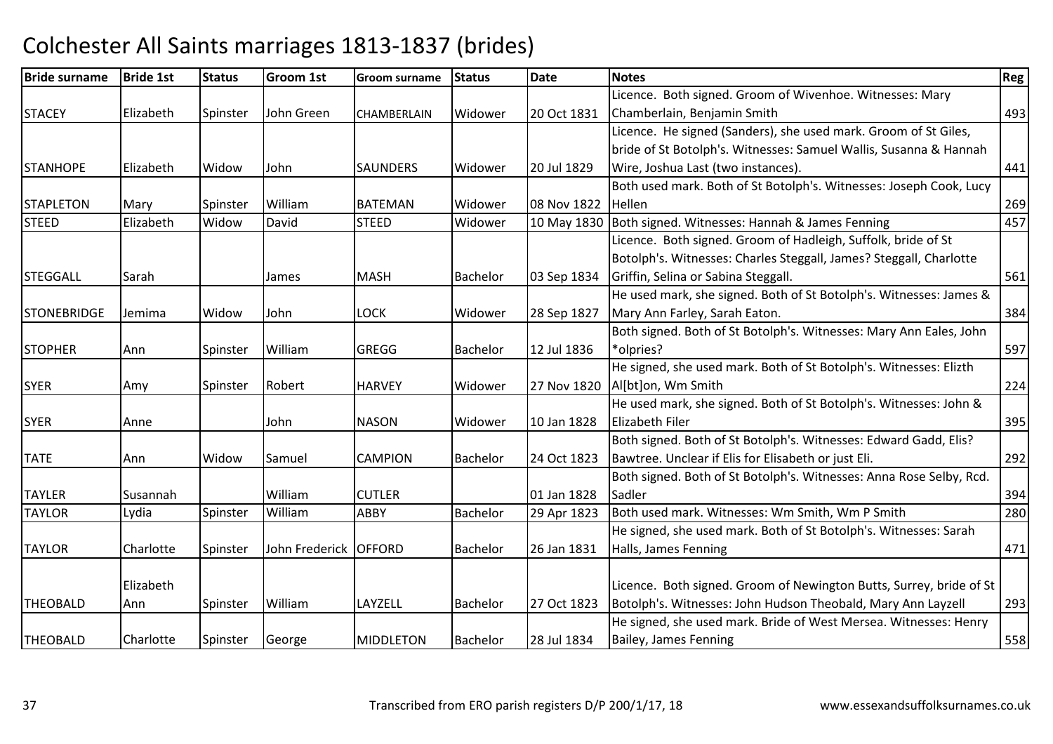| <b>Bride surname</b> | <b>Bride 1st</b> | <b>Status</b> | Groom 1st      | Groom surname      | <b>Status</b>   | <b>Date</b> | <b>Notes</b>                                                        | <b>Reg</b> |
|----------------------|------------------|---------------|----------------|--------------------|-----------------|-------------|---------------------------------------------------------------------|------------|
|                      |                  |               |                |                    |                 |             | Licence. Both signed. Groom of Wivenhoe. Witnesses: Mary            |            |
| <b>STACEY</b>        | Elizabeth        | Spinster      | John Green     | <b>CHAMBERLAIN</b> | Widower         | 20 Oct 1831 | Chamberlain, Benjamin Smith                                         | 493        |
|                      |                  |               |                |                    |                 |             | Licence. He signed (Sanders), she used mark. Groom of St Giles,     |            |
|                      |                  |               |                |                    |                 |             | bride of St Botolph's. Witnesses: Samuel Wallis, Susanna & Hannah   |            |
| <b>STANHOPE</b>      | Elizabeth        | Widow         | John           | <b>SAUNDERS</b>    | Widower         | 20 Jul 1829 | Wire, Joshua Last (two instances).                                  | 441        |
|                      |                  |               |                |                    |                 |             | Both used mark. Both of St Botolph's. Witnesses: Joseph Cook, Lucy  |            |
| <b>STAPLETON</b>     | Mary             | Spinster      | William        | <b>BATEMAN</b>     | Widower         | 08 Nov 1822 | Hellen                                                              | 269        |
| <b>STEED</b>         | Elizabeth        | Widow         | David          | <b>STEED</b>       | Widower         | 10 May 1830 | Both signed. Witnesses: Hannah & James Fenning                      | 457        |
|                      |                  |               |                |                    |                 |             | Licence. Both signed. Groom of Hadleigh, Suffolk, bride of St       |            |
|                      |                  |               |                |                    |                 |             | Botolph's. Witnesses: Charles Steggall, James? Steggall, Charlotte  |            |
| <b>STEGGALL</b>      | Sarah            |               | James          | <b>MASH</b>        | <b>Bachelor</b> | 03 Sep 1834 | Griffin, Selina or Sabina Steggall.                                 | 561        |
|                      |                  |               |                |                    |                 |             | He used mark, she signed. Both of St Botolph's. Witnesses: James &  |            |
| <b>STONEBRIDGE</b>   | Jemima           | Widow         | John           | <b>LOCK</b>        | Widower         | 28 Sep 1827 | Mary Ann Farley, Sarah Eaton.                                       | 384        |
|                      |                  |               |                |                    |                 |             | Both signed. Both of St Botolph's. Witnesses: Mary Ann Eales, John  |            |
| <b>STOPHER</b>       | Ann              | Spinster      | William        | <b>GREGG</b>       | Bachelor        | 12 Jul 1836 | *olpries?                                                           | 597        |
|                      |                  |               |                |                    |                 |             | He signed, she used mark. Both of St Botolph's. Witnesses: Elizth   |            |
| <b>SYER</b>          | Amy              | Spinster      | Robert         | <b>HARVEY</b>      | Widower         | 27 Nov 1820 | Al[bt]on, Wm Smith                                                  | 224        |
|                      |                  |               |                |                    |                 |             | He used mark, she signed. Both of St Botolph's. Witnesses: John &   |            |
| <b>SYER</b>          | Anne             |               | John           | <b>NASON</b>       | Widower         | 10 Jan 1828 | <b>Elizabeth Filer</b>                                              | 395        |
|                      |                  |               |                |                    |                 |             | Both signed. Both of St Botolph's. Witnesses: Edward Gadd, Elis?    |            |
| <b>TATE</b>          | Ann              | Widow         | Samuel         | <b>CAMPION</b>     | <b>Bachelor</b> | 24 Oct 1823 | Bawtree. Unclear if Elis for Elisabeth or just Eli.                 | 292        |
|                      |                  |               |                |                    |                 |             | Both signed. Both of St Botolph's. Witnesses: Anna Rose Selby, Rcd. |            |
| <b>TAYLER</b>        | Susannah         |               | William        | <b>CUTLER</b>      |                 | 01 Jan 1828 | Sadler                                                              | 394        |
| <b>TAYLOR</b>        | Lydia            | Spinster      | William        | <b>ABBY</b>        | <b>Bachelor</b> | 29 Apr 1823 | Both used mark. Witnesses: Wm Smith, Wm P Smith                     | 280        |
|                      |                  |               |                |                    |                 |             | He signed, she used mark. Both of St Botolph's. Witnesses: Sarah    |            |
| <b>TAYLOR</b>        | Charlotte        | Spinster      | John Frederick | <b>OFFORD</b>      | <b>Bachelor</b> | 26 Jan 1831 | Halls, James Fenning                                                | 471        |
|                      |                  |               |                |                    |                 |             |                                                                     |            |
|                      | Elizabeth        |               |                |                    |                 |             | Licence. Both signed. Groom of Newington Butts, Surrey, bride of St |            |
| <b>THEOBALD</b>      | Ann              | Spinster      | William        | LAYZELL            | <b>Bachelor</b> | 27 Oct 1823 | Botolph's. Witnesses: John Hudson Theobald, Mary Ann Layzell        | 293        |
|                      |                  |               |                |                    |                 |             | He signed, she used mark. Bride of West Mersea. Witnesses: Henry    |            |
| <b>THEOBALD</b>      | Charlotte        | Spinster      | George         | <b>MIDDLETON</b>   | <b>Bachelor</b> | 28 Jul 1834 | Bailey, James Fenning                                               | 558        |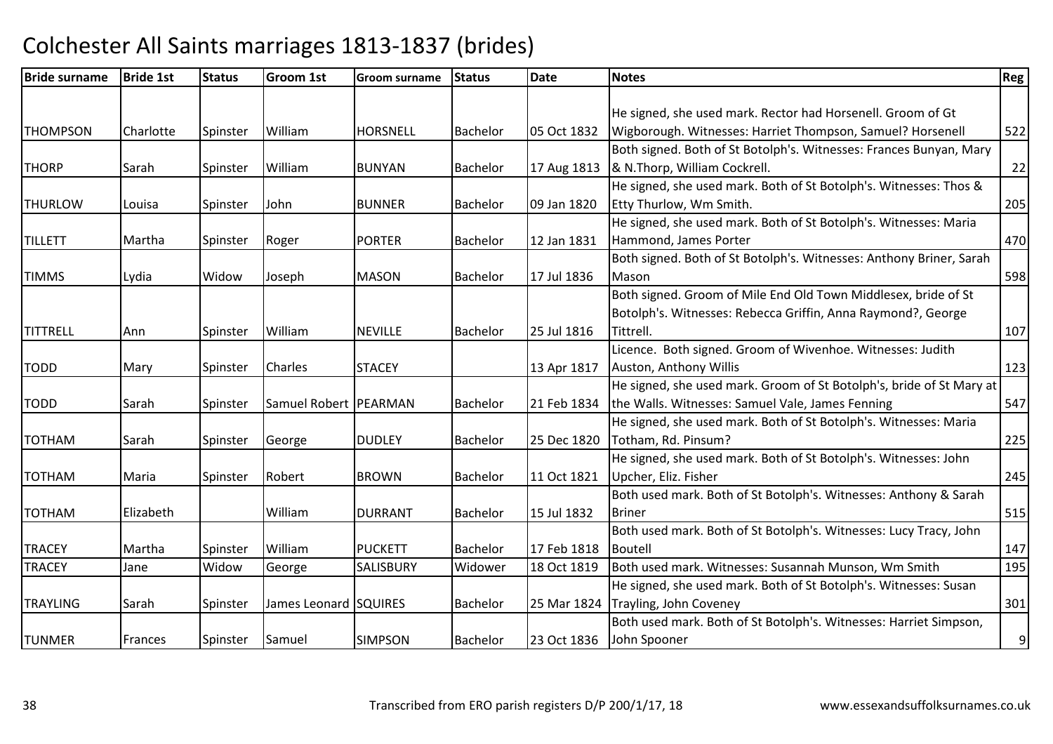| He signed, she used mark. Rector had Horsenell. Groom of Gt<br>William<br>05 Oct 1832<br><b>HORSNELL</b><br>Bachelor<br>Wigborough. Witnesses: Harriet Thompson, Samuel? Horsenell<br>Charlotte<br>Spinster<br>Both signed. Both of St Botolph's. Witnesses: Frances Bunyan, Mary<br>& N.Thorp, William Cockrell.<br>William<br>17 Aug 1813<br>Sarah<br>Spinster<br><b>BUNYAN</b><br>Bachelor<br>He signed, she used mark. Both of St Botolph's. Witnesses: Thos &<br>09 Jan 1820<br>Etty Thurlow, Wm Smith.<br>John<br><b>BUNNER</b><br><b>Bachelor</b><br>Louisa<br>Spinster<br>He signed, she used mark. Both of St Botolph's. Witnesses: Maria<br>Hammond, James Porter<br>Martha<br><b>PORTER</b><br><b>Bachelor</b><br>12 Jan 1831<br>Spinster<br>Roger<br>Both signed. Both of St Botolph's. Witnesses: Anthony Briner, Sarah<br>17 Jul 1836<br>Widow<br><b>MASON</b><br>Bachelor<br>Mason<br>Joseph<br>Lydia<br>Both signed. Groom of Mile End Old Town Middlesex, bride of St<br>Botolph's. Witnesses: Rebecca Griffin, Anna Raymond?, George<br>William<br><b>NEVILLE</b><br>25 Jul 1816<br>Tittrell.<br>Bachelor<br>Spinster<br>Ann<br>Licence. Both signed. Groom of Wivenhoe. Witnesses: Judith<br>Charles<br>Auston, Anthony Willis<br><b>STACEY</b><br>13 Apr 1817<br>Mary<br>Spinster<br>He signed, she used mark. Groom of St Botolph's, bride of St Mary at<br>the Walls. Witnesses: Samuel Vale, James Fenning<br>Samuel Robert   PEARMAN<br>21 Feb 1834<br>Sarah<br>Spinster<br>Bachelor<br>He signed, she used mark. Both of St Botolph's. Witnesses: Maria<br>25 Dec 1820<br>Totham, Rd. Pinsum?<br>Sarah<br>George<br><b>DUDLEY</b><br><b>Bachelor</b><br>Spinster<br>He signed, she used mark. Both of St Botolph's. Witnesses: John<br>Upcher, Eliz. Fisher<br>Robert<br><b>Bachelor</b><br>11 Oct 1821<br><b>BROWN</b><br>Maria<br>Spinster<br>Both used mark. Both of St Botolph's. Witnesses: Anthony & Sarah<br>William<br>15 Jul 1832<br>Elizabeth<br><b>DURRANT</b><br><b>Briner</b><br>Bachelor<br>Both used mark. Both of St Botolph's. Witnesses: Lucy Tracy, John<br>Martha<br>William<br><b>PUCKETT</b><br><b>Bachelor</b><br>17 Feb 1818<br>Spinster<br>Boutell<br>Both used mark. Witnesses: Susannah Munson, Wm Smith<br>18 Oct 1819<br>Jane<br>Widow<br>George<br><b>SALISBURY</b><br>Widower<br>He signed, she used mark. Both of St Botolph's. Witnesses: Susan<br>James Leonard SQUIRES<br>Bachelor<br>25 Mar 1824<br>Trayling, John Coveney<br>Sarah<br>Spinster<br>Both used mark. Both of St Botolph's. Witnesses: Harriet Simpson,<br>John Spooner<br>Samuel<br><b>SIMPSON</b><br>Bachelor<br>23 Oct 1836<br>Frances<br>Spinster | <b>Bride surname</b> | <b>Bride 1st</b> | <b>Status</b> | Groom 1st | <b>Groom surname</b> | <b>Status</b> | Date | <b>Notes</b> | <b>Reg</b> |
|---------------------------------------------------------------------------------------------------------------------------------------------------------------------------------------------------------------------------------------------------------------------------------------------------------------------------------------------------------------------------------------------------------------------------------------------------------------------------------------------------------------------------------------------------------------------------------------------------------------------------------------------------------------------------------------------------------------------------------------------------------------------------------------------------------------------------------------------------------------------------------------------------------------------------------------------------------------------------------------------------------------------------------------------------------------------------------------------------------------------------------------------------------------------------------------------------------------------------------------------------------------------------------------------------------------------------------------------------------------------------------------------------------------------------------------------------------------------------------------------------------------------------------------------------------------------------------------------------------------------------------------------------------------------------------------------------------------------------------------------------------------------------------------------------------------------------------------------------------------------------------------------------------------------------------------------------------------------------------------------------------------------------------------------------------------------------------------------------------------------------------------------------------------------------------------------------------------------------------------------------------------------------------------------------------------------------------------------------------------------------------------------------------------------------------------------------------------------------------------------------------------------------------------------------------------------------------------------------------------------------------------------------------------------------------|----------------------|------------------|---------------|-----------|----------------------|---------------|------|--------------|------------|
|                                                                                                                                                                                                                                                                                                                                                                                                                                                                                                                                                                                                                                                                                                                                                                                                                                                                                                                                                                                                                                                                                                                                                                                                                                                                                                                                                                                                                                                                                                                                                                                                                                                                                                                                                                                                                                                                                                                                                                                                                                                                                                                                                                                                                                                                                                                                                                                                                                                                                                                                                                                                                                                                                 |                      |                  |               |           |                      |               |      |              |            |
|                                                                                                                                                                                                                                                                                                                                                                                                                                                                                                                                                                                                                                                                                                                                                                                                                                                                                                                                                                                                                                                                                                                                                                                                                                                                                                                                                                                                                                                                                                                                                                                                                                                                                                                                                                                                                                                                                                                                                                                                                                                                                                                                                                                                                                                                                                                                                                                                                                                                                                                                                                                                                                                                                 |                      |                  |               |           |                      |               |      |              |            |
|                                                                                                                                                                                                                                                                                                                                                                                                                                                                                                                                                                                                                                                                                                                                                                                                                                                                                                                                                                                                                                                                                                                                                                                                                                                                                                                                                                                                                                                                                                                                                                                                                                                                                                                                                                                                                                                                                                                                                                                                                                                                                                                                                                                                                                                                                                                                                                                                                                                                                                                                                                                                                                                                                 | <b>THOMPSON</b>      |                  |               |           |                      |               |      |              | 522        |
|                                                                                                                                                                                                                                                                                                                                                                                                                                                                                                                                                                                                                                                                                                                                                                                                                                                                                                                                                                                                                                                                                                                                                                                                                                                                                                                                                                                                                                                                                                                                                                                                                                                                                                                                                                                                                                                                                                                                                                                                                                                                                                                                                                                                                                                                                                                                                                                                                                                                                                                                                                                                                                                                                 |                      |                  |               |           |                      |               |      |              |            |
|                                                                                                                                                                                                                                                                                                                                                                                                                                                                                                                                                                                                                                                                                                                                                                                                                                                                                                                                                                                                                                                                                                                                                                                                                                                                                                                                                                                                                                                                                                                                                                                                                                                                                                                                                                                                                                                                                                                                                                                                                                                                                                                                                                                                                                                                                                                                                                                                                                                                                                                                                                                                                                                                                 | <b>THORP</b>         |                  |               |           |                      |               |      |              | 22         |
|                                                                                                                                                                                                                                                                                                                                                                                                                                                                                                                                                                                                                                                                                                                                                                                                                                                                                                                                                                                                                                                                                                                                                                                                                                                                                                                                                                                                                                                                                                                                                                                                                                                                                                                                                                                                                                                                                                                                                                                                                                                                                                                                                                                                                                                                                                                                                                                                                                                                                                                                                                                                                                                                                 |                      |                  |               |           |                      |               |      |              |            |
|                                                                                                                                                                                                                                                                                                                                                                                                                                                                                                                                                                                                                                                                                                                                                                                                                                                                                                                                                                                                                                                                                                                                                                                                                                                                                                                                                                                                                                                                                                                                                                                                                                                                                                                                                                                                                                                                                                                                                                                                                                                                                                                                                                                                                                                                                                                                                                                                                                                                                                                                                                                                                                                                                 | <b>THURLOW</b>       |                  |               |           |                      |               |      |              | 205        |
|                                                                                                                                                                                                                                                                                                                                                                                                                                                                                                                                                                                                                                                                                                                                                                                                                                                                                                                                                                                                                                                                                                                                                                                                                                                                                                                                                                                                                                                                                                                                                                                                                                                                                                                                                                                                                                                                                                                                                                                                                                                                                                                                                                                                                                                                                                                                                                                                                                                                                                                                                                                                                                                                                 |                      |                  |               |           |                      |               |      |              |            |
|                                                                                                                                                                                                                                                                                                                                                                                                                                                                                                                                                                                                                                                                                                                                                                                                                                                                                                                                                                                                                                                                                                                                                                                                                                                                                                                                                                                                                                                                                                                                                                                                                                                                                                                                                                                                                                                                                                                                                                                                                                                                                                                                                                                                                                                                                                                                                                                                                                                                                                                                                                                                                                                                                 | <b>TILLETT</b>       |                  |               |           |                      |               |      |              | 470        |
|                                                                                                                                                                                                                                                                                                                                                                                                                                                                                                                                                                                                                                                                                                                                                                                                                                                                                                                                                                                                                                                                                                                                                                                                                                                                                                                                                                                                                                                                                                                                                                                                                                                                                                                                                                                                                                                                                                                                                                                                                                                                                                                                                                                                                                                                                                                                                                                                                                                                                                                                                                                                                                                                                 |                      |                  |               |           |                      |               |      |              |            |
|                                                                                                                                                                                                                                                                                                                                                                                                                                                                                                                                                                                                                                                                                                                                                                                                                                                                                                                                                                                                                                                                                                                                                                                                                                                                                                                                                                                                                                                                                                                                                                                                                                                                                                                                                                                                                                                                                                                                                                                                                                                                                                                                                                                                                                                                                                                                                                                                                                                                                                                                                                                                                                                                                 | <b>TIMMS</b>         |                  |               |           |                      |               |      |              | 598        |
|                                                                                                                                                                                                                                                                                                                                                                                                                                                                                                                                                                                                                                                                                                                                                                                                                                                                                                                                                                                                                                                                                                                                                                                                                                                                                                                                                                                                                                                                                                                                                                                                                                                                                                                                                                                                                                                                                                                                                                                                                                                                                                                                                                                                                                                                                                                                                                                                                                                                                                                                                                                                                                                                                 |                      |                  |               |           |                      |               |      |              |            |
|                                                                                                                                                                                                                                                                                                                                                                                                                                                                                                                                                                                                                                                                                                                                                                                                                                                                                                                                                                                                                                                                                                                                                                                                                                                                                                                                                                                                                                                                                                                                                                                                                                                                                                                                                                                                                                                                                                                                                                                                                                                                                                                                                                                                                                                                                                                                                                                                                                                                                                                                                                                                                                                                                 |                      |                  |               |           |                      |               |      |              |            |
|                                                                                                                                                                                                                                                                                                                                                                                                                                                                                                                                                                                                                                                                                                                                                                                                                                                                                                                                                                                                                                                                                                                                                                                                                                                                                                                                                                                                                                                                                                                                                                                                                                                                                                                                                                                                                                                                                                                                                                                                                                                                                                                                                                                                                                                                                                                                                                                                                                                                                                                                                                                                                                                                                 | <b>TITTRELL</b>      |                  |               |           |                      |               |      |              | 107        |
|                                                                                                                                                                                                                                                                                                                                                                                                                                                                                                                                                                                                                                                                                                                                                                                                                                                                                                                                                                                                                                                                                                                                                                                                                                                                                                                                                                                                                                                                                                                                                                                                                                                                                                                                                                                                                                                                                                                                                                                                                                                                                                                                                                                                                                                                                                                                                                                                                                                                                                                                                                                                                                                                                 |                      |                  |               |           |                      |               |      |              |            |
|                                                                                                                                                                                                                                                                                                                                                                                                                                                                                                                                                                                                                                                                                                                                                                                                                                                                                                                                                                                                                                                                                                                                                                                                                                                                                                                                                                                                                                                                                                                                                                                                                                                                                                                                                                                                                                                                                                                                                                                                                                                                                                                                                                                                                                                                                                                                                                                                                                                                                                                                                                                                                                                                                 | <b>TODD</b>          |                  |               |           |                      |               |      |              | 123        |
|                                                                                                                                                                                                                                                                                                                                                                                                                                                                                                                                                                                                                                                                                                                                                                                                                                                                                                                                                                                                                                                                                                                                                                                                                                                                                                                                                                                                                                                                                                                                                                                                                                                                                                                                                                                                                                                                                                                                                                                                                                                                                                                                                                                                                                                                                                                                                                                                                                                                                                                                                                                                                                                                                 |                      |                  |               |           |                      |               |      |              |            |
|                                                                                                                                                                                                                                                                                                                                                                                                                                                                                                                                                                                                                                                                                                                                                                                                                                                                                                                                                                                                                                                                                                                                                                                                                                                                                                                                                                                                                                                                                                                                                                                                                                                                                                                                                                                                                                                                                                                                                                                                                                                                                                                                                                                                                                                                                                                                                                                                                                                                                                                                                                                                                                                                                 | <b>TODD</b>          |                  |               |           |                      |               |      |              | 547        |
|                                                                                                                                                                                                                                                                                                                                                                                                                                                                                                                                                                                                                                                                                                                                                                                                                                                                                                                                                                                                                                                                                                                                                                                                                                                                                                                                                                                                                                                                                                                                                                                                                                                                                                                                                                                                                                                                                                                                                                                                                                                                                                                                                                                                                                                                                                                                                                                                                                                                                                                                                                                                                                                                                 |                      |                  |               |           |                      |               |      |              |            |
|                                                                                                                                                                                                                                                                                                                                                                                                                                                                                                                                                                                                                                                                                                                                                                                                                                                                                                                                                                                                                                                                                                                                                                                                                                                                                                                                                                                                                                                                                                                                                                                                                                                                                                                                                                                                                                                                                                                                                                                                                                                                                                                                                                                                                                                                                                                                                                                                                                                                                                                                                                                                                                                                                 | <b>TOTHAM</b>        |                  |               |           |                      |               |      |              | 225        |
|                                                                                                                                                                                                                                                                                                                                                                                                                                                                                                                                                                                                                                                                                                                                                                                                                                                                                                                                                                                                                                                                                                                                                                                                                                                                                                                                                                                                                                                                                                                                                                                                                                                                                                                                                                                                                                                                                                                                                                                                                                                                                                                                                                                                                                                                                                                                                                                                                                                                                                                                                                                                                                                                                 |                      |                  |               |           |                      |               |      |              |            |
|                                                                                                                                                                                                                                                                                                                                                                                                                                                                                                                                                                                                                                                                                                                                                                                                                                                                                                                                                                                                                                                                                                                                                                                                                                                                                                                                                                                                                                                                                                                                                                                                                                                                                                                                                                                                                                                                                                                                                                                                                                                                                                                                                                                                                                                                                                                                                                                                                                                                                                                                                                                                                                                                                 | NAHTOT               |                  |               |           |                      |               |      |              | 245        |
|                                                                                                                                                                                                                                                                                                                                                                                                                                                                                                                                                                                                                                                                                                                                                                                                                                                                                                                                                                                                                                                                                                                                                                                                                                                                                                                                                                                                                                                                                                                                                                                                                                                                                                                                                                                                                                                                                                                                                                                                                                                                                                                                                                                                                                                                                                                                                                                                                                                                                                                                                                                                                                                                                 |                      |                  |               |           |                      |               |      |              |            |
|                                                                                                                                                                                                                                                                                                                                                                                                                                                                                                                                                                                                                                                                                                                                                                                                                                                                                                                                                                                                                                                                                                                                                                                                                                                                                                                                                                                                                                                                                                                                                                                                                                                                                                                                                                                                                                                                                                                                                                                                                                                                                                                                                                                                                                                                                                                                                                                                                                                                                                                                                                                                                                                                                 | <b>TOTHAM</b>        |                  |               |           |                      |               |      |              | 515        |
|                                                                                                                                                                                                                                                                                                                                                                                                                                                                                                                                                                                                                                                                                                                                                                                                                                                                                                                                                                                                                                                                                                                                                                                                                                                                                                                                                                                                                                                                                                                                                                                                                                                                                                                                                                                                                                                                                                                                                                                                                                                                                                                                                                                                                                                                                                                                                                                                                                                                                                                                                                                                                                                                                 |                      |                  |               |           |                      |               |      |              |            |
|                                                                                                                                                                                                                                                                                                                                                                                                                                                                                                                                                                                                                                                                                                                                                                                                                                                                                                                                                                                                                                                                                                                                                                                                                                                                                                                                                                                                                                                                                                                                                                                                                                                                                                                                                                                                                                                                                                                                                                                                                                                                                                                                                                                                                                                                                                                                                                                                                                                                                                                                                                                                                                                                                 | <b>TRACEY</b>        |                  |               |           |                      |               |      |              | 147        |
|                                                                                                                                                                                                                                                                                                                                                                                                                                                                                                                                                                                                                                                                                                                                                                                                                                                                                                                                                                                                                                                                                                                                                                                                                                                                                                                                                                                                                                                                                                                                                                                                                                                                                                                                                                                                                                                                                                                                                                                                                                                                                                                                                                                                                                                                                                                                                                                                                                                                                                                                                                                                                                                                                 | <b>TRACEY</b>        |                  |               |           |                      |               |      |              | 195        |
|                                                                                                                                                                                                                                                                                                                                                                                                                                                                                                                                                                                                                                                                                                                                                                                                                                                                                                                                                                                                                                                                                                                                                                                                                                                                                                                                                                                                                                                                                                                                                                                                                                                                                                                                                                                                                                                                                                                                                                                                                                                                                                                                                                                                                                                                                                                                                                                                                                                                                                                                                                                                                                                                                 |                      |                  |               |           |                      |               |      |              |            |
|                                                                                                                                                                                                                                                                                                                                                                                                                                                                                                                                                                                                                                                                                                                                                                                                                                                                                                                                                                                                                                                                                                                                                                                                                                                                                                                                                                                                                                                                                                                                                                                                                                                                                                                                                                                                                                                                                                                                                                                                                                                                                                                                                                                                                                                                                                                                                                                                                                                                                                                                                                                                                                                                                 | <b>TRAYLING</b>      |                  |               |           |                      |               |      |              | 301        |
|                                                                                                                                                                                                                                                                                                                                                                                                                                                                                                                                                                                                                                                                                                                                                                                                                                                                                                                                                                                                                                                                                                                                                                                                                                                                                                                                                                                                                                                                                                                                                                                                                                                                                                                                                                                                                                                                                                                                                                                                                                                                                                                                                                                                                                                                                                                                                                                                                                                                                                                                                                                                                                                                                 |                      |                  |               |           |                      |               |      |              |            |
|                                                                                                                                                                                                                                                                                                                                                                                                                                                                                                                                                                                                                                                                                                                                                                                                                                                                                                                                                                                                                                                                                                                                                                                                                                                                                                                                                                                                                                                                                                                                                                                                                                                                                                                                                                                                                                                                                                                                                                                                                                                                                                                                                                                                                                                                                                                                                                                                                                                                                                                                                                                                                                                                                 | <b>TUNMER</b>        |                  |               |           |                      |               |      |              | 9          |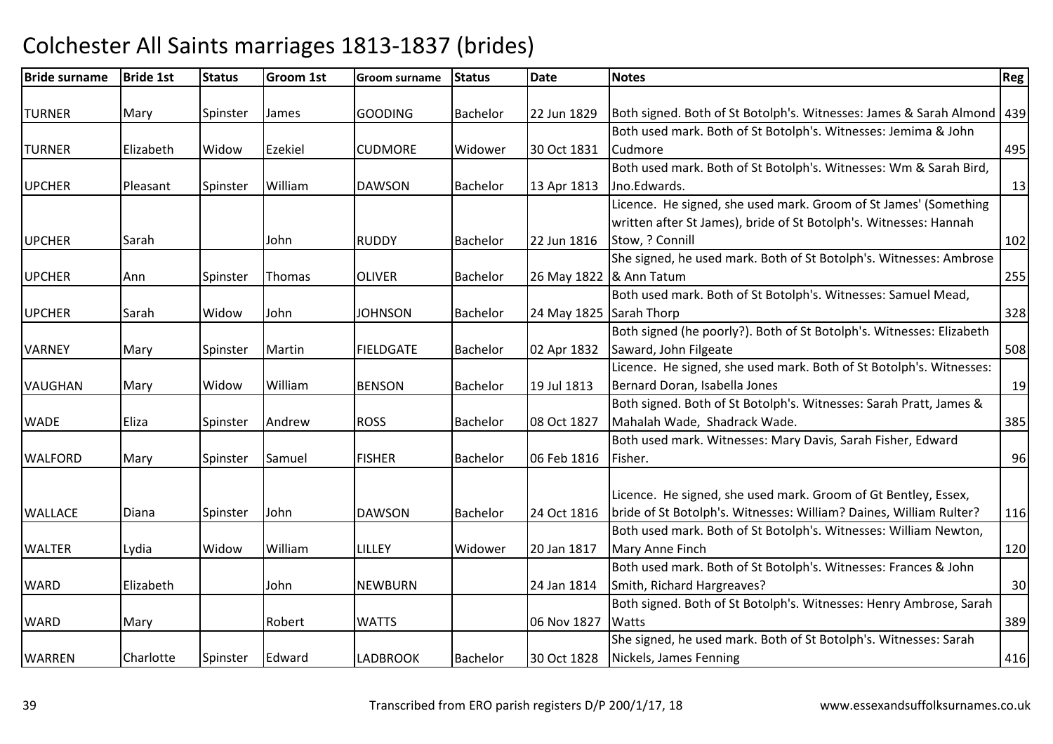| <b>Bride surname</b> | <b>Bride 1st</b> | <b>Status</b> | Groom 1st | <b>Groom surname</b> | <b>Status</b>   | <b>Date</b>             | <b>Notes</b>                                                             | Reg |
|----------------------|------------------|---------------|-----------|----------------------|-----------------|-------------------------|--------------------------------------------------------------------------|-----|
| <b>TURNER</b>        | Mary             | Spinster      | James     | <b>GOODING</b>       | Bachelor        | 22 Jun 1829             | Both signed. Both of St Botolph's. Witnesses: James & Sarah Almond   439 |     |
|                      |                  |               |           |                      |                 |                         | Both used mark. Both of St Botolph's. Witnesses: Jemima & John           |     |
| <b>TURNER</b>        | Elizabeth        | Widow         | Ezekiel   | <b>CUDMORE</b>       | Widower         | 30 Oct 1831             | Cudmore                                                                  | 495 |
|                      |                  |               |           |                      |                 |                         | Both used mark. Both of St Botolph's. Witnesses: Wm & Sarah Bird,        |     |
| <b>UPCHER</b>        | Pleasant         | Spinster      | William   | <b>DAWSON</b>        | Bachelor        | 13 Apr 1813             | Jno.Edwards.                                                             | 13  |
|                      |                  |               |           |                      |                 |                         | Licence. He signed, she used mark. Groom of St James' (Something         |     |
|                      |                  |               |           |                      |                 |                         | written after St James), bride of St Botolph's. Witnesses: Hannah        |     |
| <b>UPCHER</b>        | Sarah            |               | John      | <b>RUDDY</b>         | Bachelor        | 22 Jun 1816             | Stow, ? Connill                                                          | 102 |
|                      |                  |               |           |                      |                 |                         | She signed, he used mark. Both of St Botolph's. Witnesses: Ambrose       |     |
| <b>UPCHER</b>        | Ann              | Spinster      | Thomas    | <b>OLIVER</b>        | Bachelor        | 26 May 1822             | & Ann Tatum                                                              | 255 |
|                      |                  |               |           |                      |                 |                         | Both used mark. Both of St Botolph's. Witnesses: Samuel Mead,            |     |
| <b>UPCHER</b>        | Sarah            | Widow         | John      | <b>JOHNSON</b>       | <b>Bachelor</b> | 24 May 1825 Sarah Thorp |                                                                          | 328 |
|                      |                  |               |           |                      |                 |                         | Both signed (he poorly?). Both of St Botolph's. Witnesses: Elizabeth     |     |
| <b>VARNEY</b>        | Mary             | Spinster      | Martin    | <b>FIELDGATE</b>     | Bachelor        | 02 Apr 1832             | Saward, John Filgeate                                                    | 508 |
|                      |                  |               |           |                      |                 |                         | Licence. He signed, she used mark. Both of St Botolph's. Witnesses:      |     |
| <b>VAUGHAN</b>       | Mary             | Widow         | William   | <b>BENSON</b>        | Bachelor        | 19 Jul 1813             | Bernard Doran, Isabella Jones                                            | 19  |
|                      |                  |               |           |                      |                 |                         | Both signed. Both of St Botolph's. Witnesses: Sarah Pratt, James &       |     |
| <b>WADE</b>          | Eliza            | Spinster      | Andrew    | <b>ROSS</b>          | Bachelor        | 08 Oct 1827             | Mahalah Wade, Shadrack Wade.                                             | 385 |
|                      |                  |               |           |                      |                 |                         | Both used mark. Witnesses: Mary Davis, Sarah Fisher, Edward              |     |
| <b>WALFORD</b>       | Mary             | Spinster      | Samuel    | <b>FISHER</b>        | <b>Bachelor</b> | 06 Feb 1816             | Fisher.                                                                  | 96  |
|                      |                  |               |           |                      |                 |                         |                                                                          |     |
|                      |                  |               |           |                      |                 |                         | Licence. He signed, she used mark. Groom of Gt Bentley, Essex,           |     |
| <b>WALLACE</b>       | Diana            | Spinster      | John      | <b>DAWSON</b>        | Bachelor        | 24 Oct 1816             | bride of St Botolph's. Witnesses: William? Daines, William Rulter?       | 116 |
|                      |                  |               |           |                      |                 |                         | Both used mark. Both of St Botolph's. Witnesses: William Newton,         |     |
| <b>WALTER</b>        | Lydia            | Widow         | William   | <b>LILLEY</b>        | Widower         | 20 Jan 1817             | Mary Anne Finch                                                          | 120 |
|                      |                  |               |           |                      |                 |                         | Both used mark. Both of St Botolph's. Witnesses: Frances & John          |     |
| <b>WARD</b>          | Elizabeth        |               | John      | <b>NEWBURN</b>       |                 | 24 Jan 1814             | Smith, Richard Hargreaves?                                               | 30  |
|                      |                  |               |           |                      |                 |                         | Both signed. Both of St Botolph's. Witnesses: Henry Ambrose, Sarah       |     |
| <b>WARD</b>          | Mary             |               | Robert    | <b>WATTS</b>         |                 | 06 Nov 1827             | <b>Watts</b>                                                             | 389 |
|                      |                  |               |           |                      |                 |                         | She signed, he used mark. Both of St Botolph's. Witnesses: Sarah         |     |
| <b>WARREN</b>        | Charlotte        | Spinster      | Edward    | <b>LADBROOK</b>      | Bachelor        | 30 Oct 1828             | Nickels, James Fenning                                                   | 416 |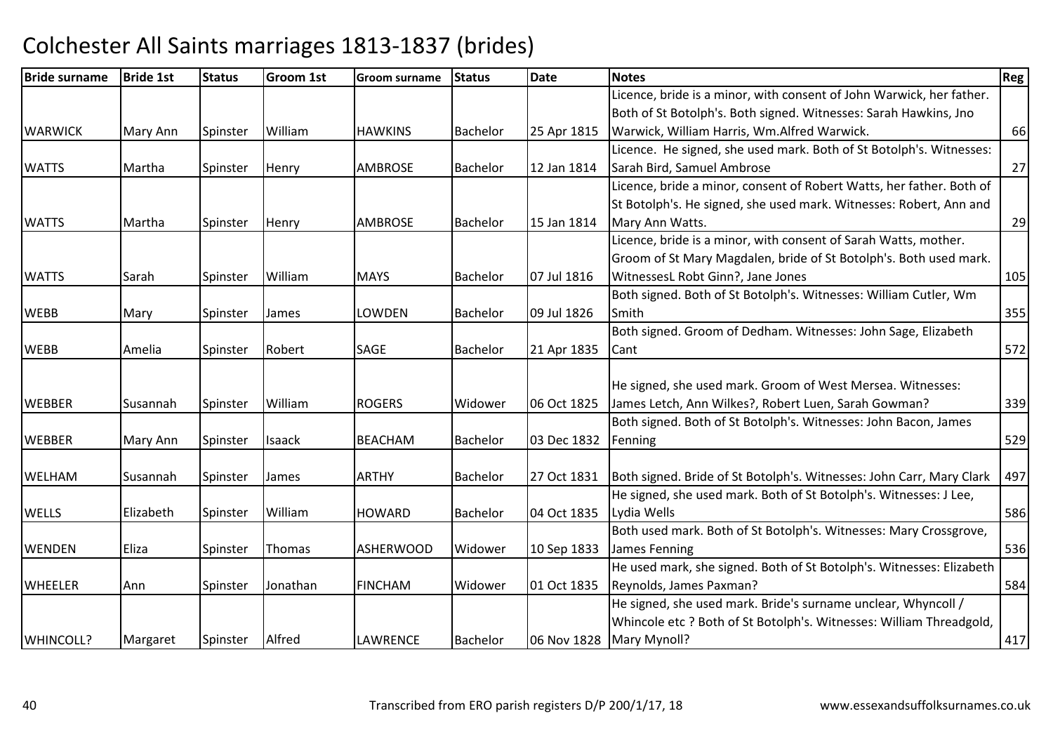| <b>Bride surname</b> | <b>Bride 1st</b> | <b>Status</b> | <b>Groom 1st</b> | <b>Groom surname</b> | <b>Status</b>   | <b>Date</b> | <b>Notes</b>                                                         | Reg |
|----------------------|------------------|---------------|------------------|----------------------|-----------------|-------------|----------------------------------------------------------------------|-----|
|                      |                  |               |                  |                      |                 |             | Licence, bride is a minor, with consent of John Warwick, her father. |     |
|                      |                  |               |                  |                      |                 |             | Both of St Botolph's. Both signed. Witnesses: Sarah Hawkins, Jno     |     |
| <b>WARWICK</b>       | Mary Ann         | Spinster      | William          | <b>HAWKINS</b>       | <b>Bachelor</b> | 25 Apr 1815 | Warwick, William Harris, Wm.Alfred Warwick.                          | 66  |
|                      |                  |               |                  |                      |                 |             | Licence. He signed, she used mark. Both of St Botolph's. Witnesses:  |     |
| <b>WATTS</b>         | Martha           | Spinster      | Henry            | <b>AMBROSE</b>       | <b>Bachelor</b> | 12 Jan 1814 | Sarah Bird, Samuel Ambrose                                           | 27  |
|                      |                  |               |                  |                      |                 |             | Licence, bride a minor, consent of Robert Watts, her father. Both of |     |
|                      |                  |               |                  |                      |                 |             | St Botolph's. He signed, she used mark. Witnesses: Robert, Ann and   |     |
| <b>WATTS</b>         | Martha           | Spinster      | Henry            | <b>AMBROSE</b>       | Bachelor        | 15 Jan 1814 | Mary Ann Watts.                                                      | 29  |
|                      |                  |               |                  |                      |                 |             | Licence, bride is a minor, with consent of Sarah Watts, mother.      |     |
|                      |                  |               |                  |                      |                 |             | Groom of St Mary Magdalen, bride of St Botolph's. Both used mark.    |     |
| <b>WATTS</b>         | Sarah            | Spinster      | William          | <b>MAYS</b>          | <b>Bachelor</b> | 07 Jul 1816 | WitnessesL Robt Ginn?, Jane Jones                                    | 105 |
|                      |                  |               |                  |                      |                 |             | Both signed. Both of St Botolph's. Witnesses: William Cutler, Wm     |     |
| <b>WEBB</b>          | Mary             | Spinster      | James            | LOWDEN               | <b>Bachelor</b> | 09 Jul 1826 | Smith                                                                | 355 |
|                      |                  |               |                  |                      |                 |             | Both signed. Groom of Dedham. Witnesses: John Sage, Elizabeth        |     |
| <b>WEBB</b>          | Amelia           | Spinster      | Robert           | SAGE                 | <b>Bachelor</b> | 21 Apr 1835 | Cant                                                                 | 572 |
|                      |                  |               |                  |                      |                 |             |                                                                      |     |
|                      |                  |               |                  |                      |                 |             | He signed, she used mark. Groom of West Mersea. Witnesses:           |     |
| <b>WEBBER</b>        | Susannah         | Spinster      | William          | <b>ROGERS</b>        | Widower         | 06 Oct 1825 | James Letch, Ann Wilkes?, Robert Luen, Sarah Gowman?                 | 339 |
|                      |                  |               |                  |                      |                 |             | Both signed. Both of St Botolph's. Witnesses: John Bacon, James      |     |
| <b>WEBBER</b>        | Mary Ann         | Spinster      | <b>Isaack</b>    | <b>BEACHAM</b>       | <b>Bachelor</b> | 03 Dec 1832 | Fenning                                                              | 529 |
|                      |                  |               |                  |                      |                 |             |                                                                      |     |
| <b>WELHAM</b>        | Susannah         | Spinster      | James            | <b>ARTHY</b>         | <b>Bachelor</b> | 27 Oct 1831 | Both signed. Bride of St Botolph's. Witnesses: John Carr, Mary Clark | 497 |
|                      |                  |               |                  |                      |                 |             | He signed, she used mark. Both of St Botolph's. Witnesses: J Lee,    |     |
| <b>WELLS</b>         | Elizabeth        | Spinster      | William          | <b>HOWARD</b>        | <b>Bachelor</b> | 04 Oct 1835 | Lydia Wells                                                          | 586 |
|                      |                  |               |                  |                      |                 |             | Both used mark. Both of St Botolph's. Witnesses: Mary Crossgrove,    |     |
| <b>WENDEN</b>        | Eliza            | Spinster      | Thomas           | <b>ASHERWOOD</b>     | Widower         | 10 Sep 1833 | James Fenning                                                        | 536 |
|                      |                  |               |                  |                      |                 |             | He used mark, she signed. Both of St Botolph's. Witnesses: Elizabeth |     |
| <b>WHEELER</b>       | Ann              | Spinster      | Jonathan         | <b>FINCHAM</b>       | Widower         | 01 Oct 1835 | Reynolds, James Paxman?                                              | 584 |
|                      |                  |               |                  |                      |                 |             | He signed, she used mark. Bride's surname unclear, Whyncoll /        |     |
|                      |                  |               |                  |                      |                 |             | Whincole etc ? Both of St Botolph's. Witnesses: William Threadgold,  |     |
| WHINCOLL?            | Margaret         | Spinster      | Alfred           | <b>LAWRENCE</b>      | Bachelor        |             | 06 Nov 1828   Mary Mynoll?                                           | 417 |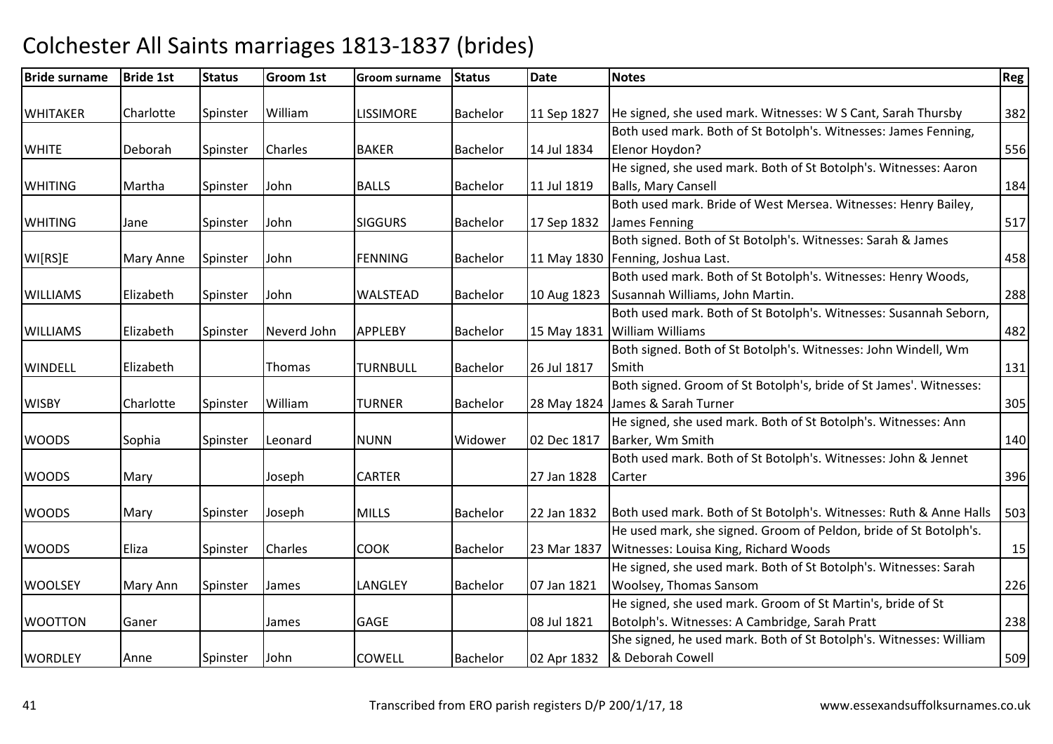| <b>Bride surname</b> | <b>Bride 1st</b> | <b>Status</b> | Groom 1st   | <b>Groom surname</b> | <b>Status</b>   | Date        | <b>Notes</b>                                                       | Reg |
|----------------------|------------------|---------------|-------------|----------------------|-----------------|-------------|--------------------------------------------------------------------|-----|
| <b>WHITAKER</b>      | Charlotte        | Spinster      | William     | <b>LISSIMORE</b>     | <b>Bachelor</b> | 11 Sep 1827 | He signed, she used mark. Witnesses: W S Cant, Sarah Thursby       | 382 |
|                      |                  |               |             |                      |                 |             | Both used mark. Both of St Botolph's. Witnesses: James Fenning,    |     |
| <b>WHITE</b>         | Deborah          | Spinster      | Charles     | <b>BAKER</b>         | <b>Bachelor</b> | 14 Jul 1834 | Elenor Hoydon?                                                     | 556 |
|                      |                  |               |             |                      |                 |             | He signed, she used mark. Both of St Botolph's. Witnesses: Aaron   |     |
| <b>WHITING</b>       | Martha           | Spinster      | John        | <b>BALLS</b>         | <b>Bachelor</b> | 11 Jul 1819 | <b>Balls, Mary Cansell</b>                                         | 184 |
|                      |                  |               |             |                      |                 |             | Both used mark. Bride of West Mersea. Witnesses: Henry Bailey,     |     |
| <b>WHITING</b>       | Jane             | Spinster      | John        | <b>SIGGURS</b>       | <b>Bachelor</b> | 17 Sep 1832 | James Fenning                                                      | 517 |
|                      |                  |               |             |                      |                 |             | Both signed. Both of St Botolph's. Witnesses: Sarah & James        |     |
| WI[RS]E              | Mary Anne        | Spinster      | John        | <b>FENNING</b>       | Bachelor        |             | 11 May 1830   Fenning, Joshua Last.                                | 458 |
|                      |                  |               |             |                      |                 |             | Both used mark. Both of St Botolph's. Witnesses: Henry Woods,      |     |
| <b>WILLIAMS</b>      | Elizabeth        | Spinster      | John        | <b>WALSTEAD</b>      | <b>Bachelor</b> | 10 Aug 1823 | Susannah Williams, John Martin.                                    | 288 |
|                      |                  |               |             |                      |                 |             | Both used mark. Both of St Botolph's. Witnesses: Susannah Seborn,  |     |
| <b>WILLIAMS</b>      | Elizabeth        | Spinster      | Neverd John | <b>APPLEBY</b>       | Bachelor        | 15 May 1831 | <b>William Williams</b>                                            | 482 |
|                      |                  |               |             |                      |                 |             | Both signed. Both of St Botolph's. Witnesses: John Windell, Wm     |     |
| <b>WINDELL</b>       | Elizabeth        |               | Thomas      | <b>TURNBULL</b>      | <b>Bachelor</b> | 26 Jul 1817 | Smith                                                              | 131 |
|                      |                  |               |             |                      |                 |             | Both signed. Groom of St Botolph's, bride of St James'. Witnesses: |     |
| <b>WISBY</b>         | Charlotte        | Spinster      | William     | <b>TURNER</b>        | <b>Bachelor</b> |             | 28 May 1824 James & Sarah Turner                                   | 305 |
|                      |                  |               |             |                      |                 |             | He signed, she used mark. Both of St Botolph's. Witnesses: Ann     |     |
| <b>WOODS</b>         | Sophia           | Spinster      | Leonard     | <b>NUNN</b>          | Widower         | 02 Dec 1817 | Barker, Wm Smith                                                   | 140 |
|                      |                  |               |             |                      |                 |             | Both used mark. Both of St Botolph's. Witnesses: John & Jennet     |     |
| <b>WOODS</b>         | Mary             |               | Joseph      | <b>CARTER</b>        |                 | 27 Jan 1828 | Carter                                                             | 396 |
|                      |                  |               |             |                      |                 |             |                                                                    |     |
| <b>WOODS</b>         | Mary             | Spinster      | Joseph      | <b>MILLS</b>         | <b>Bachelor</b> | 22 Jan 1832 | Both used mark. Both of St Botolph's. Witnesses: Ruth & Anne Halls | 503 |
|                      |                  |               |             |                      |                 |             | He used mark, she signed. Groom of Peldon, bride of St Botolph's.  |     |
| <b>WOODS</b>         | Eliza            | Spinster      | Charles     | <b>COOK</b>          | <b>Bachelor</b> | 23 Mar 1837 | Witnesses: Louisa King, Richard Woods                              | 15  |
|                      |                  |               |             |                      |                 |             | He signed, she used mark. Both of St Botolph's. Witnesses: Sarah   |     |
| <b>WOOLSEY</b>       | Mary Ann         | Spinster      | James       | LANGLEY              | <b>Bachelor</b> | 07 Jan 1821 | Woolsey, Thomas Sansom                                             | 226 |
|                      |                  |               |             |                      |                 |             | He signed, she used mark. Groom of St Martin's, bride of St        |     |
| <b>WOOTTON</b>       | Ganer            |               | James       | <b>GAGE</b>          |                 | 08 Jul 1821 | Botolph's. Witnesses: A Cambridge, Sarah Pratt                     | 238 |
|                      |                  |               |             |                      |                 |             | She signed, he used mark. Both of St Botolph's. Witnesses: William |     |
| <b>WORDLEY</b>       | Anne             | Spinster      | John        | <b>COWELL</b>        | <b>Bachelor</b> | 02 Apr 1832 | & Deborah Cowell                                                   | 509 |